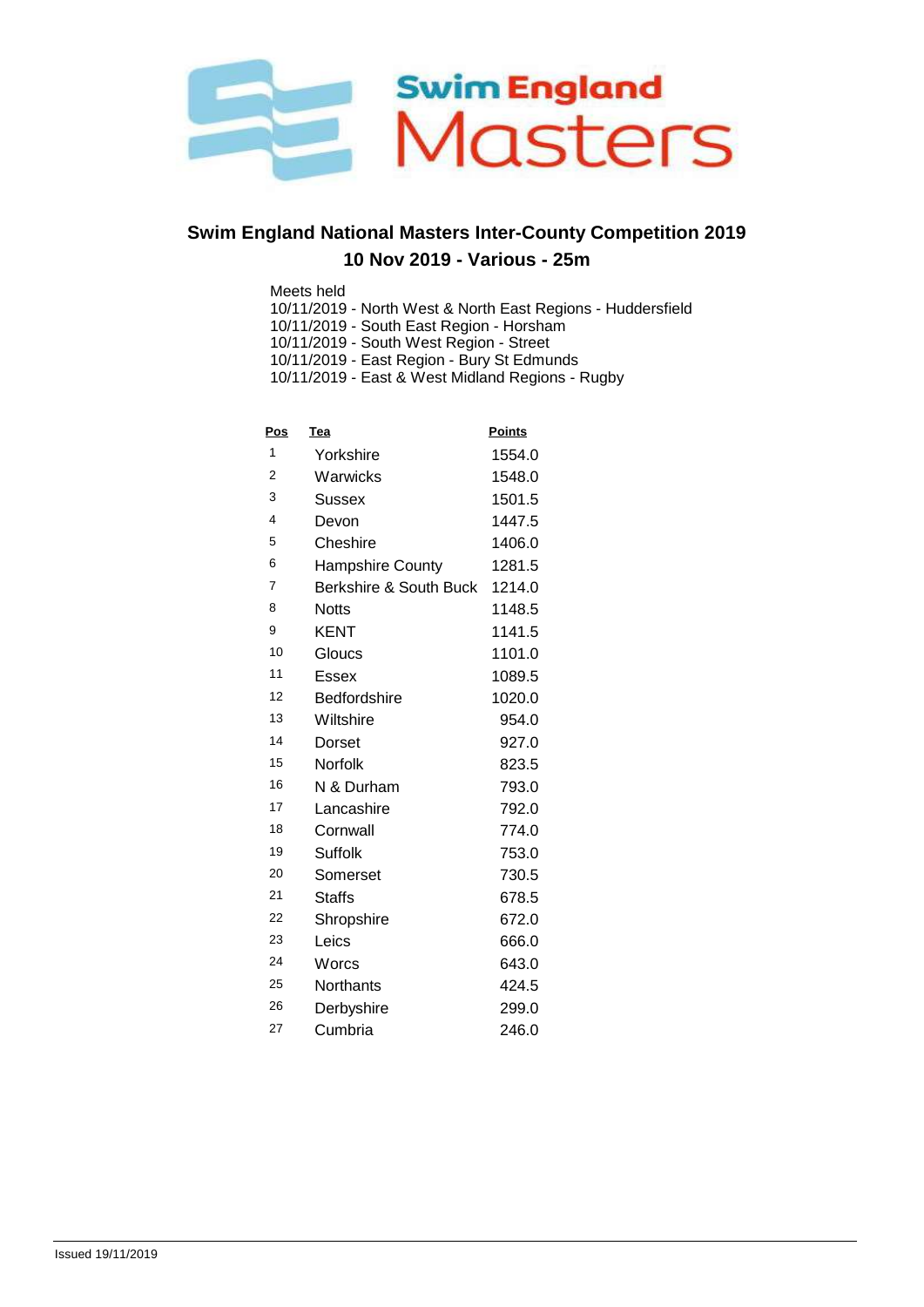

Meets held

- 10/11/2019 North West & North East Regions Huddersfield
- 10/11/2019 South East Region Horsham
- 10/11/2019 South West Region Street
- 10/11/2019 East Region Bury St Edmunds

10/11/2019 - East & West Midland Regions - Rugby

| <u>Pos</u>     | Tea                    | <b>Points</b> |
|----------------|------------------------|---------------|
| 1              | Yorkshire              | 1554.0        |
| $\overline{2}$ | Warwicks               | 1548.0        |
| 3              | Sussex                 | 1501.5        |
| 4              | Devon                  | 1447.5        |
| 5              | Cheshire               | 1406.0        |
| 6              | Hampshire County       | 1281.5        |
| $\overline{7}$ | Berkshire & South Buck | 1214.0        |
| 8              | <b>Notts</b>           | 1148.5        |
| 9              | <b>KENT</b>            | 1141.5        |
| 10             | Gloucs                 | 1101.0        |
| 11             | Essex                  | 1089.5        |
| 12             | <b>Bedfordshire</b>    | 1020.0        |
| 13             | Wiltshire              | 954.0         |
| 14             | Dorset                 | 927.0         |
| 15             | Norfolk                | 823.5         |
| 16             | N & Durham             | 793.0         |
| 17             | Lancashire             | 792.0         |
| 18             | Cornwall               | 774.0         |
| 19             | <b>Suffolk</b>         | 753.0         |
| 20             | Somerset               | 730.5         |
| 21             | Staffs                 | 678.5         |
| 22             | Shropshire             | 672.0         |
| 23             | Leics                  | 666.0         |
| 24             | Worcs                  | 643.0         |
| 25             | Northants              | 424.5         |
| 26             | Derbyshire             | 299.0         |
| 27             | Cumbria                | 246.0         |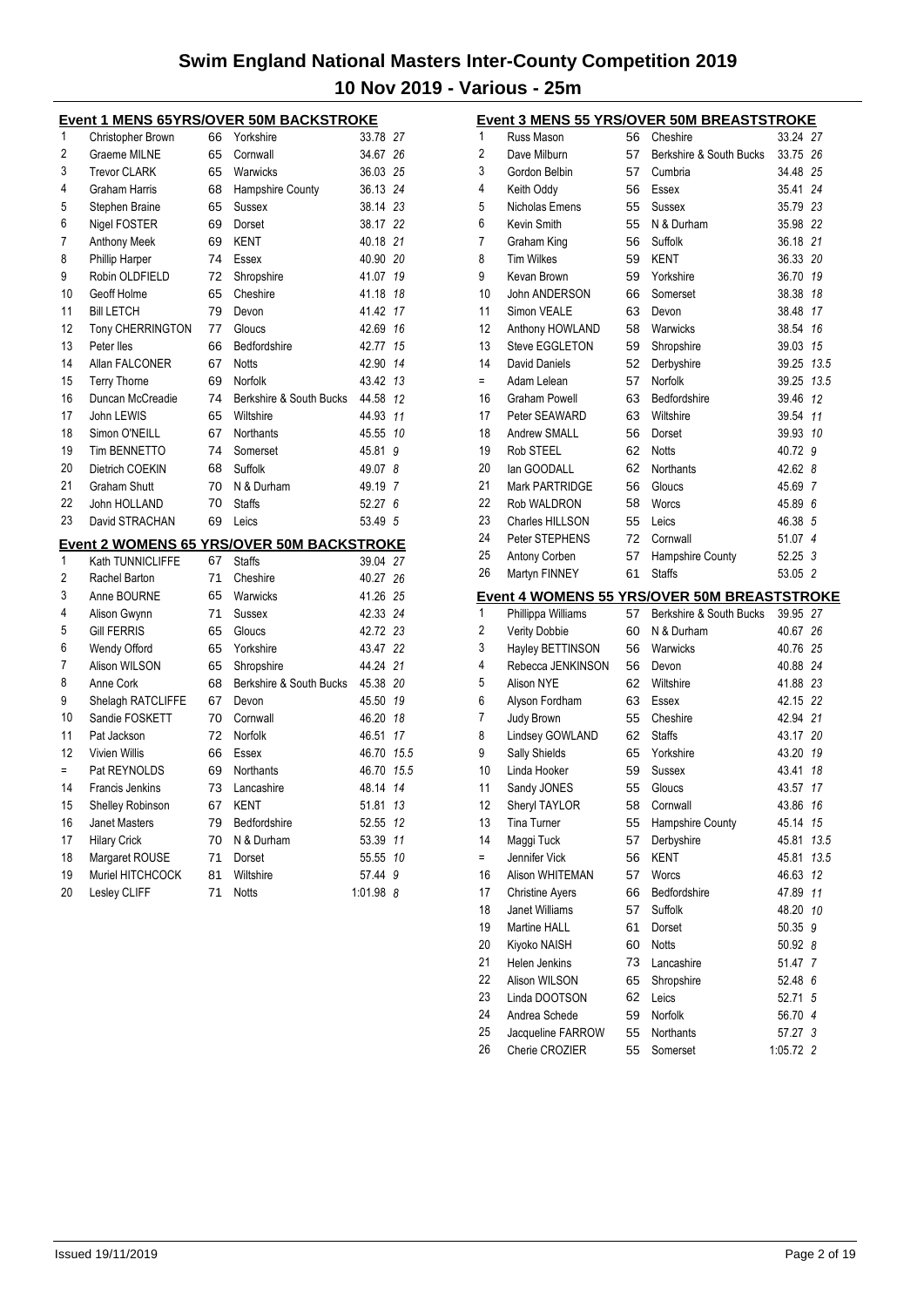| <b>Event 1 MENS 65YRS/OVER 50M BACKSTROKE</b> |                        |    |                                                  |          |      |  |  |  |
|-----------------------------------------------|------------------------|----|--------------------------------------------------|----------|------|--|--|--|
| 1                                             | Christopher Brown      | 66 | Yorkshire                                        | 33.78    | 27   |  |  |  |
| $\overline{2}$                                | Graeme MILNE           | 65 | Cornwall                                         | 34.67    | 26   |  |  |  |
| 3                                             | <b>Trevor CLARK</b>    | 65 | Warwicks                                         | 36.03    | 25   |  |  |  |
| 4                                             | <b>Graham Harris</b>   | 68 | <b>Hampshire County</b>                          | 36.13    | 24   |  |  |  |
| 5                                             | Stephen Braine         | 65 | <b>Sussex</b>                                    | 38.14    | 23   |  |  |  |
| 6                                             | Nigel FOSTER           | 69 | Dorset                                           | 38.17    | 22   |  |  |  |
| 7                                             | <b>Anthony Meek</b>    | 69 | <b>KENT</b>                                      | 40.18    | 21   |  |  |  |
| 8                                             | <b>Phillip Harper</b>  | 74 | Essex                                            | 40.90    | 20   |  |  |  |
| 9                                             | Robin OLDFIELD         | 72 | Shropshire                                       | 41.07    | 19   |  |  |  |
| 10                                            | Geoff Holme            | 65 | Cheshire                                         | 41.18    | 18   |  |  |  |
| 11                                            | <b>Bill LETCH</b>      | 79 | Devon                                            | 41.42    | 17   |  |  |  |
| 12                                            | Tony CHERRINGTON       | 77 | Gloucs                                           | 42.69    | 16   |  |  |  |
| 13                                            | Peter lles             | 66 | Bedfordshire                                     | 42.77    | 15   |  |  |  |
| 14                                            | Allan FALCONER         | 67 | <b>Notts</b>                                     | 42.90    | 14   |  |  |  |
| 15                                            | <b>Terry Thorne</b>    | 69 | Norfolk                                          | 43.42    | 13   |  |  |  |
| 16                                            | Duncan McCreadie       | 74 | Berkshire & South Bucks                          | 44.58    | 12   |  |  |  |
| 17                                            | John LEWIS             | 65 | Wiltshire                                        | 44.93    | 11   |  |  |  |
| 18                                            | Simon O'NEILL          | 67 | Northants                                        | 45.55    | 10   |  |  |  |
| 19                                            | Tim BENNETTO           | 74 | Somerset                                         | 45.81    | 9    |  |  |  |
| 20                                            | Dietrich COEKIN        | 68 | Suffolk                                          | 49.07    | 8    |  |  |  |
| 21                                            | <b>Graham Shutt</b>    | 70 | N & Durham                                       | 49.19    | 7    |  |  |  |
| 22                                            | John HOLLAND           | 70 | <b>Staffs</b>                                    | 52.27    | 6    |  |  |  |
| 23                                            | David STRACHAN         | 69 | Leics                                            | 53.49 5  |      |  |  |  |
|                                               |                        |    | <b>Event 2 WOMENS 65 YRS/OVER 50M BACKSTROKE</b> |          |      |  |  |  |
| 1                                             | Kath TUNNICLIFFE       | 67 | <b>Staffs</b>                                    | 39.04 27 |      |  |  |  |
| 2                                             | Rachel Barton          | 71 | Cheshire                                         | 40.27    | 26   |  |  |  |
| 3                                             | Anne BOURNE            | 65 | Warwicks                                         | 41.26    | 25   |  |  |  |
| 4                                             | Alison Gwynn           | 71 | <b>Sussex</b>                                    | 42.33    | 24   |  |  |  |
| 5                                             | <b>Gill FERRIS</b>     | 65 | Gloucs                                           | 42.72 23 |      |  |  |  |
| 6                                             | Wendy Offord           | 65 | Yorkshire                                        | 43.47    | 22   |  |  |  |
| 7                                             | Alison WILSON          | 65 | Shropshire                                       | 44.24    | 21   |  |  |  |
| 8                                             | Anne Cork              | 68 | Berkshire & South Bucks                          | 45.38    | 20   |  |  |  |
| 9                                             | Shelagh RATCLIFFE      | 67 | Devon                                            | 45.50    | 19   |  |  |  |
| 10                                            | Sandie FOSKETT         | 70 | Cornwall                                         | 46.20    | 18   |  |  |  |
| 11                                            | Pat Jackson            | 72 | Norfolk                                          | 46.51    | 17   |  |  |  |
| 12                                            | <b>Vivien Willis</b>   | 66 | Essex                                            | 46.70    | 15.5 |  |  |  |
| $=$                                           | Pat REYNOLDS           | 69 | Northants                                        | 46.70    | 15.5 |  |  |  |
| 14                                            | <b>Francis Jenkins</b> | 73 | Lancashire                                       | 48.14    | 14   |  |  |  |
| 15                                            | Shelley Robinson       | 67 | KENT                                             | 51.81    | 13   |  |  |  |
| 16                                            | <b>Janet Masters</b>   | 79 | Bedfordshire                                     | 52.55    | 12   |  |  |  |
| 17                                            | <b>Hilary Crick</b>    | 70 | N & Durham                                       | 53.39    | 11   |  |  |  |
| 18                                            | Margaret ROUSE         | 71 | Dorset                                           | 55.55    | 10   |  |  |  |
| 19                                            | Muriel HITCHCOCK       | 81 | Wiltshire                                        | 57.44    | 9    |  |  |  |
| 20                                            | Lesley CLIFF           | 71 | <b>Notts</b>                                     | 1:01.98  | 8    |  |  |  |

| <b>Event 3 MENS 55 YRS/OVER 50M BREASTSTROKE</b> |                                       |          |                                                                               |                      |            |  |  |  |
|--------------------------------------------------|---------------------------------------|----------|-------------------------------------------------------------------------------|----------------------|------------|--|--|--|
| 1                                                | Russ Mason                            | 56       | Cheshire                                                                      | 33.24 27             |            |  |  |  |
| $\overline{2}$                                   | Dave Milburn                          | 57       | Berkshire & South Bucks                                                       | 33.75 26             |            |  |  |  |
| 3                                                | Gordon Belbin                         | 57       | Cumbria                                                                       | 34.48 25             |            |  |  |  |
| 4                                                | Keith Oddy                            | 56       | Essex                                                                         | 35.41                | 24         |  |  |  |
| 5                                                | Nicholas Emens                        | 55       | Sussex                                                                        | 35.79 23             |            |  |  |  |
| 6                                                | Kevin Smith                           | 55       | N & Durham                                                                    | 35.98 22             |            |  |  |  |
| 7                                                | Graham King                           | 56       | Suffolk                                                                       | 36.18 21             |            |  |  |  |
| 8                                                | <b>Tim Wilkes</b>                     | 59       | KENT                                                                          | 36.33 20             |            |  |  |  |
| 9                                                | Kevan Brown                           | 59       | Yorkshire                                                                     | 36.70                | 19         |  |  |  |
| 10                                               | <b>John ANDERSON</b>                  | 66       | Somerset                                                                      | 38.38                | 18         |  |  |  |
| 11                                               | Simon VEALE                           | 63       | Devon                                                                         | 38.48                | 17         |  |  |  |
| 12                                               | Anthony HOWLAND                       | 58       | Warwicks                                                                      | 38.54                | 16         |  |  |  |
| 13                                               | Steve EGGLETON                        | 59       | Shropshire                                                                    | 39.03                | 15         |  |  |  |
| 14                                               | <b>David Daniels</b>                  | 52       | Derbyshire                                                                    | 39.25                | 13.5       |  |  |  |
| $=$                                              | Adam Lelean                           | 57       | <b>Norfolk</b>                                                                | 39.25                | 13.5       |  |  |  |
| 16                                               | <b>Graham Powell</b>                  | 63       | Bedfordshire                                                                  | 39.46                | 12         |  |  |  |
| 17                                               | Peter SEAWARD                         | 63       | Wiltshire                                                                     | 39.54                | 11         |  |  |  |
| 18                                               | Andrew SMALL                          | 56       | Dorset                                                                        | 39.93                | 10         |  |  |  |
| 19                                               | Rob STEEL                             | 62       | <b>Notts</b>                                                                  | 40.72 9              |            |  |  |  |
| 20                                               | lan GOODALL                           | 62       | Northants                                                                     | 42.62 8              |            |  |  |  |
| 21                                               | Mark PARTRIDGE                        | 56       | Gloucs                                                                        | 45.69                | 7          |  |  |  |
| 22                                               | Rob WALDRON                           | 58       | Worcs                                                                         | 45.89 6              |            |  |  |  |
| 23                                               | Charles HILLSON                       | 55       | Leics                                                                         | 46.38 5              |            |  |  |  |
| 24                                               | Peter STEPHENS                        | 72       | Cornwall                                                                      | 51.07                | 4          |  |  |  |
| 25                                               | Antony Corben                         | 57       | Hampshire County                                                              | 52.25 3              |            |  |  |  |
| 26                                               | Martyn FINNEY                         | 61       | <b>Staffs</b>                                                                 | 53.05 2              |            |  |  |  |
|                                                  |                                       |          |                                                                               |                      |            |  |  |  |
|                                                  |                                       |          |                                                                               |                      |            |  |  |  |
| 1                                                |                                       | 57       | <b>Event 4 WOMENS 55 YRS/OVER 50M BREASTSTROKE</b><br>Berkshire & South Bucks | 39.95 27             |            |  |  |  |
| $\overline{2}$                                   | Phillippa Williams                    | 60       | N & Durham                                                                    |                      | 26         |  |  |  |
|                                                  | Verity Dobbie                         | 56       | Warwicks                                                                      | 40.67                |            |  |  |  |
| 3<br>4                                           | Hayley BETTINSON<br>Rebecca JENKINSON | 56       | Devon                                                                         | 40.76 25             |            |  |  |  |
| 5                                                | Alison NYE                            | 62       | Wiltshire                                                                     | 40.88 24<br>41.88 23 |            |  |  |  |
| 6                                                |                                       | 63       | Essex                                                                         | 42.15 22             |            |  |  |  |
| 7                                                | Alyson Fordham<br>Judy Brown          | 55       | Cheshire                                                                      | 42.94 21             |            |  |  |  |
| 8                                                |                                       | 62       | <b>Staffs</b>                                                                 | 43.17                | 20         |  |  |  |
| 9                                                | Lindsey GOWLAND                       | 65       | Yorkshire                                                                     | 43.20                | 19         |  |  |  |
| 10                                               | Sally Shields<br>Linda Hooker         | 59       | Sussex                                                                        | 43.41                | 18         |  |  |  |
| 11                                               |                                       | 55       | Gloucs                                                                        |                      |            |  |  |  |
|                                                  | Sandy JONES                           |          | Cornwall                                                                      | 43.57 17             |            |  |  |  |
| 12<br>13                                         | Sheryl TAYLOR                         | 58<br>55 |                                                                               | 43.86 16<br>45.14 15 |            |  |  |  |
| 14                                               | Tina Turner                           |          | Hampshire County                                                              |                      | 13.5       |  |  |  |
| $=$                                              | Maggi Tuck<br>Jennifer Vick           | 57       | Derbyshire<br><b>KENT</b>                                                     | 45.81                |            |  |  |  |
| 16                                               | Alison WHITEMAN                       | 56<br>57 | Worcs                                                                         | 45.81                | 13.5<br>12 |  |  |  |
| 17                                               |                                       |          |                                                                               | 46.63                | 11         |  |  |  |
|                                                  | <b>Christine Ayers</b>                | 66       | Bedfordshire                                                                  | 47.89                |            |  |  |  |
| 18                                               | Janet Williams<br>Martine HALL        | 57       | Suffolk                                                                       | 48.20<br>50.35       | 10         |  |  |  |
| 19<br>20                                         |                                       | 61<br>60 | Dorset<br><b>Notts</b>                                                        |                      | 9          |  |  |  |
| 21                                               | Kiyoko NAISH<br>Helen Jenkins         | 73       | Lancashire                                                                    | 50.92 8<br>51.47 7   |            |  |  |  |
| 22                                               | Alison WILSON                         | 65       | Shropshire                                                                    | 52.48                | 6          |  |  |  |
| 23                                               | Linda DOOTSON                         | 62       | Leics                                                                         | 52.71 5              |            |  |  |  |
| 24                                               | Andrea Schede                         | 59       | Norfolk                                                                       | 56.70 4              |            |  |  |  |
| 25                                               | Jacqueline FARROW                     | 55       | Northants                                                                     | 57.27 3              |            |  |  |  |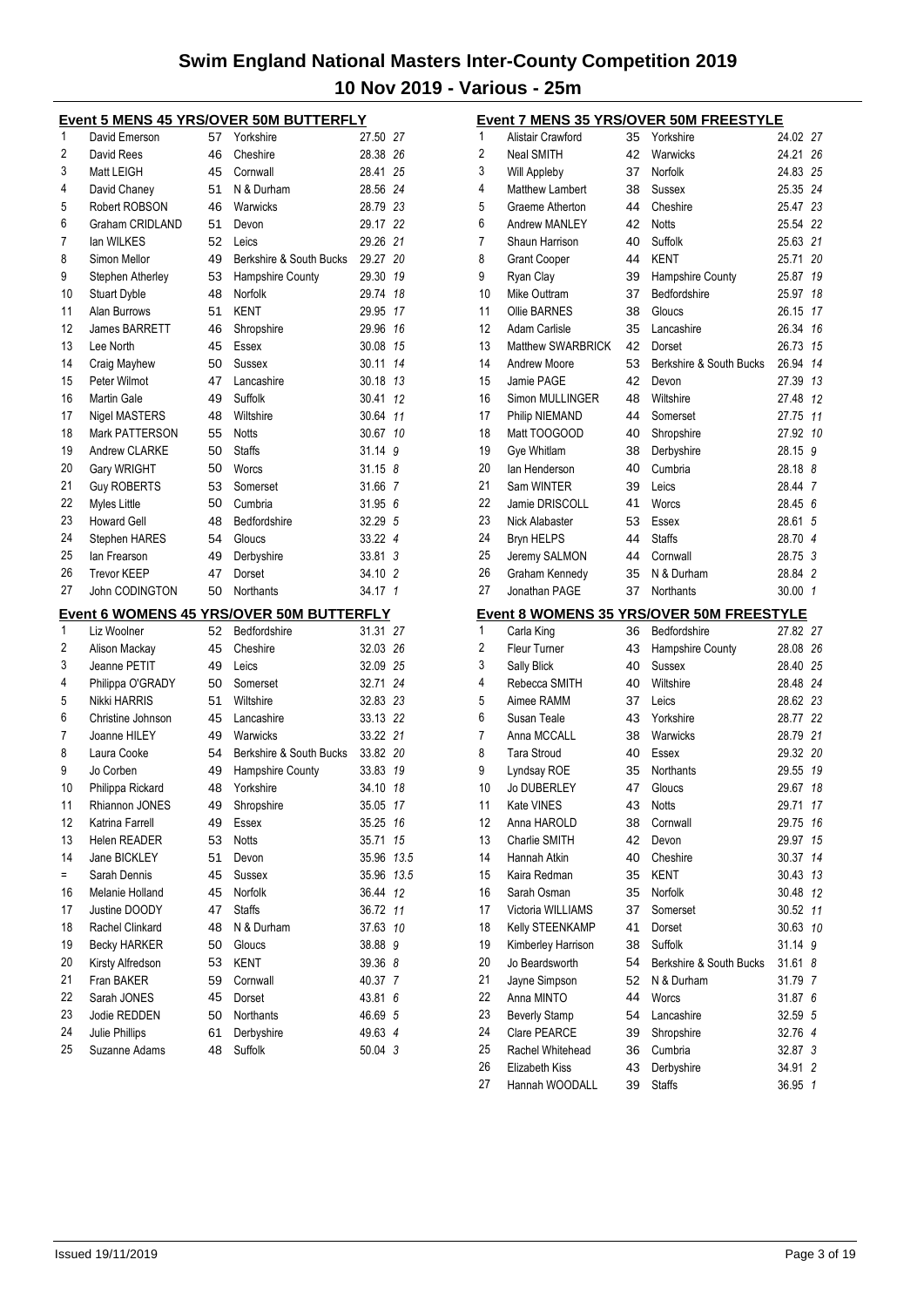|     | Event 5 MENS 45 YRS/OVER 50M BUTTERFLY |    |                                                 |          |      |
|-----|----------------------------------------|----|-------------------------------------------------|----------|------|
| 1   | David Emerson                          | 57 | Yorkshire                                       | 27.50 27 |      |
| 2   | David Rees                             | 46 | Cheshire                                        | 28.38 26 |      |
| 3   | Matt LEIGH                             | 45 | Cornwall                                        | 28.41    | 25   |
| 4   | David Chaney                           | 51 | N & Durham                                      | 28.56    | 24   |
| 5   | Robert ROBSON                          | 46 | Warwicks                                        | 28.79 23 |      |
| 6   | Graham CRIDLAND                        | 51 | Devon                                           | 29.17 22 |      |
| 7   | lan WILKES                             | 52 | Leics                                           | 29.26    | 21   |
| 8   | Simon Mellor                           | 49 | Berkshire & South Bucks                         | 29.27    | 20   |
| 9   | Stephen Atherley                       | 53 | Hampshire County                                | 29.30    | 19   |
| 10  | <b>Stuart Dyble</b>                    | 48 | Norfolk                                         | 29.74    | 18   |
| 11  | Alan Burrows                           | 51 | <b>KENT</b>                                     | 29.95    | 17   |
| 12  | James BARRETT                          | 46 | Shropshire                                      | 29.96    | 16   |
| 13  | Lee North                              | 45 | Essex                                           | 30.08    | 15   |
| 14  | Craig Mayhew                           | 50 | Sussex                                          | 30.11    | 14   |
| 15  | Peter Wilmot                           | 47 | Lancashire                                      | 30.18 13 |      |
| 16  | <b>Martin Gale</b>                     | 49 | Suffolk                                         | 30.41    | 12   |
| 17  | <b>Nigel MASTERS</b>                   | 48 | Wiltshire                                       | 30.64    | 11   |
| 18  | Mark PATTERSON                         | 55 | <b>Notts</b>                                    | 30.67    | 10   |
| 19  | Andrew CLARKE                          | 50 | <b>Staffs</b>                                   | 31.14    | 9    |
| 20  | Gary WRIGHT                            | 50 | Worcs                                           | 31.15    | 8    |
| 21  | <b>Guy ROBERTS</b>                     | 53 | Somerset                                        | 31.66 7  |      |
| 22  | Myles Little                           | 50 | Cumbria                                         | 31.95    | 6    |
| 23  | <b>Howard Gell</b>                     | 48 | Bedfordshire                                    | 32.29 5  |      |
| 24  | Stephen HARES                          | 54 | Gloucs                                          | 33.22 4  |      |
| 25  | lan Frearson                           | 49 | Derbyshire                                      | 33.81    | 3    |
| 26  | <b>Trevor KEEP</b>                     | 47 | Dorset                                          | 34.10 2  |      |
|     |                                        |    |                                                 |          |      |
|     |                                        |    |                                                 |          |      |
| 27  | John CODINGTON                         | 50 | Northants                                       | 34.17 1  |      |
|     |                                        |    | <u>Event 6 WOMENS 45 YRS/OVER 50M BUTTERFLY</u> |          |      |
| 1   | Liz Woolner                            | 52 | Bedfordshire                                    | 31.31 27 |      |
| 2   | Alison Mackay                          | 45 | Cheshire                                        | 32.03 26 |      |
| 3   | Jeanne PETIT                           | 49 | Leics                                           | 32.09 25 |      |
| 4   | Philippa O'GRADY                       | 50 | Somerset                                        | 32.71    | 24   |
| 5   | Nikki HARRIS                           | 51 | Wiltshire                                       | 32.83 23 |      |
| 6   | Christine Johnson                      | 45 | Lancashire                                      | 33.13 22 |      |
| 7   | Joanne HILEY                           | 49 | Warwicks                                        | 33.22 21 |      |
| 8   | Laura Cooke                            | 54 | Berkshire & South Bucks                         | 33.82 20 |      |
| 9   | Jo Corben                              | 49 | <b>Hampshire County</b>                         | 33.83    | 19   |
| 10  | Philippa Rickard                       | 48 | Yorkshire                                       | 34.10    | 18   |
| 11  | Rhiannon JONES                         | 49 | Shropshire                                      | 35.05 17 |      |
| 12  | Katrina Farrell                        | 49 | Essex                                           | 35.25    | 16   |
| 13  | Helen READER                           | 53 | <b>Notts</b>                                    | 35.71    | 15   |
| 14  | Jane BICKLEY                           | 51 | Devon                                           | 35.96    | 13.5 |
| $=$ | Sarah Dennis                           | 45 | Sussex                                          | 35.96    | 13.5 |
| 16  | Melanie Holland                        | 45 | Norfolk                                         | 36.44    | 12   |
| 17  | Justine DOODY                          | 47 | <b>Staffs</b>                                   | 36.72    | 11   |
| 18  | Rachel Clinkard                        | 48 | N & Durham                                      | 37.63    | 10   |
| 19  | <b>Becky HARKER</b>                    | 50 | Gloucs                                          | 38.88    | 9    |
| 20  | Kirsty Alfredson                       | 53 | KENT                                            | 39.36    | 8    |
| 21  | Fran BAKER                             | 59 | Cornwall                                        | 40.37    | 7    |
| 22  | Sarah JONES                            | 45 | Dorset                                          | 43.81    | 6    |
| 23  | Jodie REDDEN                           | 50 | Northants                                       | 46.69    | 5    |
| 24  | Julie Phillips                         | 61 | Derbyshire                                      | 49.63 4  |      |
| 25  | Suzanne Adams                          | 48 | Suffolk                                         | 50.04 3  |      |

|          | <u>Event 7 MENS 35 YRS/OVER 50M FREESTYLE</u> |          |                                                 |                |                |
|----------|-----------------------------------------------|----------|-------------------------------------------------|----------------|----------------|
| 1        | Alistair Crawford                             | 35       | Yorkshire                                       | 24.02          | 27             |
| 2        | Neal SMITH                                    | 42       | Warwicks                                        | 24.21          | 26             |
| 3        | Will Appleby                                  | 37       | Norfolk                                         | 24.83          | 25             |
| 4        | Matthew Lambert                               | 38       | Sussex                                          | 25.35          | 24             |
| 5        | Graeme Atherton                               | 44       | Cheshire                                        | 25.47          | 23             |
| 6        | Andrew MANLEY                                 | 42       | <b>Notts</b>                                    | 25.54          | 22             |
| 7        | Shaun Harrison                                | 40       | Suffolk                                         | 25.63          | 21             |
| 8        | <b>Grant Cooper</b>                           | 44       | <b>KENT</b>                                     | 25.71          | 20             |
| 9        | Ryan Clay                                     | 39       | Hampshire County                                | 25.87          | 19             |
| 10       | Mike Outtram                                  | 37       | Bedfordshire                                    | 25.97          | 18             |
| 11       | Ollie BARNES                                  | 38       | Gloucs                                          | 26.15          | 17             |
| 12       | <b>Adam Carlisle</b>                          | 35       | Lancashire                                      | 26.34          | 16             |
| 13       | <b>Matthew SWARBRICK</b>                      | 42       | Dorset                                          | 26.73          | 15             |
| 14       | <b>Andrew Moore</b>                           | 53       | Berkshire & South Bucks                         | 26.94          | 14             |
| 15       | Jamie PAGE                                    | 42       | Devon                                           | 27.39          | 13             |
| 16       | Simon MULLINGER                               | 48       | Wiltshire                                       | 27.48          | 12             |
| 17       | Philip NIEMAND                                | 44       | Somerset                                        | 27.75          | 11             |
| 18       | Matt TOOGOOD                                  | 40       | Shropshire                                      | 27.92          | 10             |
| 19       | Gye Whitlam                                   | 38       | Derbyshire                                      | 28.15          | 9              |
| 20       | lan Henderson                                 | 40       | Cumbria                                         | 28.18          | 8              |
| 21       | Sam WINTER                                    | 39       | Leics                                           | 28.44          | 7              |
| 22       | Jamie DRISCOLL                                | 41       | Worcs                                           | 28.45 6        |                |
| 23       | Nick Alabaster                                | 53       | Essex                                           | 28.61          | 5              |
| 24       | <b>Bryn HELPS</b>                             | 44       | <b>Staffs</b>                                   | 28.70 4        |                |
| 25       | Jeremy SALMON                                 | 44       | Cornwall                                        | 28.75          | 3              |
| 26       | Graham Kennedy                                | 35       | N & Durham                                      | 28.84          | $\overline{2}$ |
| 27       | Jonathan PAGE                                 | 37       | Northants                                       | 30.00          | $\mathbf{1}$   |
|          |                                               |          |                                                 |                |                |
|          |                                               |          |                                                 |                |                |
|          |                                               |          | <b>Event 8 WOMENS 35 YRS/OVER 50M FREESTYLE</b> |                |                |
| 1        | Carla King                                    | 36       | Bedfordshire                                    | 27.82 27       |                |
| 2        | <b>Fleur Turner</b>                           | 43       | Hampshire County                                | 28.08          | 26             |
| 3        | Sally Blick                                   | 40       | Sussex                                          | 28.40          | 25             |
| 4        | Rebecca SMITH                                 | 40       | Wiltshire                                       | 28.48 24       |                |
| 5        | Aimee RAMM                                    | 37       | Leics                                           | 28.62 23       |                |
| 6        | Susan Teale                                   | 43       | Yorkshire                                       | 28.77          | 22             |
| 7        | Anna MCCALL                                   | 38       | Warwicks                                        | 28.79          | 21             |
| 8        | <b>Tara Stroud</b>                            | 40       | Essex                                           | 29.32          | 20             |
| 9        | Lyndsay ROE                                   | 35       | Northants                                       | 29.55          | 19             |
| 10       | <b>Jo DUBERLEY</b>                            | 47       | Gloucs                                          | 29.67          | 18             |
| 11       | Kate VINES                                    | 43       | Notts                                           | 29.71          | 17             |
| 12       | Anna HAROLD                                   | 38       | Cornwall                                        | 29.75          | 16             |
| 13       | Charlie SMITH                                 | 42       | Devon                                           | 29.97          | 15             |
| 14       | Hannah Atkin                                  | 40       | Cheshire                                        | 30.37          | 14             |
| 15       | Kaira Redman                                  | 35       | KENT                                            | 30.43          | 13             |
| 16       | Sarah Osman                                   | 35       | <b>Norfolk</b>                                  | 30.48          | 12             |
| 17       | Victoria WILLIAMS                             | 37       | Somerset                                        | 30.52          | 11             |
| 18       | Kelly STEENKAMP                               | 41       | Dorset                                          | 30.63          | 10             |
| 19       | Kimberley Harrison                            | 38       | Suffolk                                         | 31.14          | 9              |
| 20       | Jo Beardsworth                                | 54       | Berkshire & South Bucks                         | 31.61          | 8              |
| 21       | Jayne Simpson                                 | 52       | N & Durham                                      | 31.79          | 7              |
| 22       | Anna MINTO                                    | 44       | Worcs                                           | 31.87          | 6              |
| 23       | <b>Beverly Stamp</b>                          | 54       | Lancashire                                      | 32.59          | 5              |
| 24       | Clare PEARCE                                  | 39       | Shropshire                                      | 32.76 4        |                |
| 25       | Rachel Whitehead                              | 36       | Cumbria                                         | 32.87          | 3              |
| 26<br>27 | Elizabeth Kiss<br>Hannah WOODALL              | 43<br>39 | Derbyshire<br><b>Staffs</b>                     | 34.91<br>36.95 | 2<br>1         |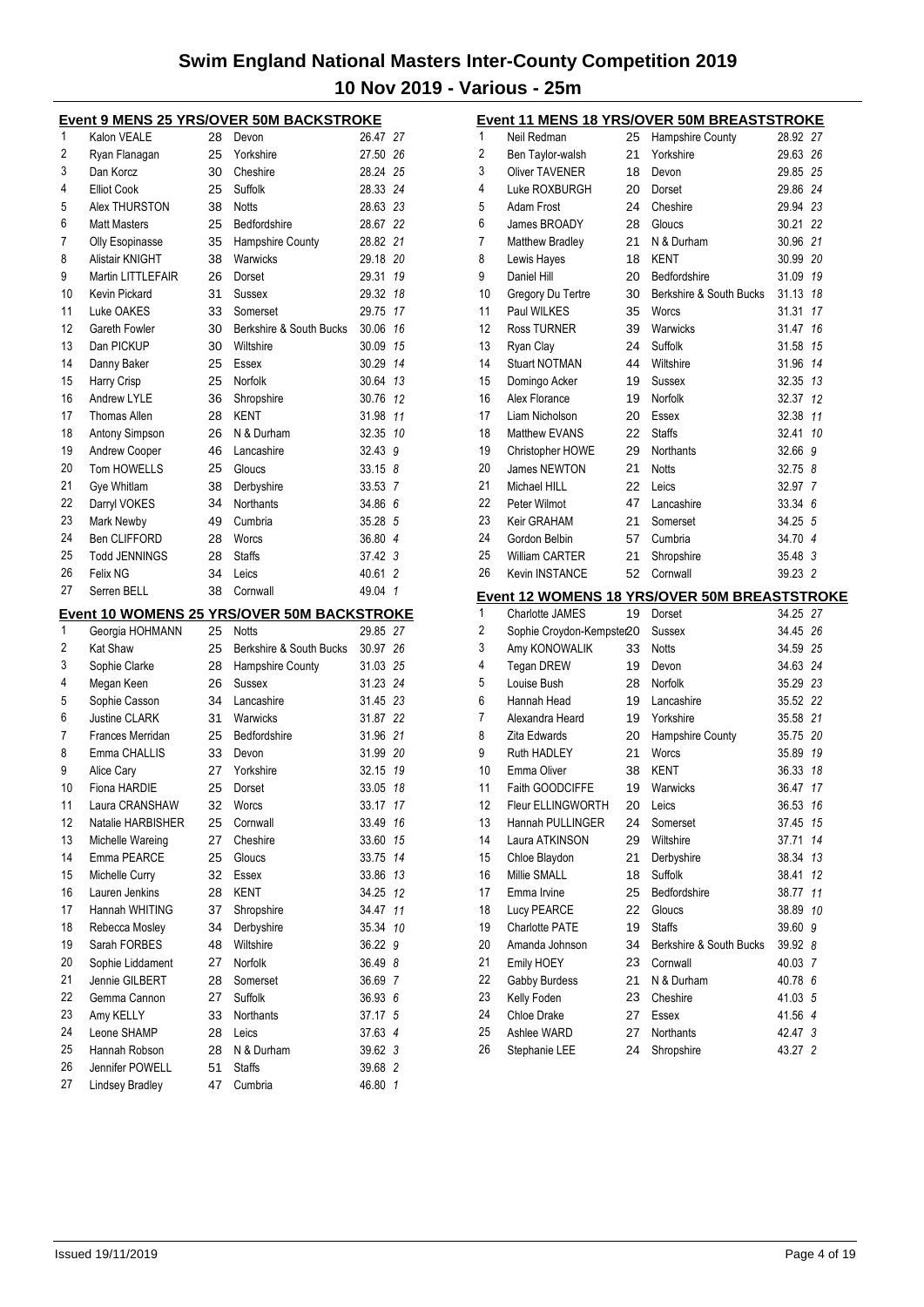|          | <u>Event 9 MENS 25 YRS/OVER 50M BACKSTROKE</u> |          |                                                   |                    |                |
|----------|------------------------------------------------|----------|---------------------------------------------------|--------------------|----------------|
| 1        | Kalon VEALE                                    | 28       | Devon                                             | 26.47 27           |                |
| 2        | Ryan Flanagan                                  | 25       | Yorkshire                                         | 27.50 26           |                |
| 3        | Dan Korcz                                      | 30       | Cheshire                                          | 28.24 25           |                |
| 4        | <b>Elliot Cook</b>                             | 25       | Suffolk                                           | 28.33 24           |                |
| 5        | Alex THURSTON                                  | 38       | <b>Notts</b>                                      | 28.63 23           |                |
| 6        | <b>Matt Masters</b>                            | 25       | Bedfordshire                                      | 28.67 22           |                |
| 7        | <b>Olly Esopinasse</b>                         | 35       | Hampshire County                                  | 28.82 21           |                |
| 8        | Alistair KNIGHT                                | 38       | Warwicks                                          | 29.18 20           |                |
| 9        | <b>Martin LITTLEFAIR</b>                       | 26       | Dorset                                            | 29.31              | 19             |
| 10       | Kevin Pickard                                  | 31       | Sussex                                            | 29.32              | 18             |
| 11       | Luke OAKES                                     | 33       | Somerset                                          | 29.75 17           |                |
| 12       | Gareth Fowler                                  | 30       | Berkshire & South Bucks                           | 30.06 16           |                |
| 13       | Dan PICKUP                                     | 30       | Wiltshire                                         | 30.09              | 15             |
| 14       | Danny Baker                                    | 25       | Essex                                             | 30.29              | 14             |
| 15       | Harry Crisp                                    | 25       | Norfolk                                           | 30.64              | 13             |
| 16       | Andrew LYLE                                    | 36       | Shropshire                                        | 30.76              | 12             |
| 17       | <b>Thomas Allen</b>                            | 28       | KENT                                              | 31.98              | 11             |
| 18       | Antony Simpson                                 | 26       | N & Durham                                        | 32.35              | 10             |
| 19       | Andrew Cooper                                  | 46       | Lancashire                                        | 32.43 9            |                |
| 20       | Tom HOWELLS                                    | 25       | Gloucs                                            | 33.15 8            |                |
| 21       | Gye Whitlam                                    | 38       | Derbyshire                                        | 33.53              | $\overline{7}$ |
| 22       | Darryl VOKES                                   | 34       | <b>Northants</b>                                  | 34.86 6            |                |
| 23       | Mark Newby                                     | 49       | Cumbria                                           | 35.28 5            |                |
| 24       | <b>Ben CLIFFORD</b>                            | 28       | Worcs                                             | 36.80 4            |                |
| 25       | <b>Todd JENNINGS</b>                           | 28       | <b>Staffs</b>                                     | 37.42 3            |                |
| 26       | Felix NG                                       | 34       | Leics                                             | 40.61 2            |                |
| 27       | Serren BELL                                    | 38       | Cornwall                                          | 49.04 1            |                |
|          |                                                |          |                                                   |                    |                |
|          |                                                |          |                                                   |                    |                |
|          |                                                |          | <u>Event 10 WOMENS 25 YRS/OVER 50M BACKSTROKE</u> |                    |                |
| 1        | Georgia HOHMANN                                | 25       | Notts                                             | 29.85 27           |                |
| 2        | <b>Kat Shaw</b>                                | 25       | Berkshire & South Bucks                           | 30.97 26           |                |
| 3        | Sophie Clarke                                  | 28       | Hampshire County                                  | 31.03 25           |                |
| 4        | Megan Keen                                     | 26       | Sussex                                            | 31.23 24           |                |
| 5        | Sophie Casson                                  | 34       | Lancashire                                        | 31.45 23           |                |
| 6        | Justine CLARK                                  | 31       | Warwicks                                          | 31.87 22           |                |
| 7        | Frances Merridan                               | 25       | Bedfordshire                                      | 31.96 21           |                |
| 8        | Emma CHALLIS                                   | 33       | Devon                                             | 31.99 20           |                |
| 9        | Alice Cary                                     | 27       | Yorkshire                                         | 32.15              | 19             |
| 10       | Fiona HARDIE                                   | 25       | Dorset                                            | 33.05              | 18             |
| 11       | Laura CRANSHAW                                 | 32       | Worcs                                             | 33.17              | 17             |
| 12       | Natalie HARBISHER                              | 25       | Cornwall                                          | 33.49              | 16             |
| 13       | Michelle Wareing                               | 27       | Cheshire                                          | 33.60              | 15             |
| 14       | Emma PEARCE                                    | 25       | Gloucs                                            | 33.75              | 14             |
| 15       | Michelle Curry                                 | 32       | Essex                                             | 33.86              | 13             |
| 16       | Lauren Jenkins                                 | 28       | <b>KENT</b>                                       | 34.25              | 12             |
| 17       | Hannah WHITING                                 | 37       | Shropshire                                        | 34.47              | 11             |
| 18       | Rebecca Mosley                                 | 34       | Derbyshire                                        | 35.34              | 10             |
| 19       | Sarah FORBES                                   | 48       | Wiltshire                                         | 36.22 9            |                |
| 20       | Sophie Liddament                               | 27       | <b>Norfolk</b>                                    | 36.49 8            |                |
| 21       | Jennie GILBERT                                 | 28       | Somerset                                          | 36.69 7            |                |
| 22       | Gemma Cannon                                   | 27       | Suffolk                                           | 36.93 6            |                |
| 23       | Amy KELLY                                      | 33       | Northants                                         | 37.17 5            |                |
| 24       | Leone SHAMP                                    | 28       | Leics                                             | 37.63 4            |                |
| 25       | Hannah Robson                                  | 28       | N & Durham                                        | 39.62 3            |                |
| 26<br>27 | Jennifer POWELL<br>Lindsey Bradley             | 51<br>47 | <b>Staffs</b><br>Cumbria                          | 39.68 2<br>46.80 1 |                |

|    |                           |    | <b>Event 11 MENS 18 YRS/OVER 50M BREASTSTROKE</b>   |          |    |
|----|---------------------------|----|-----------------------------------------------------|----------|----|
| 1  | Neil Redman               | 25 | Hampshire County                                    | 28.92 27 |    |
| 2  | Ben Taylor-walsh          | 21 | Yorkshire                                           | 29.63 26 |    |
| 3  | <b>Oliver TAVENER</b>     | 18 | Devon                                               | 29.85 25 |    |
| 4  | Luke ROXBURGH             | 20 | Dorset                                              | 29.86 24 |    |
| 5  | Adam Frost                | 24 | Cheshire                                            | 29.94 23 |    |
| 6  | James BROADY              | 28 | Gloucs                                              | 30.21 22 |    |
| 7  | <b>Matthew Bradley</b>    | 21 | N & Durham                                          | 30.96 21 |    |
| 8  | Lewis Hayes               | 18 | KENT                                                | 30.99 20 |    |
| 9  | Daniel Hill               | 20 | Bedfordshire                                        | 31.09 19 |    |
| 10 | Gregory Du Tertre         | 30 | Berkshire & South Bucks                             | 31.13 18 |    |
| 11 | Paul WILKES               | 35 | Worcs                                               | 31.31    | 17 |
| 12 | <b>Ross TURNER</b>        | 39 | Warwicks                                            | 31.47 16 |    |
| 13 | Ryan Clay                 | 24 | Suffolk                                             | 31.58 15 |    |
| 14 | <b>Stuart NOTMAN</b>      | 44 | Wiltshire                                           | 31.96 14 |    |
| 15 | Domingo Acker             | 19 | Sussex                                              | 32.35 13 |    |
| 16 | Alex Florance             | 19 | Norfolk                                             | 32.37 12 |    |
| 17 | Liam Nicholson            | 20 | Essex                                               | 32.38 11 |    |
| 18 | <b>Matthew EVANS</b>      | 22 | <b>Staffs</b>                                       | 32.41 10 |    |
| 19 | Christopher HOWE          | 29 | <b>Northants</b>                                    | 32.66 9  |    |
| 20 | James NEWTON              | 21 | <b>Notts</b>                                        | 32.75 8  |    |
| 21 | Michael HILL              | 22 | Leics                                               | 32.97 7  |    |
| 22 | Peter Wilmot              | 47 | Lancashire                                          | 33.34 6  |    |
| 23 | Keir GRAHAM               | 21 | Somerset                                            | 34.25 5  |    |
| 24 | Gordon Belbin             |    |                                                     | 34.70 4  |    |
| 25 |                           | 57 | Cumbria                                             | 35.48 3  |    |
| 26 | <b>William CARTER</b>     | 21 | Shropshire                                          |          |    |
|    | <b>Kevin INSTANCE</b>     | 52 | Cornwall                                            | 39.23 2  |    |
|    |                           |    |                                                     |          |    |
|    |                           |    | <b>Event 12 WOMENS 18 YRS/OVER 50M BREASTSTROKE</b> |          |    |
| 1  | Charlotte JAMES           | 19 | Dorset                                              | 34.25 27 |    |
| 2  | Sophie Croydon-Kempster20 |    | Sussex                                              | 34.45 26 |    |
| 3  | Amy KONOWALIK             | 33 | <b>Notts</b>                                        | 34.59 25 |    |
| 4  | <b>Tegan DREW</b>         | 19 | Devon                                               | 34.63 24 |    |
| 5  | Louise Bush               | 28 | Norfolk                                             | 35.29 23 |    |
| 6  | Hannah Head               | 19 | Lancashire                                          | 35.52 22 |    |
| 7  | Alexandra Heard           | 19 | Yorkshire                                           | 35.58 21 |    |
| 8  | Zita Edwards              | 20 | Hampshire County                                    | 35.75 20 |    |
| 9  | Ruth HADLEY               | 21 | Worcs                                               | 35.89 19 |    |
| 10 | Emma Oliver               | 38 | <b>KENT</b>                                         | 36.33    | 18 |
| 11 | Faith GOODCIFFE           | 19 | Warwicks                                            | 36.47 17 |    |
| 12 | Fleur ELLINGWORTH         | 20 | Leics                                               | 36.53    | 16 |
| 13 | Hannah PULLINGER          | 24 | Somerset                                            | 37.45    | 15 |
| 14 | Laura ATKINSON            | 29 | Wiltshire                                           | 37.71    | 14 |
| 15 | Chloe Blaydon             | 21 | Derbyshire                                          | 38.34    | 13 |
| 16 | Millie SMALL              | 18 | Suffolk                                             | 38.41    | 12 |
| 17 | Emma Irvine               | 25 | Bedfordshire                                        | 38.77 11 |    |
| 18 | Lucy PEARCE               | 22 | Gloucs                                              | 38.89    | 10 |
| 19 | <b>Charlotte PATE</b>     | 19 | <b>Staffs</b>                                       | 39.60    | 9  |
| 20 | Amanda Johnson            | 34 | Berkshire & South Bucks                             | 39.92 8  |    |
| 21 | Emily HOEY                | 23 | Cornwall                                            | 40.03 7  |    |
| 22 | Gabby Burdess             | 21 | N & Durham                                          | 40.78 6  |    |
| 23 | Kelly Foden               | 23 | Cheshire                                            | 41.03 5  |    |
| 24 | Chloe Drake               | 27 | Essex                                               | 41.56 4  |    |
| 25 | Ashlee WARD               | 27 | Northants                                           | 42.47 3  |    |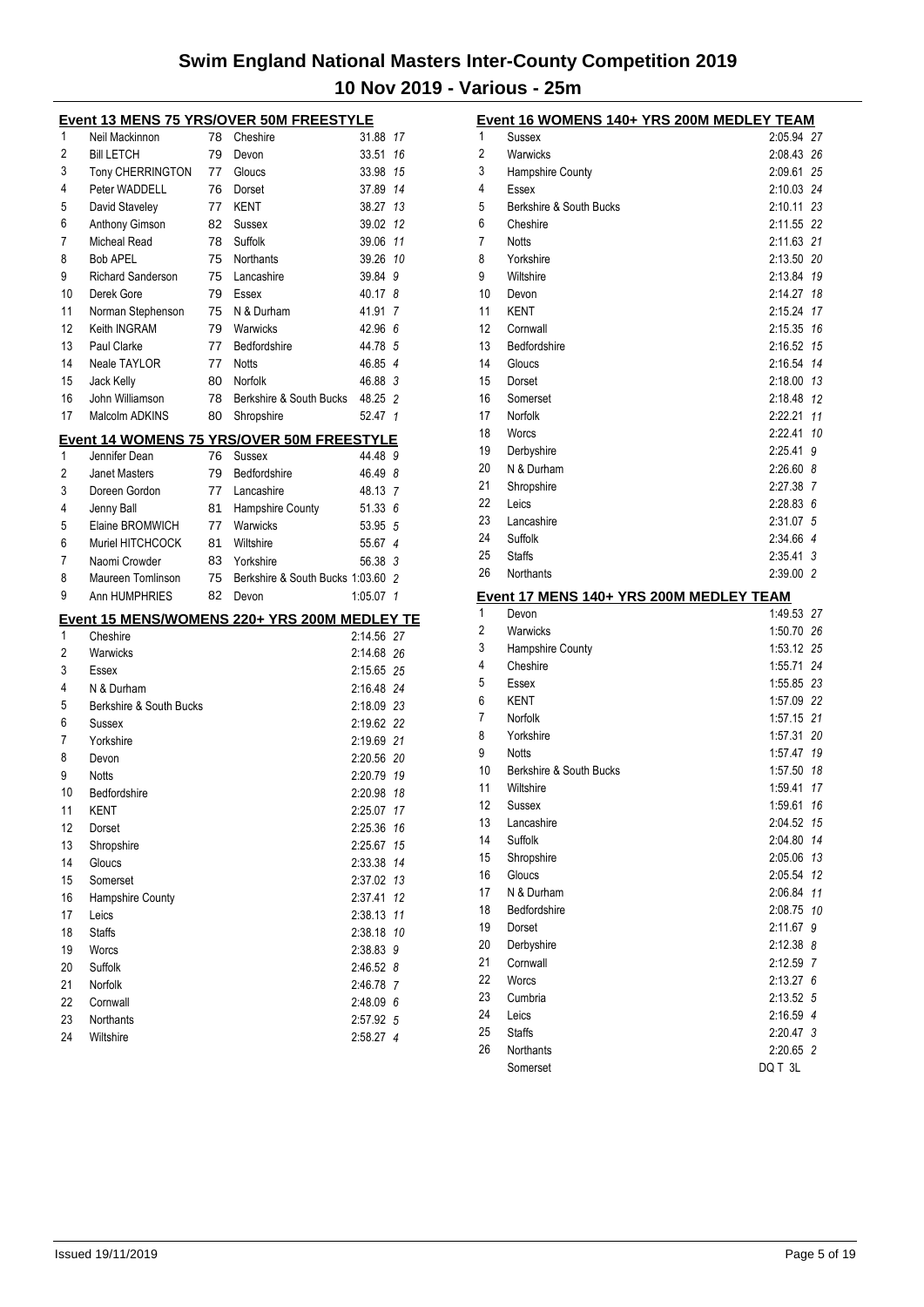|          |                              |    | <b>Event 13 MENS 75 YRS/OVER 50M FREESTYLE</b>   |                        |          |
|----------|------------------------------|----|--------------------------------------------------|------------------------|----------|
| 1        | Neil Mackinnon               | 78 | Cheshire                                         | 31.88                  | 17       |
| 2        | <b>Bill LETCH</b>            | 79 | Devon                                            | 33.51                  | 16       |
| 3        | Tony CHERRINGTON             | 77 | Gloucs                                           | 33.98 15               |          |
| 4        | Peter WADDELL                | 76 | Dorset                                           | 37.89 14               |          |
| 5        | David Staveley               | 77 | <b>KENT</b>                                      | 38.27 13               |          |
| 6        | Anthony Gimson               | 82 | Sussex                                           | 39.02                  | 12       |
| 7        | <b>Micheal Read</b>          | 78 | Suffolk                                          | 39.06 11               |          |
| 8        | <b>Bob APEL</b>              | 75 | <b>Northants</b>                                 | 39.26 10               |          |
| 9        | <b>Richard Sanderson</b>     | 75 | Lancashire                                       | 39.84 9                |          |
| 10       | Derek Gore                   | 79 | Essex                                            | 40.17 8                |          |
| 11       | Norman Stephenson            | 75 | N & Durham                                       | 41.91                  | 7        |
| 12       | Keith INGRAM                 | 79 | Warwicks                                         | 42.96 6                |          |
| 13       | <b>Paul Clarke</b>           | 77 | Bedfordshire                                     | 44.78 5                |          |
| 14       | Neale TAYLOR                 | 77 | <b>Notts</b>                                     | 46.85 4                |          |
| 15       | Jack Kelly                   | 80 | Norfolk                                          | 46.88 3                |          |
| 16       | John Williamson              | 78 | Berkshire & South Bucks                          | 48.25 2                |          |
| 17       | Malcolm ADKINS               | 80 | Shropshire                                       | 52.47 1                |          |
|          |                              |    | <b>Event 14 WOMENS 75 YRS/OVER 50M FREESTYLE</b> |                        |          |
| 1        | Jennifer Dean                | 76 | Sussex                                           | 44.48 9                |          |
| 2        | <b>Janet Masters</b>         | 79 | Bedfordshire                                     | 46.49 8                |          |
| 3        | Doreen Gordon                | 77 | Lancashire                                       | 48.13 7                |          |
| 4        | Jenny Ball                   | 81 | <b>Hampshire County</b>                          | 51.33 6                |          |
| 5        | Elaine BROMWICH              | 77 | Warwicks                                         | 53.95 5                |          |
| 6        | Muriel HITCHCOCK             | 81 | Wiltshire                                        | 55.67 4                |          |
| 7        | Naomi Crowder                | 83 | Yorkshire                                        | 56.38 3                |          |
| 8        | Maureen Tomlinson            | 75 | Berkshire & South Bucks 1:03.60 2                |                        |          |
| 9        | Ann HUMPHRIES                | 82 | Devon                                            | $1:05.07$ 1            |          |
|          |                              |    | Event 15 MENS/WOMENS 220+ YRS 200M MEDLEY TE     |                        |          |
| 1        | Cheshire                     |    |                                                  | 2:14.56 27             |          |
| 2        | Warwicks                     |    |                                                  | 2:14.68 26             |          |
| 3        | Essex                        |    |                                                  | 2:15.65 25             |          |
| 4        | N & Durham                   |    |                                                  | 2:16.48 24             |          |
| 5        | Berkshire & South Bucks      |    |                                                  | 2:18.09 23             |          |
| 6        | Sussex                       |    |                                                  | 2:19.62 22             |          |
| 7        | Yorkshire                    |    |                                                  | 2:19.69 21             |          |
| 8        | Devon                        |    |                                                  | 2:20.56 20             |          |
| 9<br>10  | <b>Notts</b><br>Bedfordshire |    |                                                  | 2:20.79<br>2:20.98 18  | 19       |
|          |                              |    |                                                  |                        |          |
| 11<br>12 | KENT                         |    |                                                  | 2:25.07<br>2:25.36     | 17<br>16 |
| 13       | Dorset<br>Shropshire         |    |                                                  | 2:25.67                | 15       |
| 14       | Gloucs                       |    |                                                  | 2:33.38                | 14       |
| 15       | Somerset                     |    |                                                  | 2:37.02                | 13       |
| 16       | Hampshire County             |    |                                                  | 2:37.41                | 12       |
| 17       | Leics                        |    |                                                  | 2:38.13                | 11       |
| 18       | <b>Staffs</b>                |    |                                                  | 2:38.18                | 10       |
| 19       | Worcs                        |    |                                                  | 2:38.83                | 9        |
| 20       | Suffolk                      |    |                                                  | 2:46.52 8              |          |
| 21       | Norfolk                      |    |                                                  | 2:46.78 7              |          |
| 22       | Cornwall                     |    |                                                  | 2:48.09 6              |          |
| 23       |                              |    |                                                  |                        |          |
|          | Northants                    |    |                                                  |                        |          |
| 24       | Wiltshire                    |    |                                                  | 2:57.92 5<br>2:58.27 4 |          |

|    | <u>Event 16 WOMENS 140+ YRS 200M MEDLEY TEAM</u> |             |    |
|----|--------------------------------------------------|-------------|----|
| 1  | <b>Sussex</b>                                    | 2:05.94 27  |    |
| 2  | Warwicks                                         | 2:08.43 26  |    |
| 3  | Hampshire County                                 | 2:09.61     | 25 |
| 4  | Essex                                            | 2:10.03 24  |    |
| 5  | Berkshire & South Bucks                          | 2:10.11     | 23 |
| 6  | Cheshire                                         | 2:11.55     | 22 |
| 7  | <b>Notts</b>                                     | 2:11.63     | 21 |
| 8  | Yorkshire                                        | 2:13.50     | 20 |
| 9  | Wiltshire                                        | 2:13.84     | 19 |
| 10 | Devon                                            | 2:14.27     | 18 |
| 11 | <b>KENT</b>                                      | 2:15.24     | 17 |
| 12 | Cornwall                                         | 2:15.35     | 16 |
| 13 | Bedfordshire                                     | 2:16.52     | 15 |
| 14 | Gloucs                                           | 2:16.54     | 14 |
| 15 | Dorset                                           | 2:18.00     | 13 |
| 16 | Somerset                                         | 2:18.48     | 12 |
| 17 | Norfolk                                          | 2:22.21     | 11 |
| 18 | Worcs                                            | 2:22.41     | 10 |
| 19 | Derbyshire                                       | 2:25.41     | 9  |
| 20 | N & Durham                                       | $2:26.60$ 8 |    |
| 21 | Shropshire                                       | 2:27.38     | 7  |
| 22 | Leics                                            | 2:28.83     | 6  |
| 23 | Lancashire                                       | 2:31.07     | 5  |
| 24 | Suffolk                                          | 2:34.66 4   |    |
| 25 | <b>Staffs</b>                                    | 2:35.41 3   |    |
| 26 |                                                  | 2:39.00 2   |    |
|    | Northants                                        |             |    |
|    | Event 17 MENS 140+ YRS 200M MEDLEY TEAM          |             |    |
| 1  | Devon                                            | 1:49.53     | 27 |
| 2  | Warwicks                                         | 1:50.70     | 26 |
| 3  | Hampshire County                                 | 1:53.12 25  |    |
| 4  | Cheshire                                         | 1:55.71     | 24 |
| 5  | Essex                                            | 1:55.85     | 23 |
| 6  | KENT                                             | 1:57.09     | 22 |
| 7  | Norfolk                                          | 1:57.15     | 21 |
| 8  | Yorkshire                                        | 1:57.31     | 20 |
| 9  | <b>Notts</b>                                     | 1:57.47     | 19 |
| 10 | Berkshire & South Bucks                          | 1:57.50     | 18 |
| 11 | Wiltshire                                        | 1:59.41     | 17 |
| 12 | Sussex                                           | 1:59.61 16  |    |
| 13 | Lancashire                                       | 2:04.52     | 15 |
| 14 | Suffolk                                          | 2:04.80     | 14 |
| 15 | Shropshire                                       | 2:05.06     | 13 |
| 16 | Gloucs                                           | 2:05.54     | 12 |
| 17 | N & Durham                                       | 2:06.84     | 11 |
| 18 | Bedfordshire                                     | 2:08.75     | 10 |
| 19 | Dorset                                           | 2:11.67     | 9  |
| 20 | Derbyshire                                       | 2:12.38     | 8  |
| 21 | Cornwall                                         | 2:12.59     | 7  |
| 22 | Worcs                                            | $2:13.27$ 6 |    |
| 23 | Cumbria                                          | $2:13.52$ 5 |    |
| 24 | Leics                                            | 2:16.59 4   |    |
| 25 | <b>Staffs</b>                                    | 2:20.47 3   |    |
| 26 | Northants                                        | 2:20.65 2   |    |
|    | Somerset                                         | DQ T 3L     |    |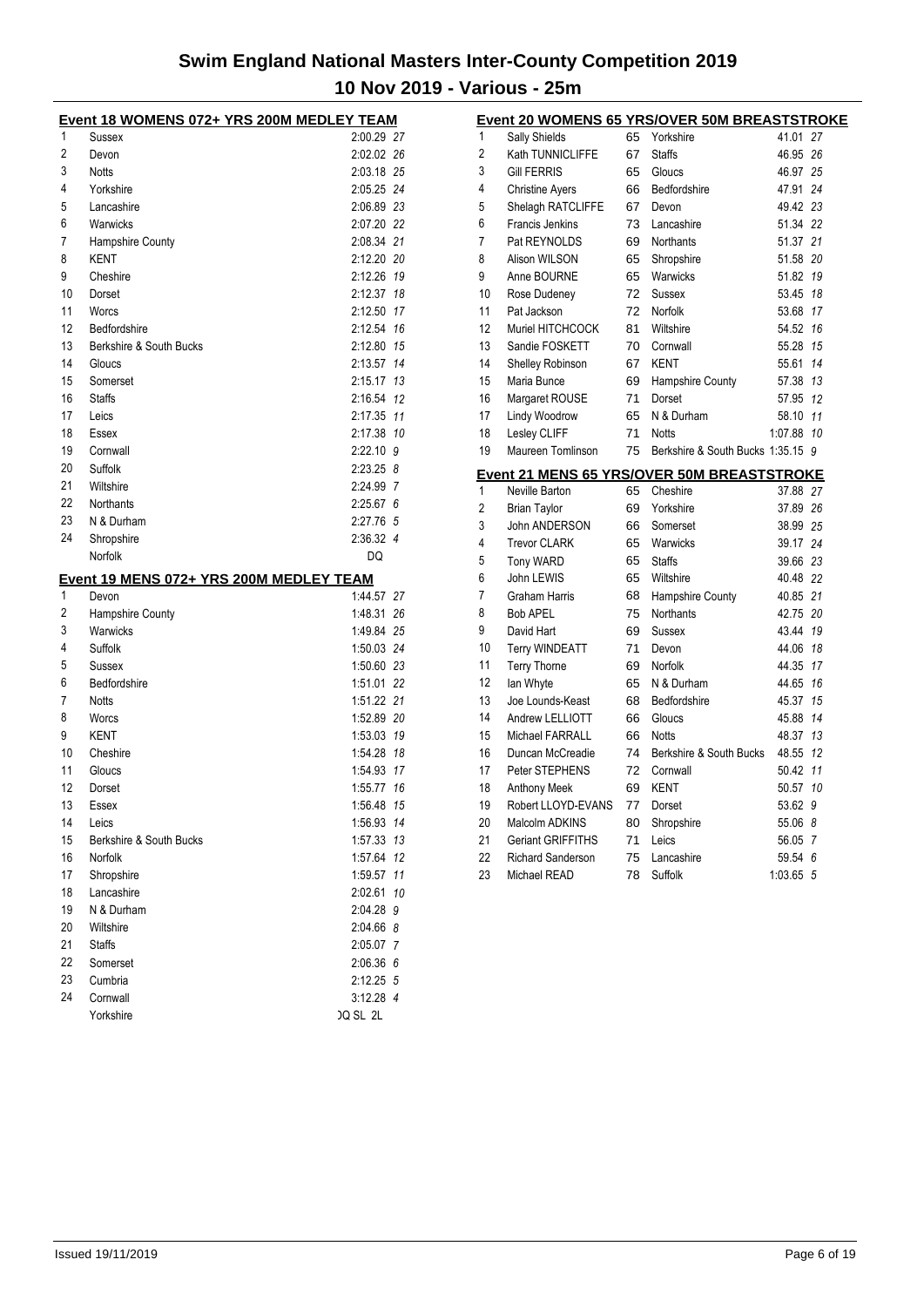|          | Event 18 WOMENS 072+ YRS 200M MEDLEY TEAM               |                              |    |
|----------|---------------------------------------------------------|------------------------------|----|
| 1        | Sussex                                                  | 2:00.29 27                   |    |
| 2        | Devon                                                   | 2:02.02 26                   |    |
| 3        | <b>Notts</b>                                            | 2:03.18 25                   |    |
| 4        | Yorkshire                                               | 2:05.25 24                   |    |
| 5        | Lancashire                                              | 2:06.89 23                   |    |
| 6        | Warwicks                                                | 2:07.20 22                   |    |
| 7        | Hampshire County                                        | 2:08.34 21                   |    |
| 8        | KENT                                                    | 2:12.20 20                   |    |
| 9        | Cheshire                                                | 2:12.26 19                   |    |
| 10       | Dorset                                                  | 2:12.37 18                   |    |
| 11       | Worcs                                                   | 2:12.50 17                   |    |
| 12       | Bedfordshire                                            | 2:12.54 16                   |    |
| 13       | Berkshire & South Bucks                                 | 2:12.80 15                   |    |
| 14       | Gloucs                                                  | 2:13.57 14                   |    |
| 15       | Somerset                                                | 2:15.17 13                   |    |
| 16       | <b>Staffs</b>                                           | 2:16.54 12                   |    |
| 17       | Leics                                                   | 2:17.35 11                   |    |
| 18       | Essex                                                   | 2:17.38 10                   |    |
| 19       | Cornwall                                                | $2:22.10$ 9                  |    |
| 20       | Suffolk                                                 | $2:23.25$ 8                  |    |
| 21       | Wiltshire                                               | 2:24.99 7                    |    |
| 22       | Northants                                               | $2:25.67$ 6                  |    |
| 23       | N & Durham                                              | 2:27.76 5                    |    |
| 24       | Shropshire                                              | 2:36.32 4                    |    |
|          | Norfolk                                                 | DQ                           |    |
|          |                                                         |                              |    |
| 1        | <u>Event 19 MENS 072+ YRS 200M MEDLEY TEAM</u><br>Devon | 1:44.57 27                   |    |
| 2        | Hampshire County                                        | 1:48.31 26                   |    |
| 3        | Warwicks                                                | 1:49.84 25                   |    |
| 4        | Suffolk                                                 | 1:50.03 24                   |    |
| 5        | Sussex                                                  | 1:50.60 23                   |    |
| 6        | Bedfordshire                                            | 1:51.01 22                   |    |
| 7        | <b>Notts</b>                                            | 1:51.22 21                   |    |
| 8        | Worcs                                                   | 1:52.89 20                   |    |
|          | <b>KENT</b>                                             |                              |    |
| 9<br>10  |                                                         | 1:53.03 19<br>1:54.28 18     |    |
|          | Cheshire                                                |                              |    |
| 11<br>12 | Gloucs                                                  | 1:54.93 17                   |    |
| 13       | Dorset                                                  | 1:55.77 16                   |    |
|          | Essex                                                   | 1:56.48 15                   |    |
| 14       | Leics                                                   | 1:56.93 14                   |    |
| 15       | Berkshire & South Bucks                                 | 1:57.33 13                   |    |
| 16       | Norfolk                                                 | 1:57.64                      | 12 |
| 17       |                                                         |                              |    |
| 18       | Shropshire                                              | 1:59.57 11                   |    |
|          | Lancashire                                              | 2:02.61                      | 10 |
| 19       | N & Durham                                              | 2:04.28 9                    |    |
| 20       | Wiltshire                                               | 2:04.66 8                    |    |
| 21       | <b>Staffs</b>                                           | 2:05.07 7                    |    |
| 22       | Somerset                                                | 2:06.36 6                    |    |
| 23       | Cumbria                                                 | 2:12.25 5                    |    |
| 24       | Cornwall<br>Yorkshire                                   | 3:12.28 4<br><b>JQ SL 2L</b> |    |

|                |                          |    | <b>Event 20 WOMENS 65 YRS/OVER 50M BREASTSTROKE</b> |          |                |
|----------------|--------------------------|----|-----------------------------------------------------|----------|----------------|
| 1              | <b>Sally Shields</b>     | 65 | Yorkshire                                           | 41.01    | 27             |
| $\overline{2}$ | Kath TUNNICLIFFE         | 67 | <b>Staffs</b>                                       | 46.95    | 26             |
| 3              | <b>Gill FERRIS</b>       | 65 | Gloucs                                              | 46.97    | 25             |
| 4              | <b>Christine Ayers</b>   | 66 | Bedfordshire                                        | 47.91    | 24             |
| 5              | Shelagh RATCLIFFE        | 67 | Devon                                               | 49.42    | 23             |
| 6              | <b>Francis Jenkins</b>   | 73 | Lancashire                                          | 51.34 22 |                |
| 7              | Pat REYNOLDS             | 69 | <b>Northants</b>                                    | 51.37    | 21             |
| 8              | Alison WILSON            | 65 | Shropshire                                          | 51.58    | 20             |
| 9              | Anne BOURNE              | 65 | Warwicks                                            | 51.82    | 19             |
| 10             | Rose Dudeney             | 72 | Sussex                                              | 53.45    | 18             |
| 11             | Pat Jackson              | 72 | Norfolk                                             | 53.68    | 17             |
| 12             | Muriel HITCHCOCK         | 81 | Wiltshire                                           | 54.52    | 16             |
| 13             | Sandie FOSKETT           | 70 | Cornwall                                            | 55.28    | 15             |
| 14             | Shelley Robinson         | 67 | <b>KENT</b>                                         | 55.61    | 14             |
| 15             | Maria Bunce              | 69 | Hampshire County                                    | 57.38    | 13             |
| 16             | Margaret ROUSE           | 71 | Dorset                                              | 57.95    | 12             |
| 17             | Lindy Woodrow            | 65 | N & Durham                                          | 58.10    | 11             |
| 18             | Lesley CLIFF             | 71 | <b>Notts</b>                                        | 1:07.88  | 10             |
| 19             | Maureen Tomlinson        | 75 | Berkshire & South Bucks 1:35.15 9                   |          |                |
|                |                          |    | <b>Event 21 MENS 65 YRS/OVER 50M BREASTSTROKE</b>   |          |                |
| 1              | Neville Barton           | 65 | Cheshire                                            | 37.88    | 27             |
| 2              | <b>Brian Taylor</b>      | 69 | Yorkshire                                           | 37.89    | 26             |
| 3              | John ANDERSON            | 66 | Somerset                                            | 38.99 25 |                |
| 4              | <b>Trevor CLARK</b>      | 65 | Warwicks                                            | 39.17    | 24             |
| 5              | Tony WARD                | 65 | <b>Staffs</b>                                       | 39.66    | 23             |
| 6              | John LEWIS               | 65 | Wiltshire                                           | 40.48 22 |                |
| 7              | <b>Graham Harris</b>     | 68 | <b>Hampshire County</b>                             | 40.85 21 |                |
| 8              | <b>Bob APEL</b>          | 75 | <b>Northants</b>                                    | 42.75    | 20             |
| 9              | David Hart               | 69 | Sussex                                              | 43.44    | 19             |
| 10             | <b>Terry WINDEATT</b>    | 71 | Devon                                               | 44.06    | 18             |
| 11             | Terry Thorne             | 69 | Norfolk                                             | 44.35    | 17             |
| 12             | lan Whyte                | 65 | N & Durham                                          | 44.65    | 16             |
| 13             | Joe Lounds-Keast         | 68 | Bedfordshire                                        | 45.37    | 15             |
| 14             | Andrew LELLIOTT          | 66 | Gloucs                                              | 45.88    | 14             |
| 15             | <b>Michael FARRALL</b>   | 66 | <b>Notts</b>                                        | 48.37    | 13             |
| 16             | Duncan McCreadie         | 74 | Berkshire & South Bucks                             | 48.55    | 12             |
| 17             | Peter STEPHENS           | 72 | Cornwall                                            | 50.42    | 11             |
| 18             | <b>Anthony Meek</b>      | 69 | <b>KENT</b>                                         | 50.57    | 10             |
| 19             | Robert LLOYD-EVANS       | 77 | Dorset                                              | 53.62    | 9              |
| 20             | Malcolm ADKINS           | 80 | Shropshire                                          | 55.06    | 8              |
| 21             | Geriant GRIFFITHS        | 71 | Leics                                               | 56.05    | $\overline{7}$ |
| 22             | <b>Richard Sanderson</b> | 75 | Lancashire                                          | 59.54    | 6              |
| 23             | Michael READ             | 78 | Suffolk                                             | 1:03.65  | 5              |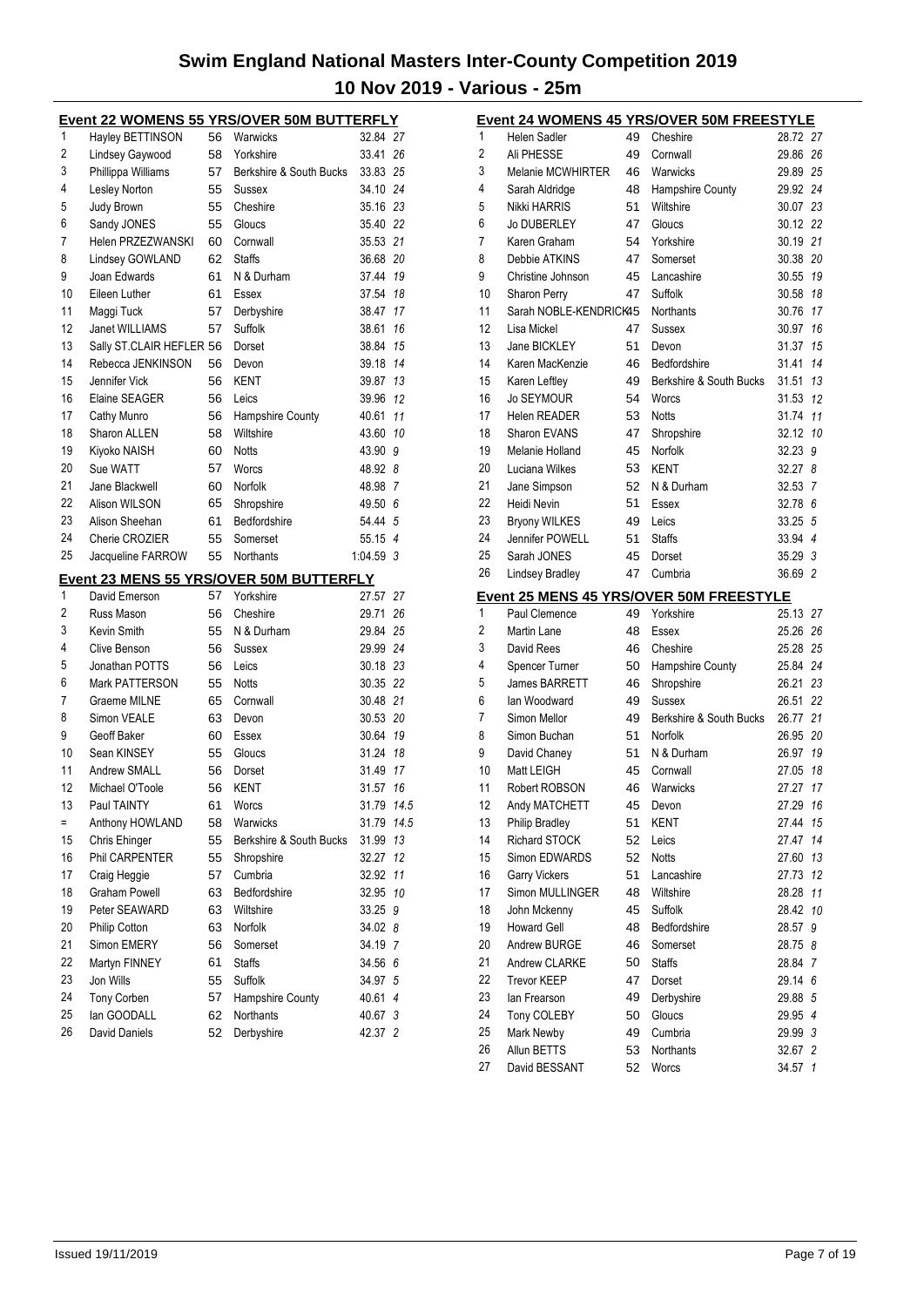|   |                    |     | Event 22 WOMENS 55 YRS/OVER 50M BUTTERFLY |          |  |
|---|--------------------|-----|-------------------------------------------|----------|--|
|   | Hayley BETTINSON   | 56  | Warwicks                                  | 32.84 27 |  |
| 2 | Lindsey Gaywood    | 58. | Yorkshire                                 | 33.41 26 |  |
| 3 | Phillippa Williams | 57  | Berkshire & South Bucks                   | 33.83 25 |  |
| 4 | Lesley Norton      |     | 55 Sussex                                 | 34.10 24 |  |
| 5 | Judy Brown         | 55  | Cheshire                                  | 35.16 23 |  |

| 5  | Judy Brown               | 55 | Cheshire                                       | 35.16 23   |    |
|----|--------------------------|----|------------------------------------------------|------------|----|
| 6  | Sandy JONES              | 55 | Gloucs                                         | 35.40 22   |    |
| 7  | Helen PRZEZWANSKI        | 60 | Cornwall                                       | 35.53 21   |    |
| 8  | Lindsey GOWLAND          | 62 | <b>Staffs</b>                                  | 36.68 20   |    |
| 9  | Joan Edwards             | 61 | N & Durham                                     | 37.44      | 19 |
| 10 | Eileen Luther            | 61 | Essex                                          | 37.54      | 18 |
| 11 | Maggi Tuck               | 57 | Derbyshire                                     | 38.47      | 17 |
| 12 | Janet WILLIAMS           | 57 | Suffolk                                        | 38.61      | 16 |
| 13 | Sally ST.CLAIR HEFLER 56 |    | Dorset                                         | 38.84      | 15 |
| 14 | Rebecca JENKINSON        | 56 | Devon                                          | 39.18      | 14 |
| 15 | Jennifer Vick            | 56 | KENT                                           | 39.87      | 13 |
| 16 | Elaine SEAGER            | 56 | Leics                                          | 39.96      | 12 |
| 17 | Cathy Munro              | 56 | Hampshire County                               | 40.61      | 11 |
| 18 | Sharon ALLEN             | 58 | Wiltshire                                      | 43.60 10   |    |
| 19 | Kiyoko NAISH             | 60 | <b>Notts</b>                                   | 43.90      | 9  |
| 20 | Sue WATT                 | 57 | Worcs                                          | 48.92 8    |    |
| 21 | Jane Blackwell           | 60 | Norfolk                                        | 48.98 7    |    |
| 22 | Alison WILSON            | 65 | Shropshire                                     | 49.50 6    |    |
| 23 | Alison Sheehan           | 61 | Bedfordshire                                   | 54.44 5    |    |
| 24 | Cherie CROZIER           | 55 | Somerset                                       | 55.15 4    |    |
| 25 | Jacqueline FARROW        | 55 | <b>Northants</b>                               | 1:04.59    | 3  |
|    |                          |    | <b>Event 23 MENS 55 YRS/OVER 50M BUTTERFLY</b> |            |    |
| 1  | David Emerson            | 57 | Yorkshire                                      | 27.57 27   |    |
| 2  | Russ Mason               | 56 | Cheshire                                       | 29.71      | 26 |
| 3  | Kevin Smith              | 55 | N & Durham                                     | 29.84 25   |    |
| 4  | Clive Benson             | 56 | Sussex                                         | 29.99 24   |    |
| 5  | Jonathan POTTS           | 56 | Leics                                          | 30.18 23   |    |
| 6  | <b>Mark PATTERSON</b>    | 55 | <b>Notts</b>                                   | 30.35 22   |    |
| 7  | Graeme MILNE             | 65 | Cornwall                                       | 30.48 21   |    |
| 8  | Simon VEALE              | 63 | Devon                                          | 30.53 20   |    |
| 9  | Geoff Baker              | 60 | Essex                                          | 30.64      | 19 |
| 10 | Sean KINSEY              | 55 | Gloucs                                         | 31.24      | 18 |
| 11 | <b>Andrew SMALL</b>      | 56 | Dorset                                         | 31.49 17   |    |
| 12 | Michael O'Toole          | 56 | KENT                                           | 31.57      | 16 |
| 13 | Paul TAINTY              | 61 | Worcs                                          | 31.79 14.5 |    |
| ÷, | Anthony HOWLAND          | 58 | Warwicks                                       | 31.79 14.5 |    |
| 15 | Chris Ehinger            | 55 | Berkshire & South Bucks                        | 31.99      | 13 |
| 16 | Phil CARPENTER           | 55 |                                                | 32.27      | 12 |
| 17 | Craig Heggie             | 57 | Shropshire<br>Cumbria                          | 32.92      | 11 |
|    |                          |    |                                                |            |    |
| 18 | <b>Graham Powell</b>     | 63 | Bedfordshire                                   | 32.95      | 10 |
| 19 | Peter SEAWARD            | 63 | Wiltshire                                      | 33.25 9    |    |
| 20 | Philip Cotton            | 63 | <b>Norfolk</b>                                 | 34.02 8    |    |
| 21 | Simon EMERY              | 56 | Somerset                                       | 34.19 7    |    |
| 22 | Martyn FINNEY            | 61 | <b>Staffs</b>                                  | 34.56      | 6  |
| 23 | Jon Wills                | 55 | Suffolk                                        | 34.97      | 5  |
| 24 | <b>Tony Corben</b>       | 57 | Hampshire County                               | 40.61      | 4  |
| 25 | lan GOODALL              | 62 | Northants                                      | 40.67      | 3  |
| 26 | David Daniels            | 52 | Derbyshire                                     | 42.37 2    |    |

|    |                          |    | <b>Event 24 WOMENS 45 YRS/OVER 50M FREESTYLE</b> |          |                |
|----|--------------------------|----|--------------------------------------------------|----------|----------------|
| 1  | <b>Helen Sadler</b>      | 49 | Cheshire                                         | 28.72 27 |                |
| 2  | Ali PHESSE               | 49 | Cornwall                                         | 29.86    | 26             |
| 3  | <b>Melanie MCWHIRTER</b> | 46 | Warwicks                                         | 29.89    | 25             |
| 4  | Sarah Aldridge           | 48 | Hampshire County                                 | 29.92    | 24             |
| 5  | Nikki HARRIS             | 51 | Wiltshire                                        | 30.07    | 23             |
| 6  | <b>Jo DUBERLEY</b>       | 47 | Gloucs                                           | 30.12    | 22             |
| 7  | Karen Graham             | 54 | Yorkshire                                        | 30.19    | 21             |
| 8  | Debbie ATKINS            | 47 | Somerset                                         | 30.38    | 20             |
| 9  | Christine Johnson        | 45 | Lancashire                                       | 30.55    | 19             |
| 10 | <b>Sharon Perry</b>      | 47 | Suffolk                                          | 30.58    | 18             |
| 11 | Sarah NOBLE-KENDRICK45   |    | <b>Northants</b>                                 | 30.76    | 17             |
| 12 | Lisa Mickel              | 47 | Sussex                                           | 30.97    | 16             |
| 13 | Jane BICKLEY             | 51 | Devon                                            | 31.37    | 15             |
| 14 | Karen MacKenzie          | 46 | <b>Bedfordshire</b>                              | 31.41    | 14             |
| 15 | Karen Leftley            | 49 | Berkshire & South Bucks                          | 31.51    | 13             |
| 16 | <b>Jo SEYMOUR</b>        | 54 | Worcs                                            | 31.53    | 12             |
| 17 | <b>Helen READER</b>      | 53 | <b>Notts</b>                                     | 31.74    | 11             |
| 18 | <b>Sharon EVANS</b>      | 47 | Shropshire                                       | 32.12    | 10             |
| 19 | Melanie Holland          | 45 | Norfolk                                          | 32.23    | 9              |
| 20 | Luciana Wilkes           | 53 | <b>KENT</b>                                      | 32.27    | 8              |
| 21 | Jane Simpson             | 52 | N & Durham                                       | 32.53    | 7              |
| 22 | Heidi Nevin              | 51 | Essex                                            | 32.78    | 6              |
| 23 | <b>Bryony WILKES</b>     | 49 | Leics                                            | 33.25    | 5              |
| 24 | Jennifer POWELL          | 51 | <b>Staffs</b>                                    | 33.94    | 4              |
| 25 | Sarah JONES              | 45 | Dorset                                           | 35.29    | 3              |
| 26 | <b>Lindsey Bradley</b>   | 47 | Cumbria                                          | 36.69    | $\overline{2}$ |
|    |                          |    | Event 25 MENS 45 YRS/OVER 50M FREESTYLE          |          |                |
| 1  | Paul Clemence            | 49 | Yorkshire                                        | 25.13    | 27             |
| 2  | Martin Lane              | 48 | Essex                                            | 25.26    | 26             |
| 3  | David Rees               | 46 | Cheshire                                         | 25.28    | 25             |
| 4  | Spencer Turner           | 50 | Hampshire County                                 | 25.84    | 24             |
| 5  | <b>James BARRETT</b>     | 46 | Shropshire                                       | 26.21    | 23             |
| 6  | lan Woodward             | 49 | Sussex                                           | 26.51    | 22             |
| 7  | Simon Mellor             | 49 | Berkshire & South Bucks                          | 26.77    | 21             |
| 8  | Simon Buchan             | 51 | Norfolk                                          | 26.95    | 20             |
| 9  | David Chaney             | 51 | N & Durham                                       | 26.97    | 19             |
| 10 | Matt LEIGH               | 45 | Cornwall                                         | 27.05    | 18             |
| 11 | Robert ROBSON            | 46 | Warwicks                                         | 27.27    | 17             |
| 12 | Andy MATCHETT            | 45 | Devon                                            | 27.29    | 16             |
| 13 | <b>Philip Bradley</b>    | 51 | <b>KENT</b>                                      | 27.44    | 15             |
| 14 | Richard STOCK            | 52 | Leics                                            | 27.47    | 14             |
| 15 | Simon EDWARDS            | 52 | <b>Notts</b>                                     | 27.60    | 13             |
| 16 | <b>Garry Vickers</b>     | 51 | Lancashire                                       | 27.73    | 12             |
| 17 | Simon MULLINGER          | 48 | Wiltshire                                        | 28.28    | 11             |
| 18 | John Mckenny             | 45 | Suffolk                                          | 28.42    | 10             |
| 19 | <b>Howard Gell</b>       | 48 | Bedfordshire                                     | 28.57    | 9              |
| 20 | Andrew BURGE             | 46 | Somerset                                         | 28.75    | 8              |
| 21 | Andrew CLARKE            | 50 | <b>Staffs</b>                                    | 28.84    | 7              |
| 22 | <b>Trevor KEEP</b>       | 47 | Dorset                                           | 29.14    | 6              |
| 23 | lan Frearson             | 49 | Derbyshire                                       | 29.88    | $\sqrt{5}$     |
| 24 | Tony COLEBY              | 50 | Gloucs                                           | 29.95    | 4              |
| 25 | Mark Newby               | 49 | Cumbria                                          | 29.99    | 3              |
| 26 | Allun BETTS              | 53 | Northants                                        | 32.67 2  |                |
| 27 | David BESSANT            | 52 | Worcs                                            | 34.57    | $\mathbf{1}$   |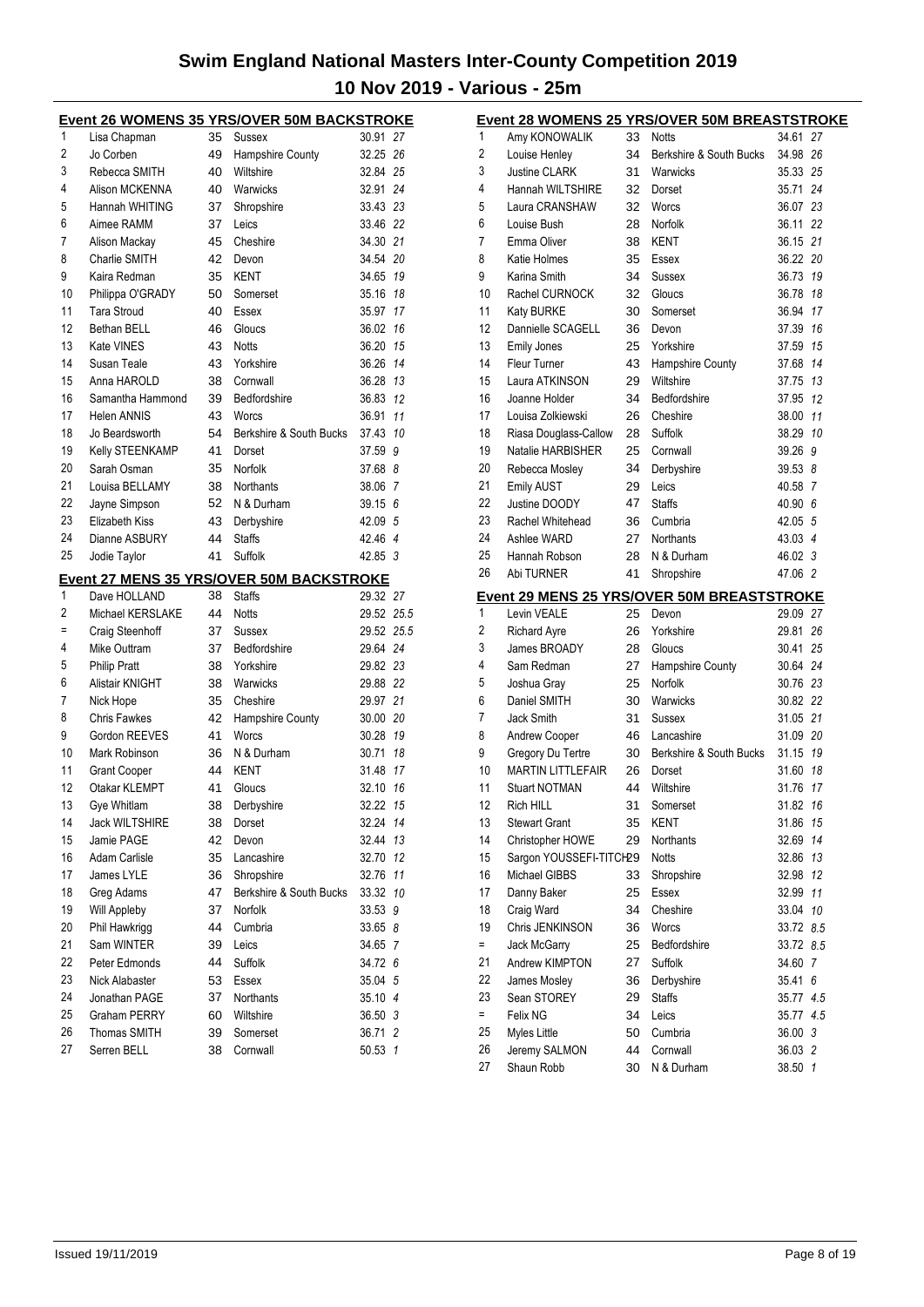|    |                       |    | <b>Event 26 WOMENS 35 YRS/OVER 50M BACKSTROKE</b> |            |    |
|----|-----------------------|----|---------------------------------------------------|------------|----|
| 1  | Lisa Chapman          | 35 | Sussex                                            | 30.91 27   |    |
| 2  | Jo Corben             | 49 | Hampshire County                                  | 32.25 26   |    |
| 3  | Rebecca SMITH         | 40 | Wiltshire                                         | 32.84 25   |    |
| 4  | Alison MCKENNA        | 40 | Warwicks                                          | 32.91 24   |    |
| 5  | Hannah WHITING        | 37 | Shropshire                                        | 33.43 23   |    |
| 6  | Aimee RAMM            | 37 | Leics                                             | 33.46 22   |    |
| 7  | Alison Mackay         | 45 | Cheshire                                          | 34.30 21   |    |
| 8  | Charlie SMITH         | 42 | Devon                                             | 34.54 20   |    |
| 9  | Kaira Redman          | 35 | <b>KENT</b>                                       | 34.65 19   |    |
| 10 | Philippa O'GRADY      | 50 | Somerset                                          | 35.16      | 18 |
| 11 | <b>Tara Stroud</b>    | 40 | Essex                                             | 35.97      | 17 |
| 12 | Bethan BELL           | 46 | Gloucs                                            | 36.02      | 16 |
| 13 | Kate VINES            | 43 | Notts                                             | 36.20 15   |    |
| 14 | Susan Teale           | 43 | Yorkshire                                         | 36.26 14   |    |
| 15 | Anna HAROLD           | 38 | Cornwall                                          | 36.28 13   |    |
| 16 | Samantha Hammond      | 39 | Bedfordshire                                      | 36.83 12   |    |
| 17 | <b>Helen ANNIS</b>    | 43 | Worcs                                             | 36.91      | 11 |
| 18 | Jo Beardsworth        | 54 | Berkshire & South Bucks                           | 37.43      | 10 |
| 19 | Kelly STEENKAMP       | 41 | Dorset                                            | 37.59      | 9  |
| 20 | Sarah Osman           | 35 | Norfolk                                           | 37.68 8    |    |
| 21 | Louisa BELLAMY        | 38 | <b>Northants</b>                                  | 38.06 7    |    |
| 22 | Jayne Simpson         | 52 | N & Durham                                        | 39.15 6    |    |
| 23 | <b>Elizabeth Kiss</b> | 43 | Derbyshire                                        | 42.09 5    |    |
| 24 | Dianne ASBURY         | 44 | <b>Staffs</b>                                     | 42.46 4    |    |
| 25 | Jodie Taylor          | 41 | Suffolk                                           | 42.85 3    |    |
|    |                       |    |                                                   |            |    |
| 1  |                       |    | Event 27 MENS 35 YRS/OVER 50M BACKSTROKE          |            |    |
|    | Dave HOLLAND          | 38 | <b>Staffs</b>                                     | 29.32 27   |    |
| 2  | Michael KERSLAKE      | 44 | <b>Notts</b>                                      | 29.52 25.5 |    |
| Ξ  | Craig Steenhoff       | 37 | Sussex                                            | 29.52 25.5 |    |
| 4  | Mike Outtram          | 37 | Bedfordshire                                      | 29.64 24   |    |
| 5  | <b>Philip Pratt</b>   | 38 | Yorkshire                                         | 29.82 23   |    |
| 6  | Alistair KNIGHT       | 38 | Warwicks                                          | 29.88 22   |    |
| 7  | Nick Hope             | 35 | Cheshire                                          | 29.97 21   |    |
| 8  | <b>Chris Fawkes</b>   | 42 | Hampshire County                                  | 30.00 20   |    |
| 9  | Gordon REEVES         | 41 | Worcs                                             | 30.28 19   |    |
| 10 | Mark Robinson         | 36 | N & Durham                                        | 30.71 18   |    |
| 11 | <b>Grant Cooper</b>   | 44 | KENT                                              | 31.48      | 17 |
| 12 | Otakar KLEMPT         | 41 | Gloucs                                            | 32.10      | 16 |
| 13 | Gye Whitlam           | 38 | Derbyshire                                        | 32.22 15   |    |
| 14 | <b>Jack WILTSHIRE</b> | 38 | Dorset                                            | 32.24 14   |    |
| 15 | Jamie PAGE            | 42 | Devon                                             | 32.44 13   |    |
| 16 | Adam Carlisle         | 35 | Lancashire                                        | 32.70 12   |    |
| 17 | James LYLE            | 36 | Shropshire                                        | 32.76 11   |    |
| 18 | Greg Adams            | 47 | Berkshire & South Bucks                           | 33.32 10   |    |
| 19 | Will Appleby          | 37 | Norfolk                                           | 33.53 9    |    |
| 20 | Phil Hawkrigg         | 44 | Cumbria                                           | 33.65 8    |    |
| 21 | Sam WINTER            | 39 | Leics                                             | 34.65 7    |    |
| 22 | Peter Edmonds         | 44 | Suffolk                                           | 34.72 6    |    |
| 23 | Nick Alabaster        | 53 | Essex                                             | 35.04 5    |    |
| 24 | Jonathan PAGE         | 37 | Northants                                         | 35.10 4    |    |
| 25 | Graham PERRY          | 60 | Wiltshire                                         | 36.50 3    |    |
| 26 | Thomas SMITH          | 39 | Somerset                                          | 36.71 2    |    |
| 27 | Serren BELL           | 38 | Cornwall                                          | 50.53 1    |    |

|        |                            |          | Event 28 WOMENS 25 YRS/OVER 50M BREASTSTROKE               |                   |     |
|--------|----------------------------|----------|------------------------------------------------------------|-------------------|-----|
| 1      | Amy KONOWALIK              | 33       | <b>Notts</b>                                               | 34.61 27          |     |
| 2      | Louise Henley              | 34       | Berkshire & South Bucks                                    | 34.98             | 26  |
| 3      | <b>Justine CLARK</b>       | 31       | Warwicks                                                   | 35.33             | 25  |
| 4      | Hannah WILTSHIRE           | 32       | Dorset                                                     | 35.71 24          |     |
| 5      | Laura CRANSHAW             | 32       | Worcs                                                      | 36.07 23          |     |
| 6      | Louise Bush                | 28       | Norfolk                                                    | 36.11 22          |     |
| 7      | Emma Oliver                | 38       | <b>KENT</b>                                                | 36.15 21          |     |
| 8      | Katie Holmes               | 35       | Essex                                                      | 36.22 20          |     |
| 9      | Karina Smith               | 34       | Sussex                                                     | 36.73             | 19  |
| 10     | Rachel CURNOCK             | 32       | Gloucs                                                     | 36.78             | 18  |
| 11     | Katy BURKE                 | 30       | Somerset                                                   | 36.94             | 17  |
| 12     | Dannielle SCAGELL          | 36       | Devon                                                      | 37.39             | 16  |
| 13     | <b>Emily Jones</b>         | 25       | Yorkshire                                                  | 37.59             | 15  |
| 14     | <b>Fleur Turner</b>        | 43       | Hampshire County                                           | 37.68             | 14  |
| 15     | Laura ATKINSON             | 29       | Wiltshire                                                  | 37.75             | 13  |
| 16     | Joanne Holder              | 34       | Bedfordshire                                               | 37.95             | 12  |
| 17     | Louisa Zolkiewski          | 26       | Cheshire                                                   | 38.00             | 11  |
| 18     | Riasa Douglass-Callow      | 28       | Suffolk                                                    | 38.29             | 10  |
| 19     | Natalie HARBISHER          | 25       | Cornwall                                                   | 39.26             | 9   |
| 20     | Rebecca Mosley             | 34       | Derbyshire                                                 | 39.53 8           |     |
| 21     | Emily AUST                 | 29       | Leics                                                      | 40.58 7           |     |
| 22     | Justine DOODY              | 47       | <b>Staffs</b>                                              | 40.90 6           |     |
| 23     | Rachel Whitehead           | 36       | Cumbria                                                    | 42.05 5           |     |
| 24     | Ashlee WARD                | 27       | <b>Northants</b>                                           | 43.03 4           |     |
| 25     | Hannah Robson              | 28       | N & Durham                                                 | 46.02 3           |     |
| 26     | Abi TURNER                 | 41       | Shropshire                                                 | 47.06 2           |     |
|        |                            |          |                                                            |                   |     |
| 1      | Levin VEALE                | 25       | <b>Event 29 MENS 25 YRS/OVER 50M BREASTSTROKE</b><br>Devon | 29.09 27          |     |
| 2      |                            | 26       | Yorkshire                                                  | 29.81             | 26  |
| 3      | <b>Richard Ayre</b>        |          |                                                            |                   | 25  |
| 4      | James BROADY<br>Sam Redman | 28<br>27 | Gloucs                                                     | 30.41<br>30.64 24 |     |
|        |                            |          | Hampshire County<br>Norfolk                                | 30.76 23          |     |
| 5      | Joshua Gray                | 25       |                                                            | 30.82 22          |     |
| 6<br>7 | Daniel SMITH               | 30       | Warwicks                                                   | 31.05 21          |     |
|        | <b>Jack Smith</b>          | 31       | Sussex                                                     |                   |     |
| 8<br>9 | Andrew Cooper              | 46       | Lancashire                                                 | 31.09 20          | 19  |
|        | Gregory Du Tertre          | 30       | Berkshire & South Bucks                                    | 31.15             |     |
| 10     | <b>MARTIN LITTLEFAIR</b>   | 26       | Dorset                                                     | 31.60             | 18  |
| 11     | <b>Stuart NOTMAN</b>       | 44       | Wiltshire                                                  | 31.76             | 17  |
| 12     | <b>Rich HILL</b>           | 31       | Somerset                                                   | 31.82             | 16  |
| 13     | <b>Stewart Grant</b>       | 35       | <b>KENT</b>                                                | 31.86             | 15  |
| 14     | Christopher HOWE           | 29       | Northants                                                  | 32.69             | 14  |
| 15     | Sargon YOUSSEFI-TITCH29    |          | <b>Notts</b>                                               | 32.86             | 13  |
| 16     | Michael GIBBS              | 33       | Shropshire                                                 | 32.98             | 12  |
| 17     | Danny Baker                | 25       | Essex                                                      | 32.99             | 11  |
| 18     | Craig Ward                 | 34       | Cheshire                                                   | 33.04             | 10  |
| 19     | Chris JENKINSON            | 36       | Worcs                                                      | 33.72             | 8.5 |
| Ξ.     | <b>Jack McGarry</b>        | 25       | Bedfordshire                                               | 33.72 8.5         |     |
| 21     | Andrew KIMPTON             | 27       | <b>Suffolk</b>                                             | 34.60 7           |     |
| 22     | James Mosley               | 36       | Derbyshire                                                 | 35.41             | 6   |
| 23     | Sean STOREY                | 29       | <b>Staffs</b>                                              | 35.77 4.5         |     |
| $=$    | Felix NG                   | 34       | Leics                                                      | 35.77 4.5         |     |
| 25     | Myles Little               | 50       | Cumbria                                                    | 36.00             | 3   |
| 26     | Jeremy SALMON              | 44       | Cornwall                                                   | 36.03 2           |     |
| 27     | Shaun Robb                 | 30       | N & Durham                                                 | 38.50 1           |     |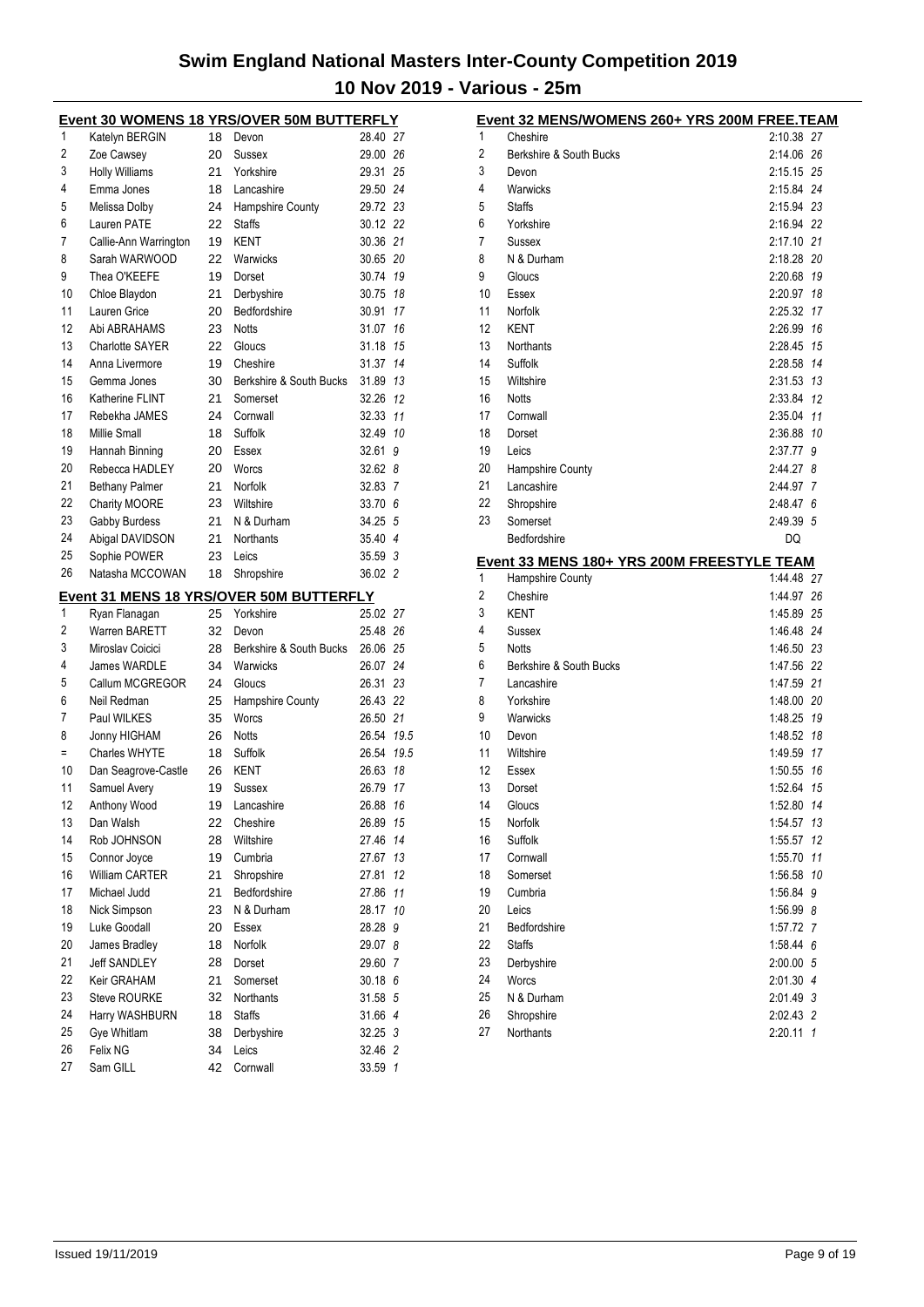|    | <u>Event 30 WOMENS 18 YRS/OVER 50M BUTTERFLY</u> |          |                                         |            |                |
|----|--------------------------------------------------|----------|-----------------------------------------|------------|----------------|
| 1  | Katelyn BERGIN                                   | 18       | Devon                                   | 28.40 27   |                |
| 2  | Zoe Cawsey                                       | 20       | Sussex                                  | 29.00 26   |                |
| 3  | <b>Holly Williams</b>                            | 21       | Yorkshire                               | 29.31 25   |                |
| 4  | Emma Jones                                       | 18       | Lancashire                              | 29.50 24   |                |
| 5  | Melissa Dolby                                    | 24       | Hampshire County                        | 29.72 23   |                |
| 6  | Lauren PATE                                      | 22       | <b>Staffs</b>                           | 30.12 22   |                |
| 7  | Callie-Ann Warrington                            | 19       | <b>KENT</b>                             | 30.36 21   |                |
| 8  | Sarah WARWOOD                                    | 22       | Warwicks                                | 30.65 20   |                |
| 9  | Thea O'KEEFE                                     | 19       | Dorset                                  | 30.74 19   |                |
| 10 | Chloe Blaydon                                    | 21       | Derbyshire                              | 30.75 18   |                |
| 11 | Lauren Grice                                     | 20       | Bedfordshire                            | 30.91 17   |                |
| 12 | Abi ABRAHAMS                                     | 23       | <b>Notts</b>                            | 31.07 16   |                |
| 13 | <b>Charlotte SAYER</b>                           | 22       | Gloucs                                  | 31.18 15   |                |
| 14 | Anna Livermore                                   | 19       | Cheshire                                | 31.37      | 14             |
| 15 | Gemma Jones                                      | 30       | Berkshire & South Bucks                 | 31.89 13   |                |
| 16 | Katherine FLINT                                  | 21       | Somerset                                | 32.26      | 12             |
| 17 | Rebekha JAMES                                    | 24       | Cornwall                                | 32.33      | 11             |
| 18 | Millie Small                                     | 18       | Suffolk                                 | 32.49 10   |                |
| 19 | Hannah Binning                                   | 20       | Essex                                   | 32.61      | 9              |
| 20 | Rebecca HADLEY                                   | 20       | Worcs                                   | 32.62 8    |                |
| 21 | <b>Bethany Palmer</b>                            | 21       | Norfolk                                 | 32.83      | $\overline{7}$ |
| 22 | Charity MOORE                                    | 23       | Wiltshire                               | 33.70 6    |                |
| 23 | Gabby Burdess                                    | 21       | N & Durham                              | 34.25 5    |                |
| 24 | Abigal DAVIDSON                                  | 21       | <b>Northants</b>                        | 35.40 4    |                |
| 25 | Sophie POWER                                     | 23       | Leics                                   | 35.59 3    |                |
| 26 | Natasha MCCOWAN                                  | 18       | Shropshire                              | 36.02 2    |                |
|    |                                                  |          | Event 31 MENS 18 YRS/OVER 50M BUTTERFLY |            |                |
| 1  | Ryan Flanagan                                    | 25       | Yorkshire                               | 25.02 27   |                |
| 2  | Warren BARETT                                    | 32       | Devon                                   | 25.48 26   |                |
| 3  | Miroslav Coicici                                 | 28       | Berkshire & South Bucks                 | 26.06 25   |                |
| 4  | James WARDLE                                     | 34       | Warwicks                                | 26.07 24   |                |
| 5  | Callum MCGREGOR                                  | 24       | Gloucs                                  | 26.31 23   |                |
| 6  | Neil Redman                                      | 25       | Hampshire County                        | 26.43 22   |                |
| 7  | Paul WILKES                                      | 35       | Worcs                                   | 26.50 21   |                |
| 8  | Jonny HIGHAM                                     | 26       | <b>Notts</b>                            | 26.54 19.5 |                |
| Ξ  | <b>Charles WHYTE</b>                             | 18       | Suffolk                                 | 26.54 19.5 |                |
| 10 | Dan Seagrove-Castle                              | 26       | KENT                                    | 26.63      | 18             |
| 11 | Samuel Avery                                     | 19       | Sussex                                  | 26.79      | 17             |
| 12 | Anthony Wood                                     | 19       | Lancashire                              | 26.88      | 16             |
| 13 | Dan Walsh                                        | 22       | Cheshire                                | 26.89      | 15             |
| 14 | Rob JOHNSON                                      | 28       | Wiltshire                               | 27.46      | 14             |
| 15 | Connor Joyce                                     | 19       | Cumbria                                 | 27.67      | 13             |
| 16 | <b>William CARTER</b>                            | 21       | Shropshire                              | 27.81      | 12             |
| 17 | Michael Judd                                     | 21       | Bedfordshire                            | 27.86      | 11             |
| 18 | Nick Simpson                                     | 23       | N & Durham                              | 28.17      | 10             |
| 19 | Luke Goodall                                     | 20       | Essex                                   | 28.28      | 9              |
| 20 | James Bradley                                    | 18       | Norfolk                                 | 29.07 8    |                |
| 21 | <b>Jeff SANDLEY</b>                              | 28       | Dorset                                  | 29.60      | 7              |
| 22 | Keir GRAHAM                                      | 21       | Somerset                                | 30.18 6    |                |
| 23 | <b>Steve ROURKE</b>                              | 32       | <b>Northants</b>                        | 31.58 5    |                |
| 24 | Harry WASHBURN                                   |          | <b>Staffs</b>                           | 31.66 4    |                |
| 25 | Gye Whitlam                                      | 18       |                                         | 32.25 3    |                |
| 26 | Felix NG                                         | 38<br>34 | Derbyshire<br>Leics                     | 32.46 2    |                |
| 27 | Sam GILL                                         | 42       | Cornwall                                | 33.59 1    |                |
|    |                                                  |          |                                         |            |                |

|    | Event 32 MENS/WOMENS 260+ YRS 200M FREE.TEAM |            |    |
|----|----------------------------------------------|------------|----|
| 1  | Cheshire                                     | 2:10.38 27 |    |
| 2  | Berkshire & South Bucks                      | 2:14.06 26 |    |
| 3  | Devon                                        | 2:15.15 25 |    |
| 4  | Warwicks                                     | 2:15.84 24 |    |
| 5  | <b>Staffs</b>                                | 2:15.94 23 |    |
| 6  | Yorkshire                                    | 2:16.94 22 |    |
| 7  | Sussex                                       | 2:17.10 21 |    |
| 8  | N & Durham                                   | 2:18.28 20 |    |
| 9  | Gloucs                                       | 2:20.68 19 |    |
| 10 | Essex                                        | 2:20.97    | 18 |
| 11 | Norfolk                                      | 2:25.32 17 |    |
| 12 | <b>KENT</b>                                  | 2:26.99    | 16 |
| 13 | Northants                                    | 2:28.45    | 15 |
| 14 | Suffolk                                      | 2:28.58    | 14 |
| 15 | Wiltshire                                    | 2:31.53    | 13 |
| 16 | <b>Notts</b>                                 | 2:33.84    | 12 |
| 17 | Cornwall                                     | 2:35.04 11 |    |
| 18 | Dorset                                       | 2:36.88 10 |    |
| 19 | Leics                                        | 2:37.77 9  |    |
| 20 | Hampshire County                             | 2:44.27 8  |    |
| 21 | Lancashire                                   | 2:44.97 7  |    |
| 22 | Shropshire                                   | 2:48.476   |    |
| 23 | Somerset                                     | 2:49.39 5  |    |
|    | Bedfordshire                                 | DQ         |    |
|    | Event 33 MENS 180+ YRS 200M FREESTYLE TEAM   |            |    |
| 1  | <b>Hampshire County</b>                      | 1:44.48 27 |    |
| 2  | Cheshire                                     | 1:44.97    | 26 |
| 3  | <b>KENT</b>                                  | 1:45.89 25 |    |
| 4  | Sussex                                       | 1:46.48 24 |    |
| 5  | <b>Notts</b>                                 | 1:46.50 23 |    |
| 6  | Berkshire & South Bucks                      | 1:47.56 22 |    |
| 7  | Lancashire                                   | 1:47.59 21 |    |
| 8  | Yorkshire                                    | 1:48.00 20 |    |
| 9  | Warwicks                                     | 1:48.25    | 19 |
| 10 | Devon                                        | 1:48.52    | 18 |
| 11 | Wiltshire                                    | 1:49.59 17 |    |
| 12 | Essex                                        | 1:50.55    | 16 |
| 13 | Dorset                                       | 1:52.64 15 |    |
| 14 | Gloucs                                       | 1:52.80 14 |    |
| 15 | Norfolk                                      | 1:54.57    | 13 |
| 16 | Suffolk                                      | 1:55.57    | 12 |
| 17 | Cornwall                                     | 1:55.70    | 11 |
| 18 | Somerset                                     | 1:56.58    | 10 |
| 19 | Cumbria                                      | 1:56.84    | 9  |
| 20 | Leics                                        | 1:56.99    | 8  |
| 21 | Bedfordshire                                 | 1:57.72 7  |    |
| 22 | <b>Staffs</b>                                | 1:58.44 6  |    |
| 23 | Derbyshire                                   | 2:00.00 5  |    |
| 24 | Worcs                                        | 2:01.30    | 4  |
| 25 | N & Durham                                   | 2:01.49    | 3  |
| 26 | Shropshire                                   | 2:02.43    | 2  |
| 27 | Northants                                    | 2:20.11    | 1  |
|    |                                              |            |    |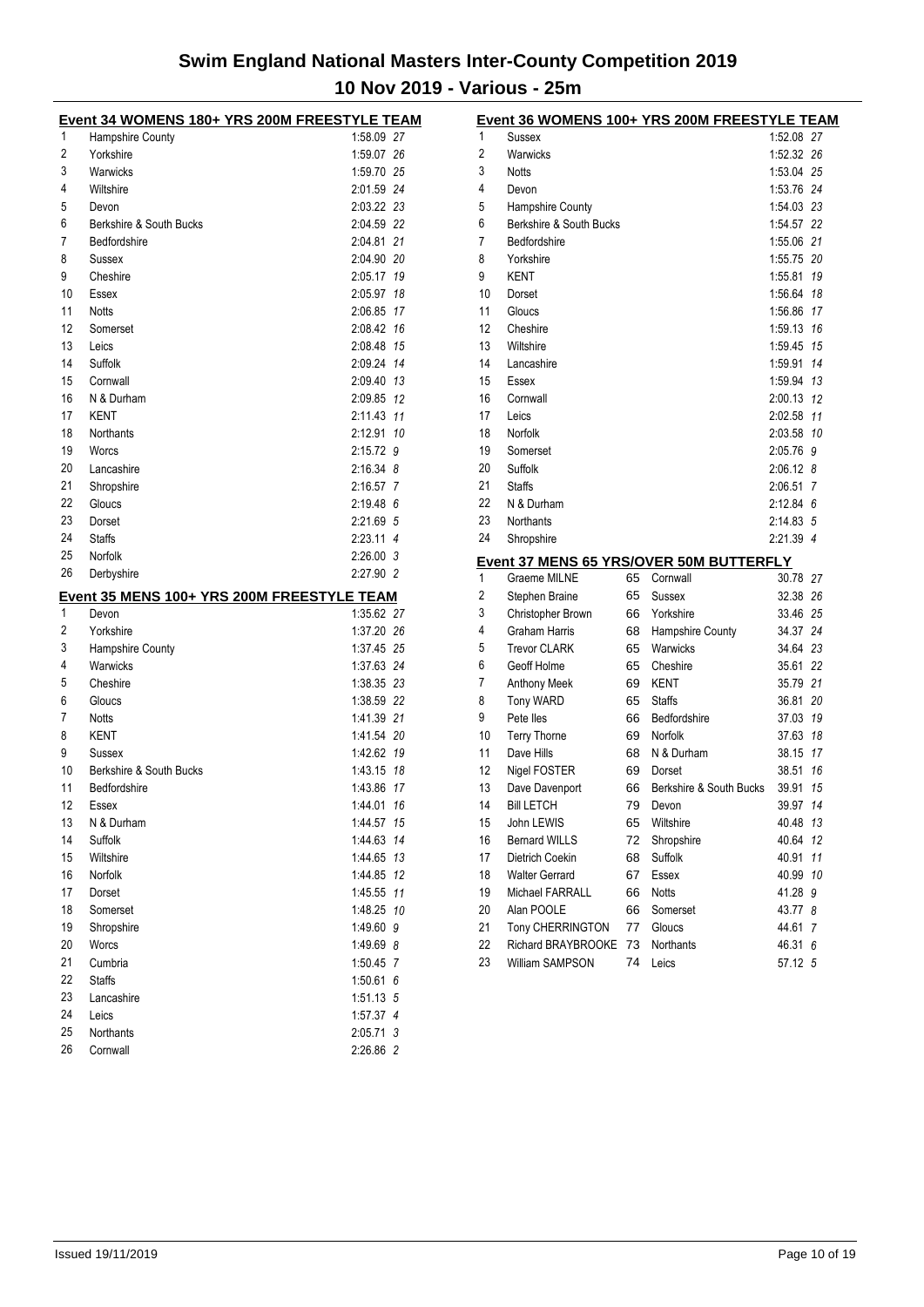|    | Event 34 WOMENS 180+ YRS 200M FREESTYLE TEAM |             |    |
|----|----------------------------------------------|-------------|----|
| 1  | <b>Hampshire County</b>                      | 1:58.09 27  |    |
| 2  | Yorkshire                                    | 1:59.07 26  |    |
| 3  | Warwicks                                     | 1:59.70 25  |    |
| 4  | Wiltshire                                    | 2:01.59 24  |    |
| 5  | Devon                                        | 2:03.22 23  |    |
| 6  | Berkshire & South Bucks                      | 2:04.59 22  |    |
| 7  | Bedfordshire                                 | 2:04.81 21  |    |
| 8  | Sussex                                       | 2:04.90 20  |    |
| 9  | Cheshire                                     | 2:05.17 19  |    |
| 10 | Essex                                        | 2:05.97 18  |    |
| 11 | <b>Notts</b>                                 | 2:06.85 17  |    |
| 12 | Somerset                                     | 2:08.42 16  |    |
| 13 | Leics                                        | 2:08.48 15  |    |
| 14 | Suffolk                                      | 2:09.24 14  |    |
| 15 | Cornwall                                     | 2:09.40 13  |    |
| 16 | N & Durham                                   | 2:09.85 12  |    |
| 17 | KENT                                         | 2:11.43 11  |    |
| 18 | Northants                                    | 2:12.91 10  |    |
| 19 | Worcs                                        | 2:15.72 9   |    |
| 20 | Lancashire                                   | $2:16.34$ 8 |    |
| 21 | Shropshire                                   | 2:16.57 7   |    |
| 22 | Gloucs                                       | $2:19.48$ 6 |    |
| 23 | Dorset                                       | 2:21.69 5   |    |
| 24 | <b>Staffs</b>                                | 2:23.11 4   |    |
| 25 | Norfolk                                      | 2:26.00 3   |    |
| 26 | Derbyshire                                   | 2:27.90 2   |    |
|    |                                              |             |    |
|    |                                              |             |    |
|    | Event 35 MENS 100+ YRS 200M FREESTYLE TEAM   |             |    |
| 1  | Devon                                        | 1:35.62 27  |    |
| 2  | Yorkshire                                    | 1:37.20 26  |    |
| 3  | Hampshire County                             | 1:37.45 25  |    |
| 4  | Warwicks                                     | 1:37.63 24  |    |
| 5  | Cheshire                                     | 1:38.35 23  |    |
| 6  | Gloucs                                       | 1:38.59 22  |    |
| 7  | <b>Notts</b>                                 | 1:41.39 21  |    |
| 8  | KENT                                         | 1:41.54 20  |    |
| 9  | Sussex                                       | 1:42.62 19  |    |
| 10 | Berkshire & South Bucks                      | 1:43.15 18  |    |
| 11 | Bedfordshire                                 | 1:43.86     | 17 |
| 12 | Essex                                        | 1:44.01     | 16 |
| 13 | N & Durham                                   | 1:44.57     | 15 |
| 14 | Suffolk                                      | 1:44.63     | 14 |
| 15 | Wiltshire                                    | 1:44.65     | 13 |
| 16 | Norfolk                                      | 1:44.85     | 12 |
| 17 | Dorset                                       | 1:45.55     | 11 |
| 18 | Somerset                                     | 1:48.25     | 10 |
| 19 | Shropshire                                   | 1:49.60     | 9  |
| 20 | Worcs                                        | 1:49.69     | 8  |
| 21 | Cumbria                                      | 1:50.45     | 7  |
| 22 | <b>Staffs</b>                                | 1.50.61     | 6  |
| 23 | Lancashire                                   | 1:51.13 5   |    |
| 24 | Leics                                        | 1:57.37 4   |    |
| 25 | Northants                                    | 2:05.71 3   |    |

|    |                         |    | Event 36 WOMENS 100+ YRS 200M FREESTYLE TEAM   |             |    |
|----|-------------------------|----|------------------------------------------------|-------------|----|
| 1  | <b>Sussex</b>           |    |                                                | 1:52.08 27  |    |
| 2  | Warwicks                |    |                                                | 1:52.32 26  |    |
| 3  | <b>Notts</b>            |    |                                                | 1:53.04 25  |    |
| 4  | Devon                   |    |                                                | 1:53.76 24  |    |
| 5  | Hampshire County        |    |                                                | 1:54.03 23  |    |
| 6  | Berkshire & South Bucks |    |                                                | 1:54.57 22  |    |
| 7  | Bedfordshire            |    |                                                | 1:55.06 21  |    |
| 8  | Yorkshire               |    |                                                | 1:55.75 20  |    |
| 9  | <b>KENT</b>             |    |                                                | 1:55.81     | 19 |
| 10 | Dorset                  |    |                                                | 1:56.64     | 18 |
| 11 | Gloucs                  |    |                                                | 1:56.86     | 17 |
| 12 | Cheshire                |    |                                                | 1:59.13     | 16 |
| 13 | Wiltshire               |    |                                                | 1:59.45     | 15 |
| 14 | Lancashire              |    |                                                | 1:59.91     | 14 |
| 15 | Essex                   |    |                                                | 1:59.94     | 13 |
| 16 | Cornwall                |    |                                                | 2:00.13     | 12 |
| 17 | Leics                   |    |                                                | 2:02.58     | 11 |
| 18 | Norfolk                 |    |                                                | 2:03.58 10  |    |
| 19 | Somerset                |    |                                                | 2:05.76     | 9  |
| 20 | Suffolk                 |    |                                                | 2:06.12 8   |    |
| 21 | <b>Staffs</b>           |    |                                                | 2:06.51     | 7  |
| 22 | N & Durham              |    |                                                | $2:12.84$ 6 |    |
| 23 | <b>Northants</b>        |    |                                                | 2:14.83 5   |    |
| 24 | Shropshire              |    |                                                | 2:21.39 4   |    |
|    |                         |    | <b>Event 37 MENS 65 YRS/OVER 50M BUTTERFLY</b> |             |    |
| 1  | Graeme MILNE            | 65 | Cornwall                                       | 30.78 27    |    |
| 2  | Stephen Braine          | 65 | Sussex                                         | 32.38 26    |    |
| 3  | Christopher Brown       | 66 | Yorkshire                                      | 33.46 25    |    |
| 4  | Graham Harris           | 68 | Hampshire County                               | 34.37       | 24 |
| 5  | <b>Trevor CLARK</b>     | 65 | Warwicks                                       | 34.64 23    |    |
| 6  | Geoff Holme             | 65 | Cheshire                                       | 35.61       | 22 |
| 7  | Anthony Meek            | 69 | KENT                                           | 35.79 21    |    |
| 8  | <b>Tony WARD</b>        | 65 | <b>Staffs</b>                                  | 36.81       | 20 |
| 9  | Pete lles               | 66 | Bedfordshire                                   | 37.03       | 19 |
| 10 | <b>Terry Thorne</b>     | 69 | Norfolk                                        | 37.63       | 18 |
| 11 | Dave Hills              | 68 | N & Durham                                     | 38.15       | 17 |
| 12 | Nigel FOSTER            | 69 | Dorset                                         | 38.51       | 16 |
| 13 | Dave Davenport          | 66 | Berkshire & South Bucks                        | 39.91       | 15 |
| 14 | <b>Bill LETCH</b>       | 79 | Devon                                          | 39.97       | 14 |
| 15 | John LEWIS              | 65 | Wiltshire                                      | 40.48 13    |    |
| 16 | <b>Bernard WILLS</b>    | 72 | Shropshire                                     | 40.64       | 12 |
| 17 | Dietrich Coekin         | 68 | Suffolk                                        | 40.91       | 11 |
| 18 | <b>Walter Gerrard</b>   | 67 | Essex                                          | 40.99       | 10 |
| 19 | Michael FARRALL         | 66 | Notts                                          | 41.28 9     |    |
| 20 | Alan POOLE              | 66 | Somerset                                       | 43.77       | 8  |
| 21 | Tony CHERRINGTON        | 77 | Gloucs                                         | 44.61       | 7  |
| 22 | Richard BRAYBROOKE      | 73 | Northants                                      | 46.31       | 6  |
| 23 | William SAMPSON         | 74 | Leics                                          | 57.12 5     |    |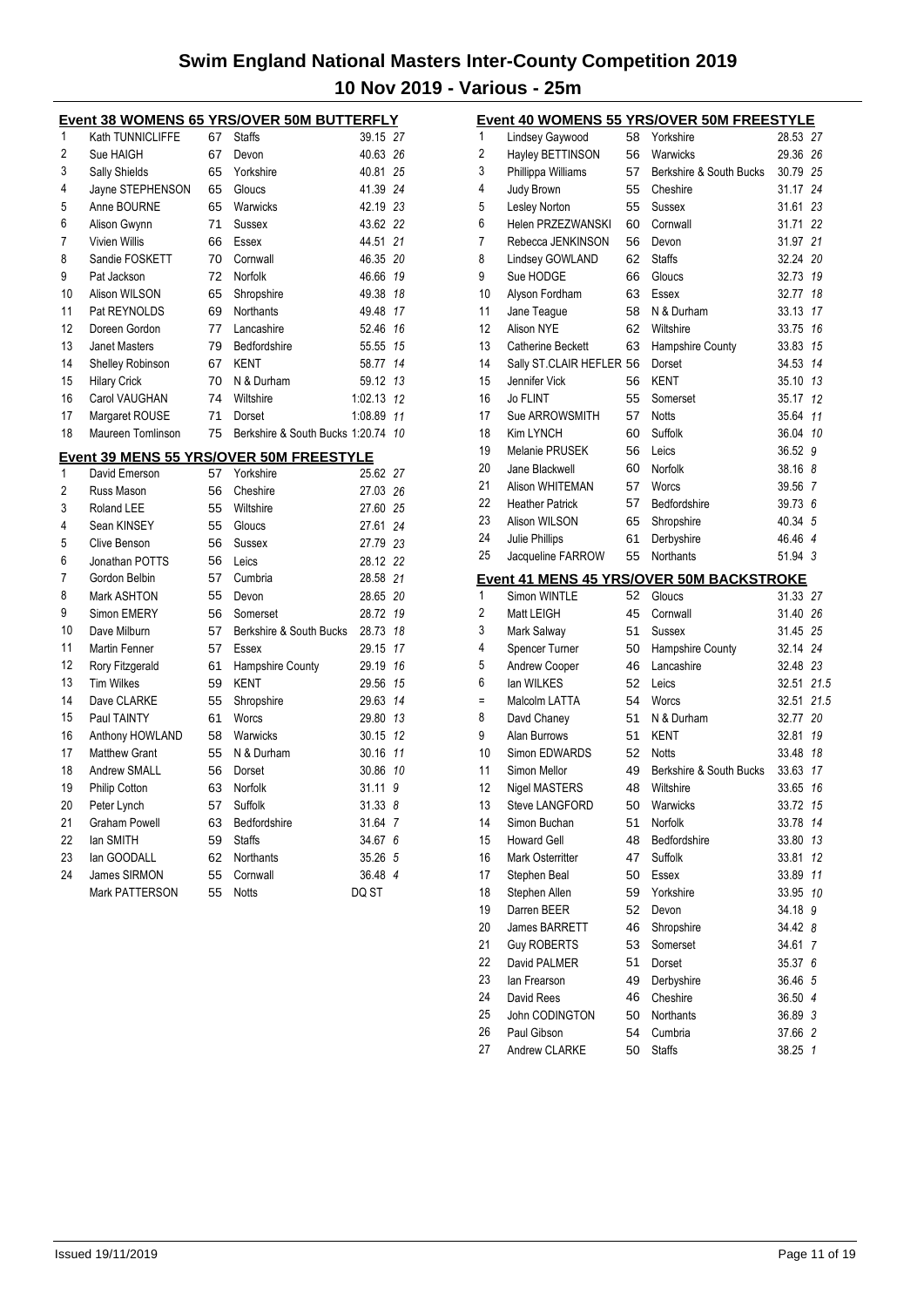|                |                         |       | Event 38 WOMENS 65 YRS/OVER 50M BUTTERFLY |            |          |
|----------------|-------------------------|-------|-------------------------------------------|------------|----------|
| 1              | Kath TUNNICLIFFE        | 67    | <b>Staffs</b>                             | 39.15 27   |          |
| $\overline{2}$ | Sue HAIGH               | 67    | Devon                                     | 40.63 26   |          |
| 3              | Sally Shields           | 65    | Yorkshire                                 | 40.81 25   |          |
| 4              | Jayne STEPHENSON        | 65    | Gloucs                                    | 41.39 24   |          |
| 5              | Anne BOURNE             | 65    | Warwicks                                  | 42.19 23   |          |
| 6              | Alison Gwynn            | 71    | Sussex                                    | 43.62 22   |          |
| 7              | <b>Vivien Willis</b>    | 66    | Essex                                     | 44.51 21   |          |
| 8              | Sandie FOSKETT          | 70    | Cornwall                                  | 46.35 20   |          |
| 9              | Pat Jackson             | 72    | Norfolk                                   | 46.66      | 19       |
| 10             | Alison WILSON           | 65    | Shropshire                                | 49.38      | 18       |
| 11             | Pat REYNOLDS            | 69    | <b>Northants</b>                          | 49.48      | 17       |
| 12             | Doreen Gordon           | 77    | Lancashire                                | 52.46      | 16       |
| 13             | Janet Masters           | 79    | Bedfordshire                              | 55.55 15   |          |
| 14             | <b>Shelley Robinson</b> | 67    | KENT                                      | 58.77 14   |          |
| 15             | <b>Hilary Crick</b>     | 70    | N & Durham                                | 59.12 13   |          |
| 16             | Carol VAUGHAN           | 74    | Wiltshire                                 | 1:02.13 12 |          |
| 17             | Margaret ROUSE          | 71    | Dorset                                    | 1:08.89 11 |          |
| 18             | Maureen Tomlinson       | 75    | Berkshire & South Bucks 1:20.74 10        |            |          |
|                |                         |       | Event 39 MENS 55 YRS/OVER 50M FREESTYLE   |            |          |
| 1              | David Emerson           | 57    | Yorkshire                                 | 25.62 27   |          |
| 2              | Russ Mason              | 56    | Cheshire                                  | 27.03 26   |          |
| 3              | Roland LEE              | 55    | Wiltshire                                 | 27.60 25   |          |
| $\overline{ }$ | Coop VINICEV            | E E L | C <sub>2</sub>                            | 07.C1      | $\Omega$ |

| 3  | Roland LEE           | 55 | Wiltshire               | 27.60    | -25 |
|----|----------------------|----|-------------------------|----------|-----|
| 4  | Sean KINSEY          | 55 | Gloucs                  | 27.61 24 |     |
| 5  | Clive Benson         | 56 | Sussex                  | 27.79 23 |     |
| 6  | Jonathan POTTS       | 56 | Leics                   | 28.12 22 |     |
| 7  | Gordon Belbin        | 57 | Cumbria                 | 28.58 21 |     |
| 8  | Mark ASHTON          | 55 | Devon                   | 28.65 20 |     |
| 9  | Simon EMERY          | 56 | Somerset                | 28.72    | 19  |
| 10 | Dave Milburn         | 57 | Berkshire & South Bucks | 28.73    | 18  |
| 11 | Martin Fenner        | 57 | Essex                   | 29.15    | 17  |
| 12 | Rory Fitzgerald      | 61 | Hampshire County        | 29.19    | 16  |
| 13 | <b>Tim Wilkes</b>    | 59 | KENT                    | 29.56    | 15  |
| 14 | Dave CLARKE          | 55 | Shropshire              | 29.63    | 14  |
| 15 | Paul TAINTY          | 61 | Worcs                   | 29.80    | 13  |
| 16 | Anthony HOWLAND      | 58 | Warwicks                | 30.15    | 12  |
| 17 | Matthew Grant        | 55 | N & Durham              | 30.16    | 11  |
| 18 | <b>Andrew SMALL</b>  | 56 | Dorset                  | 30.86    | 10  |
| 19 | <b>Philip Cotton</b> | 63 | Norfolk                 | 31.11    | 9   |
| 20 | Peter Lynch          | 57 | Suffolk                 | 31.338   |     |
| 21 | Graham Powell        | 63 | Bedfordshire            | 31.64    | 7   |
| 22 | lan SMITH            | 59 | <b>Staffs</b>           | 34.67 6  |     |
| 23 | lan GOODALL          | 62 | Northants               | 35.26 5  |     |
| 24 | James SIRMON         | 55 | Cornwall                | 36.48 4  |     |
|    | Mark PATTERSON       | 55 | Notts                   | DQ ST    |     |

|    |                          |    | Event 40 WOMENS 55 YRS/OVER 50M FREESTYLE       |          |                |
|----|--------------------------|----|-------------------------------------------------|----------|----------------|
| 1  | Lindsey Gaywood          | 58 | Yorkshire                                       | 28.53    | -27            |
| 2  | Hayley BETTINSON         | 56 | Warwicks                                        | 29.36    | 26             |
| 3  | Phillippa Williams       | 57 | Berkshire & South Bucks                         | 30.79 25 |                |
| 4  | Judy Brown               | 55 | Cheshire                                        | 31.17    | 24             |
| 5  | Lesley Norton            | 55 | Sussex                                          | 31.61    | 23             |
| 6  | <b>Helen PRZEZWANSKI</b> | 60 | Cornwall                                        | 31.71    | 22             |
| 7  | Rebecca JENKINSON        | 56 | Devon                                           | 31.97    | 21             |
| 8  | Lindsey GOWLAND          | 62 | <b>Staffs</b>                                   | 32.24    | 20             |
| 9  | Sue HODGE                | 66 | Gloucs                                          | 32.73    | 19             |
| 10 | Alyson Fordham           | 63 | Essex                                           | 32.77    | 18             |
| 11 | Jane Teague              | 58 | N & Durham                                      | 33.13    | 17             |
| 12 | Alison NYE               | 62 | Wiltshire                                       | 33.75    | 16             |
| 13 | <b>Catherine Beckett</b> | 63 | Hampshire County                                | 33.83    | 15             |
| 14 | Sally ST.CLAIR HEFLER 56 |    | Dorset                                          | 34.53    | 14             |
| 15 | Jennifer Vick            | 56 | <b>KENT</b>                                     | 35.10 13 |                |
| 16 | Jo FLINT                 | 55 | Somerset                                        | 35.17    | 12             |
| 17 | Sue ARROWSMITH           | 57 | <b>Notts</b>                                    | 35.64    | 11             |
| 18 | Kim LYNCH                | 60 | Suffolk                                         | 36.04    | 10             |
| 19 | Melanie PRUSEK           | 56 | Leics                                           | 36.52    | 9              |
| 20 | Jane Blackwell           | 60 | Norfolk                                         | 38.16    | 8              |
| 21 | Alison WHITEMAN          | 57 | Worcs                                           | 39.56    | 7              |
| 22 | <b>Heather Patrick</b>   | 57 | Bedfordshire                                    | 39.73    | 6              |
| 23 | Alison WILSON            | 65 | Shropshire                                      | 40.34    | 5              |
| 24 | Julie Phillips           | 61 | Derbyshire                                      | 46.46    | $\overline{4}$ |
| 25 | Jacqueline FARROW        | 55 | Northants                                       | 51.94    | 3              |
|    |                          |    | <b>Event 41 MENS 45 YRS/OVER 50M BACKSTROKE</b> |          |                |
| 1  | Simon WINTLE             | 52 | Gloucs                                          | 31.33 27 |                |
| 2  | Matt LEIGH               | 45 | Cornwall                                        | 31.40    | 26             |
| 3  | Mark Salway              | 51 | Sussex                                          | 31.45    | 25             |
| 4  | Spencer Turner           | 50 | Hampshire County                                | 32.14 24 |                |
| 5  | <b>Andrew Cooper</b>     | 46 | Lancashire                                      | 32.48 23 |                |
| 6  | lan WILKES               | 52 | Leics                                           | 32.51    | 21.5           |
| Ξ  | Malcolm LATTA            | 54 | Worcs                                           | 32.51    | 21.5           |
| 8  | Davd Chaney              | 51 | N & Durham                                      | 32.77    | 20             |
| 9  | Alan Burrows             | 51 | KENT                                            | 32.81    | 19             |
| 10 | Simon EDWARDS            | 52 | <b>Notts</b>                                    | 33.48 18 |                |
| 11 | Simon Mellor             | 49 | Berkshire & South Bucks                         | 33.63    | 17             |
| 12 | <b>Nigel MASTERS</b>     | 48 | Wiltshire                                       | 33.65    | 16             |
| 13 | Steve LANGFORD           |    | 50 Warwicks                                     | 33.72 15 |                |
| 14 | Simon Buchan             | 51 | Norfolk                                         | 33.78    | 14             |
| 15 | <b>Howard Gell</b>       | 48 | Bedfordshire                                    | 33.80    | 13             |
| 16 | Mark Osterritter         | 47 | Suffolk                                         | 33.81    | 12             |
| 17 | Stephen Beal             | 50 | Essex                                           | 33.89    | 11             |
| 18 | Stephen Allen            | 59 | Yorkshire                                       | 33.95    | 10             |
| 19 | Darren BEER              | 52 | Devon                                           | 34.18    | 9              |
| 20 | <b>James BARRETT</b>     | 46 | Shropshire                                      | 34.42    | 8              |
| 21 | <b>Guy ROBERTS</b>       | 53 | Somerset                                        | 34.61    | 7              |
| 22 | David PALMER             | 51 | Dorset                                          | 35.37    | 6              |
| 23 | lan Frearson             | 49 | Derbyshire                                      | 36.46    | 5              |
| 24 | David Rees               | 46 | Cheshire                                        | 36.50    | 4              |
| 25 | John CODINGTON           | 50 | Northants                                       | 36.89 3  |                |
| 26 | Paul Gibson              | 54 | Cumbria                                         | 37.66 2  |                |
| 27 | Andrew CLARKE            | 50 | <b>Staffs</b>                                   | 38.25    | $\mathbf{1}$   |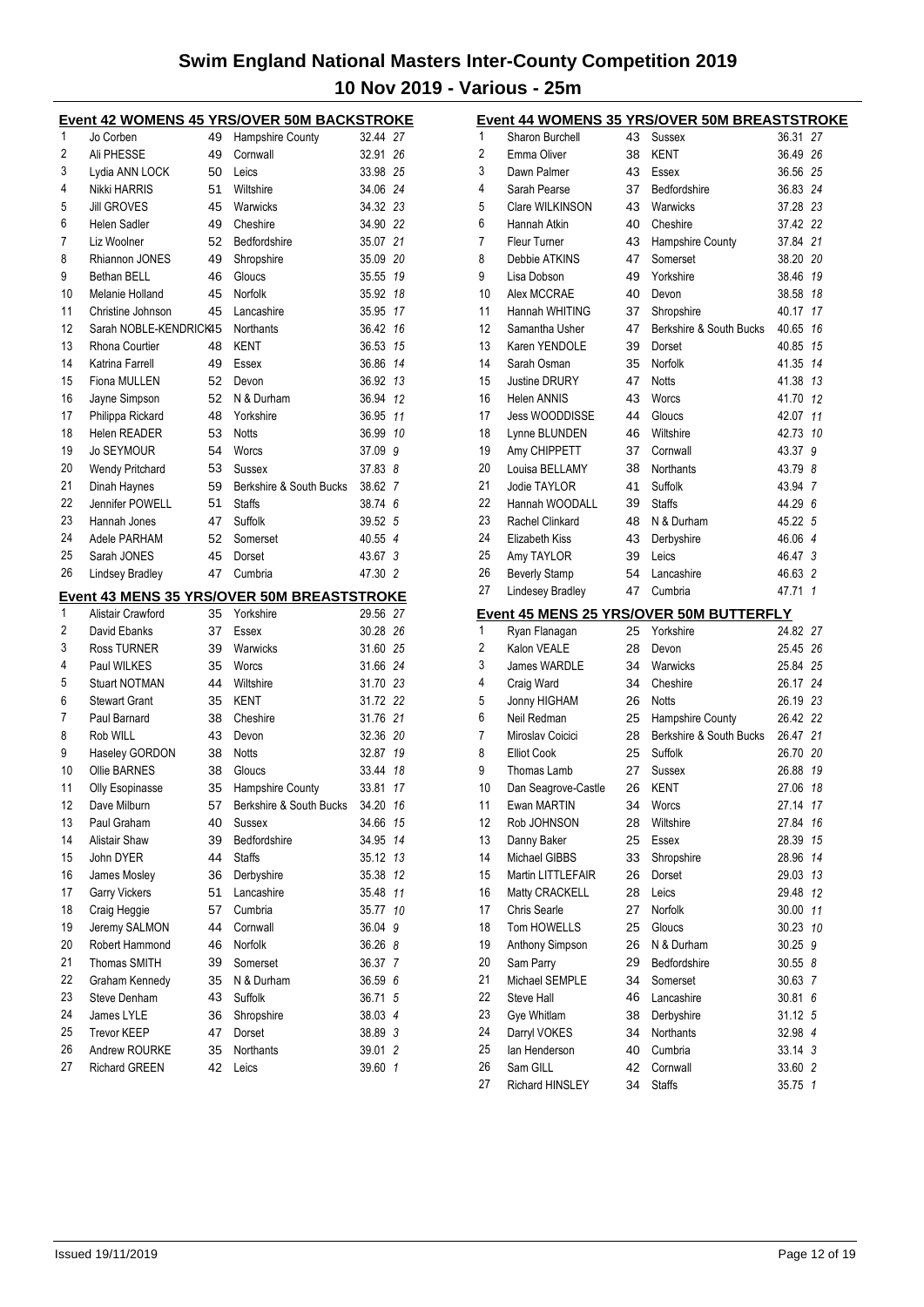|          | <b>Event 42 WOMENS 45 YRS/OVER 50M BACKSTROKE</b> |          |                                                                |                      |         |
|----------|---------------------------------------------------|----------|----------------------------------------------------------------|----------------------|---------|
| 1        | Jo Corben                                         | 49       | Hampshire County                                               | 32.44 27             |         |
| 2        | Ali PHESSE                                        | 49       | Cornwall                                                       | 32.91                | 26      |
| 3        | Lydia ANN LOCK                                    | 50       | Leics                                                          | 33.98 25             |         |
| 4        | Nikki HARRIS                                      | 51       | Wiltshire                                                      | 34.06 24             |         |
| 5        | <b>Jill GROVES</b>                                | 45       | Warwicks                                                       | 34.32 23             |         |
| 6        | Helen Sadler                                      | 49       | Cheshire                                                       | 34.90 22             |         |
| 7        | Liz Woolner                                       | 52       | Bedfordshire                                                   | 35.07 21             |         |
| 8        | Rhiannon JONES                                    | 49       | Shropshire                                                     | 35.09 20             |         |
| 9        | Bethan BELL                                       | 46       | Gloucs                                                         | 35.55                | 19      |
| 10       | Melanie Holland                                   | 45       | Norfolk                                                        | 35.92                | 18      |
| 11       | Christine Johnson                                 | 45       | Lancashire                                                     | 35.95 17             |         |
| 12       | Sarah NOBLE-KENDRICK45                            |          | <b>Northants</b>                                               | 36.42 16             |         |
| 13       | Rhona Courtier                                    | 48       | KENT                                                           | 36.53 15             |         |
| 14       | Katrina Farrell                                   | 49       | Essex                                                          | 36.86                | 14      |
| 15       | Fiona MULLEN                                      | 52       | Devon                                                          | 36.92                | 13      |
| 16       | Jayne Simpson                                     | 52       | N & Durham                                                     | 36.94                | 12      |
| 17       | Philippa Rickard                                  | 48       | Yorkshire                                                      | 36.95                | 11      |
| 18       | Helen READER                                      | 53       | <b>Notts</b>                                                   | 36.99 10             |         |
| 19       | <b>Jo SEYMOUR</b>                                 | 54       | Worcs                                                          | 37.09 9              |         |
| 20       | Wendy Pritchard                                   | 53       | Sussex                                                         | 37.83 8              |         |
| 21       | Dinah Haynes                                      | 59       | Berkshire & South Bucks                                        | 38.62 7              |         |
| 22       | Jennifer POWELL                                   | 51       | <b>Staffs</b>                                                  | 38.74 6              |         |
| 23       | Hannah Jones                                      | 47       | Suffolk                                                        | 39.52 5              |         |
| 24       | Adele PARHAM                                      | 52       | Somerset                                                       | 40.55 4              |         |
| 25       | Sarah JONES                                       | 45       | Dorset                                                         | 43.67                | 3       |
| 26       | <b>Lindsey Bradley</b>                            | 47       | Cumbria                                                        | 47.30 2              |         |
|          |                                                   |          |                                                                |                      |         |
|          |                                                   |          |                                                                |                      |         |
| 1        | Alistair Crawford                                 | 35       | <b>Event 43 MENS 35 YRS/OVER 50M BREASTSTROKE</b><br>Yorkshire | 29.56 27             |         |
| 2        | David Ebanks                                      | 37       | Essex                                                          | 30.28 26             |         |
| 3        | <b>Ross TURNER</b>                                | 39       | Warwicks                                                       | 31.60 25             |         |
| 4        | Paul WILKES                                       | 35       | Worcs                                                          |                      |         |
| 5        | <b>Stuart NOTMAN</b>                              | 44       | Wiltshire                                                      | 31.66 24<br>31.70 23 |         |
| 6        | <b>Stewart Grant</b>                              | 35       | KENT                                                           | 31.72 22             |         |
| 7        | Paul Barnard                                      | 38       | Cheshire                                                       | 31.76 21             |         |
| 8        | Rob WILL                                          | 43       | Devon                                                          | 32.36 20             |         |
| 9        |                                                   | 38       | <b>Notts</b>                                                   | 32.87                | 19      |
| 10       | Haseley GORDON<br><b>Ollie BARNES</b>             | 38       | Gloucs                                                         | 33.44                | 18      |
| 11       | Olly Esopinasse                                   | 35       | Hampshire County                                               | 33.81                | 17      |
| 12       |                                                   | 57       |                                                                | 34.20                | 16      |
| 13       | Dave Milburn<br>Paul Graham                       | 40       | Berkshire & South Bucks<br>Sussex                              | 34.66                | 15      |
| 14       | <b>Alistair Shaw</b>                              | 39       | Bedfordshire                                                   |                      | 14      |
| 15       | John DYER                                         | 44       | <b>Staffs</b>                                                  | 34.95                | 13      |
| 16       | James Mosley                                      | 36       | Derbyshire                                                     | 35.12<br>35.38       | 12      |
| 17       |                                                   | 51       | Lancashire                                                     | 35.48                | 11      |
|          | <b>Garry Vickers</b>                              |          |                                                                |                      |         |
| 18<br>19 | Craig Heggie                                      | 57<br>44 | Cumbria<br>Cornwall                                            | 35.77                | 10<br>9 |
| 20       | Jeremy SALMON<br>Robert Hammond                   | 46       | Norfolk                                                        | 36.04<br>36.26 8     |         |
|          | Thomas SMITH                                      |          |                                                                |                      |         |
| 21<br>22 | Graham Kennedy                                    | 39<br>35 | Somerset<br>N & Durham                                         | 36.37 7<br>36.59 6   |         |
| 23       | Steve Denham                                      | 43       | <b>Suffolk</b>                                                 | 36.71                | 5       |
| 24       | James LYLE                                        | 36       | Shropshire                                                     | 38.03 4              |         |
| 25       | <b>Trevor KEEP</b>                                | 47       | Dorset                                                         | 38.89 3              |         |
| 26       | Andrew ROURKE                                     | 35       | Northants                                                      | 39.01                | 2       |
| 27       | <b>Richard GREEN</b>                              | 42       | Leics                                                          | 39.60                | 1       |

|    |                      |    | <u>Event 44 WOMENS 35 YRS/OVER 50M BREASTSTROKE</u> |          |              |
|----|----------------------|----|-----------------------------------------------------|----------|--------------|
| 1  | Sharon Burchell      | 43 | Sussex                                              | 36.31    | 27           |
| 2  | Emma Oliver          | 38 | KENT                                                | 36.49    | 26           |
| 3  | Dawn Palmer          | 43 | Essex                                               | 36.56    | 25           |
| 4  | Sarah Pearse         | 37 | Bedfordshire                                        | 36.83 24 |              |
| 5  | Clare WILKINSON      | 43 | Warwicks                                            | 37.28 23 |              |
| 6  | Hannah Atkin         | 40 | Cheshire                                            | 37.42 22 |              |
| 7  | <b>Fleur Turner</b>  | 43 | Hampshire County                                    | 37.84    | 21           |
| 8  | Debbie ATKINS        | 47 | Somerset                                            | 38.20    | 20           |
| 9  | Lisa Dobson          | 49 | Yorkshire                                           | 38.46    | 19           |
| 10 | Alex MCCRAE          | 40 | Devon                                               | 38.58    | 18           |
| 11 | Hannah WHITING       | 37 | Shropshire                                          | 40.17    | 17           |
| 12 | Samantha Usher       | 47 | Berkshire & South Bucks                             | 40.65    | 16           |
| 13 | Karen YENDOLE        | 39 | Dorset                                              | 40.85    | 15           |
| 14 | Sarah Osman          | 35 | <b>Norfolk</b>                                      | 41.35    | 14           |
| 15 | <b>Justine DRURY</b> | 47 | <b>Notts</b>                                        | 41.38    | 13           |
| 16 | <b>Helen ANNIS</b>   | 43 | Worcs                                               | 41.70    | 12           |
| 17 | Jess WOODDISSE       | 44 | Gloucs                                              | 42.07    | 11           |
| 18 | Lynne BLUNDEN        | 46 | Wiltshire                                           | 42.73 10 |              |
| 19 | Amy CHIPPETT         | 37 | Cornwall                                            | 43.37    | 9            |
| 20 | Louisa BELLAMY       | 38 | <b>Northants</b>                                    | 43.79 8  |              |
| 21 | Jodie TAYLOR         | 41 | Suffolk                                             | 43.94 7  |              |
| 22 | Hannah WOODALL       | 39 | <b>Staffs</b>                                       | 44.29 6  |              |
| 23 | Rachel Clinkard      | 48 | N & Durham                                          | 45.22 5  |              |
| 24 | Elizabeth Kiss       | 43 | Derbyshire                                          | 46.06 4  |              |
| 25 | Amy TAYLOR           | 39 | Leics                                               | 46.47 3  |              |
| 26 | <b>Beverly Stamp</b> | 54 | Lancashire                                          | 46.63 2  |              |
| 27 | Lindesey Bradley     | 47 | Cumbria                                             | 47.71 1  |              |
|    |                      |    | Event 45 MENS 25 YRS/OVER 50M BUTTERFLY             |          |              |
| 1  | Ryan Flanagan        | 25 | Yorkshire                                           | 24.82 27 |              |
| 2  | Kalon VEALE          | 28 | Devon                                               | 25.45 26 |              |
| 3  | James WARDLE         | 34 | Warwicks                                            | 25.84 25 |              |
| 4  | Craig Ward           | 34 | Cheshire                                            | 26.17 24 |              |
| 5  | Jonny HIGHAM         | 26 | <b>Notts</b>                                        | 26.19 23 |              |
| 6  | Neil Redman          | 25 | Hampshire County                                    | 26.42 22 |              |
| 7  | Miroslav Coicici     | 28 | Berkshire & South Bucks                             | 26.47    | 21           |
| 8  | <b>Elliot Cook</b>   | 25 | Suffolk                                             | 26.70    | 20           |
| 9  | Thomas Lamb          | 27 | Sussex                                              | 26.88    | 19           |
| 10 | Dan Seagrove-Castle  | 26 | KENT                                                | 27.06    | 18           |
| 11 | Ewan MARTIN          |    | 34 Worcs                                            | 27.14 17 |              |
| 12 | Rob JOHNSON          | 28 | Wiltshire                                           | 27.84    | 16           |
| 13 | Danny Baker          | 25 | Essex                                               | 28.39    | 15           |
| 14 | Michael GIBBS        | 33 | Shropshire                                          | 28.96    | 14           |
| 15 | Martin LITTLEFAIR    | 26 | Dorset                                              | 29.03    | 13           |
| 16 | Matty CRACKELL       | 28 | Leics                                               | 29.48    | 12           |
| 17 | <b>Chris Searle</b>  | 27 | Norfolk                                             | 30.00    | 11           |
| 18 | Tom HOWELLS          | 25 | Gloucs                                              | 30.23    | 10           |
| 19 | Anthony Simpson      | 26 | N & Durham                                          | 30.25    | 9            |
| 20 | Sam Parry            | 29 | Bedfordshire                                        | 30.55 8  |              |
| 21 | Michael SEMPLE       | 34 | Somerset                                            | 30.63 7  |              |
| 22 | Steve Hall           | 46 | Lancashire                                          | 30.81    | 6            |
| 23 | Gye Whitlam          | 38 | Derbyshire                                          | 31.12 5  |              |
| 24 | Darryl VOKES         | 34 | Northants                                           | 32.98 4  |              |
| 25 | lan Henderson        | 40 | Cumbria                                             | 33.14 3  |              |
| 26 | Sam GILL             | 42 | Cornwall                                            | 33.60 2  |              |
| 27 | Richard HINSLEY      | 34 | <b>Staffs</b>                                       | 35.75    | $\mathbf{1}$ |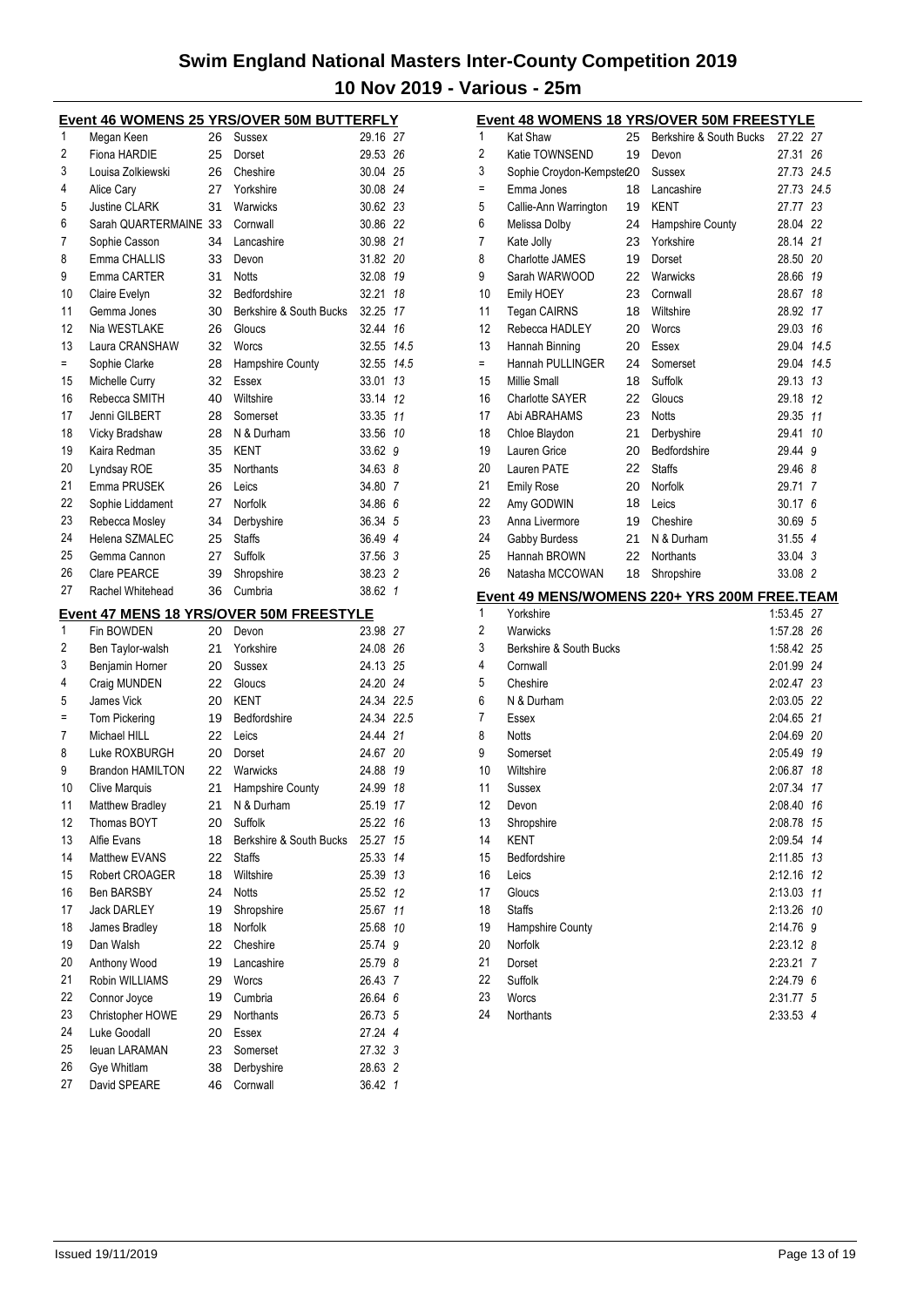|          | Event 46 WOMENS 25 YRS/OVER 50M BUTTERFLY      |          |                         |                    |                |  |  |  |
|----------|------------------------------------------------|----------|-------------------------|--------------------|----------------|--|--|--|
| 1        | Megan Keen                                     | 26       | Sussex                  | 29.16 27           |                |  |  |  |
| 2        | Fiona HARDIE                                   | 25       | Dorset                  | 29.53 26           |                |  |  |  |
| 3        | Louisa Zolkiewski                              | 26       | Cheshire                | 30.04 25           |                |  |  |  |
| 4        | Alice Cary                                     | 27       | Yorkshire               | 30.08 24           |                |  |  |  |
| 5        | <b>Justine CLARK</b>                           | 31       | Warwicks                | 30.62 23           |                |  |  |  |
| 6        | Sarah QUARTERMAINE 33                          |          | Cornwall                | 30.86 22           |                |  |  |  |
| 7        | Sophie Casson                                  | 34       | Lancashire              | 30.98 21           |                |  |  |  |
| 8        | Emma CHALLIS                                   | 33       | Devon                   | 31.82 20           |                |  |  |  |
| 9        | Emma CARTER                                    | 31       | <b>Notts</b>            | 32.08 19           |                |  |  |  |
| 10       | Claire Evelyn                                  | 32       | Bedfordshire            | 32.21              | 18             |  |  |  |
| 11       | Gemma Jones                                    | 30       | Berkshire & South Bucks | 32.25 17           |                |  |  |  |
| 12       | Nia WESTLAKE                                   | 26       | Gloucs                  | 32.44 16           |                |  |  |  |
| 13       | Laura CRANSHAW                                 | 32       | Worcs                   | 32.55 14.5         |                |  |  |  |
| $=$      | Sophie Clarke                                  | 28       | Hampshire County        | 32.55 14.5         |                |  |  |  |
| 15       | Michelle Curry                                 | 32       | Essex                   | 33.01 13           |                |  |  |  |
| 16       | Rebecca SMITH                                  | 40       | Wiltshire               | 33.14 12           |                |  |  |  |
| 17       | Jenni GILBERT                                  | 28       | Somerset                | 33.35 11           |                |  |  |  |
| 18       | Vicky Bradshaw                                 | 28       | N & Durham              | 33.56 10           |                |  |  |  |
| 19       | Kaira Redman                                   | 35       | KENT                    | 33.62              | 9              |  |  |  |
| 20       | Lyndsay ROE                                    | 35       | Northants               | 34.63 8            |                |  |  |  |
| 21       | Emma PRUSEK                                    | 26       | Leics                   | 34.80 7            |                |  |  |  |
| 22       | Sophie Liddament                               | 27       | Norfolk                 | 34.86 6            |                |  |  |  |
| 23       | Rebecca Mosley                                 | 34       | Derbyshire              | 36.34 5            |                |  |  |  |
| 24       | Helena SZMALEC                                 | 25       | <b>Staffs</b>           | 36.49 4            |                |  |  |  |
| 25       | Gemma Cannon                                   | 27       | Suffolk                 | 37.56 3            |                |  |  |  |
| 26       | <b>Clare PEARCE</b>                            | 39       | Shropshire              | 38.23 2            |                |  |  |  |
| 27       | Rachel Whitehead                               | 36       | Cumbria                 | 38.62              | $\overline{1}$ |  |  |  |
|          | <b>Event 47 MENS 18 YRS/OVER 50M FREESTYLE</b> |          |                         |                    |                |  |  |  |
|          |                                                |          |                         |                    |                |  |  |  |
| 1        | Fin BOWDEN                                     | 20       | Devon                   | 23.98 27           |                |  |  |  |
| 2        | Ben Taylor-walsh                               | 21       | Yorkshire               | 24.08 26           |                |  |  |  |
| 3        | Benjamin Horner                                | 20       | Sussex                  | 24.13 25           |                |  |  |  |
| 4        | Craig MUNDEN                                   | 22       | Gloucs                  | 24.20 24           |                |  |  |  |
| 5        | James Vick                                     | 20       | KENT                    | 24.34 22.5         |                |  |  |  |
| $\equiv$ | <b>Tom Pickering</b>                           | 19       | Bedfordshire            | 24.34 22.5         |                |  |  |  |
| 7        | Michael HILL                                   | 22       | Leics                   | 24.44 21           |                |  |  |  |
| 8        | Luke ROXBURGH                                  | 20       | Dorset                  | 24.67 20           |                |  |  |  |
| 9        | <b>Brandon HAMILTON</b>                        | 22       | Warwicks                | 24.88 19           |                |  |  |  |
| 10       | <b>Clive Marquis</b>                           | 21       | Hampshire County        | 24.99 18           |                |  |  |  |
| 11       | Matthew Bradley                                | 21       | N & Durham              | 25.19 17           |                |  |  |  |
| 12       | Thomas BOYT                                    | 20       | Suffolk                 | 25.22 16           |                |  |  |  |
| 13       | Alfie Evans                                    | 18       | Berkshire & South Bucks | 25.27              | 15             |  |  |  |
| 14       | Matthew EVANS                                  | 22       | <b>Staffs</b>           | 25.33              | 14             |  |  |  |
| 15       | Robert CROAGER                                 | 18       | Wiltshire               | 25.39 13           |                |  |  |  |
| 16       | <b>Ben BARSBY</b>                              | 24       | Notts                   | 25.52              | 12             |  |  |  |
| 17       | <b>Jack DARLEY</b>                             | 19       | Shropshire              | 25.67              | 11             |  |  |  |
| 18       | James Bradley                                  | 18       | Norfolk                 | 25.68              | 10             |  |  |  |
| 19       | Dan Walsh                                      | 22       | Cheshire                | 25.74              | 9              |  |  |  |
| 20       | Anthony Wood                                   | 19       | Lancashire              | 25.79 8            |                |  |  |  |
| 21       | Robin WILLIAMS                                 | 29       | <b>Worcs</b>            | 26.43 7            |                |  |  |  |
| 22       | Connor Joyce                                   | 19       | Cumbria                 | 26.64 6            |                |  |  |  |
| 23       | Christopher HOWE                               | 29       | Northants               | 26.73 5            |                |  |  |  |
| 24       | Luke Goodall                                   | 20       | Essex                   | 27.24 4            |                |  |  |  |
| 25       | leuan LARAMAN                                  | 23       | Somerset                | 27.32 3            |                |  |  |  |
| 26<br>27 | Gye Whitlam<br>David SPEARE                    | 38<br>46 | Derbyshire<br>Cornwall  | 28.63 2<br>36.42 1 |                |  |  |  |

| <b>Event 48 WOMENS 18 YRS/OVER 50M FREESTYLE</b> |                           |    |                                              |            |    |
|--------------------------------------------------|---------------------------|----|----------------------------------------------|------------|----|
| 1                                                | <b>Kat Shaw</b>           | 25 | Berkshire & South Bucks                      | 27.22 27   |    |
| 2                                                | Katie TOWNSEND            | 19 | Devon                                        | 27.31 26   |    |
| 3                                                | Sophie Croydon-Kempster20 |    | Sussex                                       | 27.73 24.5 |    |
| Ξ                                                | Emma Jones                | 18 | Lancashire                                   | 27.73 24.5 |    |
| 5                                                | Callie-Ann Warrington     | 19 | <b>KENT</b>                                  | 27.77 23   |    |
| 6                                                | Melissa Dolby             | 24 | Hampshire County                             | 28.04      | 22 |
| 7                                                | Kate Jolly                | 23 | Yorkshire                                    | 28.14 21   |    |
| 8                                                | <b>Charlotte JAMES</b>    | 19 | Dorset                                       | 28.50 20   |    |
| 9                                                | Sarah WARWOOD             | 22 | Warwicks                                     | 28.66 19   |    |
| 10                                               | Emily HOEY                | 23 | Cornwall                                     | 28.67      | 18 |
| 11                                               | Tegan CAIRNS              | 18 | Wiltshire                                    | 28.92      | 17 |
| 12                                               | Rebecca HADLEY            | 20 | Worcs                                        | 29.03 16   |    |
| 13                                               | Hannah Binning            | 20 | Essex                                        | 29.04 14.5 |    |
| $=$                                              | Hannah PULLINGER          | 24 | Somerset                                     | 29.04 14.5 |    |
| 15                                               | Millie Small              | 18 | Suffolk                                      | 29.13 13   |    |
| 16                                               | <b>Charlotte SAYER</b>    | 22 | Gloucs                                       | 29.18 12   |    |
| 17                                               | Abi ABRAHAMS              | 23 | <b>Notts</b>                                 | 29.35 11   |    |
| 18                                               | Chloe Blaydon             | 21 | Derbyshire                                   | 29.41      | 10 |
| 19                                               | Lauren Grice              | 20 | Bedfordshire                                 | 29.44      | 9  |
| 20                                               | Lauren PATE               | 22 | <b>Staffs</b>                                | 29.46 8    |    |
| 21                                               | <b>Emily Rose</b>         | 20 | Norfolk                                      | 29.71 7    |    |
| 22                                               | Amy GODWIN                | 18 | Leics                                        | 30.17      | 6  |
| 23                                               | Anna Livermore            | 19 | Cheshire                                     | 30.69 5    |    |
| 24                                               | Gabby Burdess             | 21 | N & Durham                                   | $31.55$ 4  |    |
| 25                                               | Hannah BROWN              | 22 | <b>Northants</b>                             | 33.04 3    |    |
| 26                                               | Natasha MCCOWAN           | 18 | Shropshire                                   | 33.08 2    |    |
|                                                  |                           |    | Event 49 MENS/WOMENS 220+ YRS 200M FREE.TEAM |            |    |
| 1                                                | Yorkshire                 |    |                                              | 1:53.45 27 |    |
| 2                                                | Warwicks                  |    |                                              | 1:57.28 26 |    |
| 3                                                | Berkshire & South Bucks   |    |                                              | 1:58.42 25 |    |
| 4                                                | Cornwall                  |    |                                              | 2:01.99 24 |    |
| 5                                                | Cheshire                  |    |                                              | 2:02.47 23 |    |
| 6                                                | N & Durham                |    |                                              | 2:03.05 22 |    |
| 7                                                | Essex                     |    |                                              | 2:04.65 21 |    |
| 8                                                | Notts                     |    |                                              | 2:04.69 20 |    |
| 9                                                | Somerset                  |    |                                              | 2:05.49 19 |    |
| 10                                               | Wiltshire                 |    |                                              | 2:06.87    | 18 |
| 11                                               | Sussex                    |    |                                              | 2:07.34 17 |    |
| 12                                               | Devon                     |    |                                              | 2:08.40    | 16 |
| 13                                               | Shropshire                |    |                                              | 2:08.78    | 15 |
| 14                                               | <b>KENT</b>               |    |                                              | 2:09.54    | 14 |
| 15                                               | Bedfordshire              |    |                                              | 2:11.85    | 13 |
| 16                                               | Leics                     |    |                                              | 2:12.16    | 12 |
| 17                                               | Gloucs                    |    |                                              | 2:13.03    | 11 |
| 18                                               | <b>Staffs</b>             |    |                                              | 2:13.26    | 10 |
| 19                                               | Hampshire County          |    |                                              | 2:14.76    | 9  |
| 20                                               | Norfolk                   |    |                                              | 2:23.12    | 8  |
| 21                                               | Dorset                    |    |                                              | 2:23.21    | 7  |
| 22                                               | Suffolk                   |    |                                              | 2:24.79 6  |    |
| 23                                               | Worcs                     |    |                                              | 2:31.77 5  |    |
| 24                                               | Northants                 |    |                                              | 2:33.53 4  |    |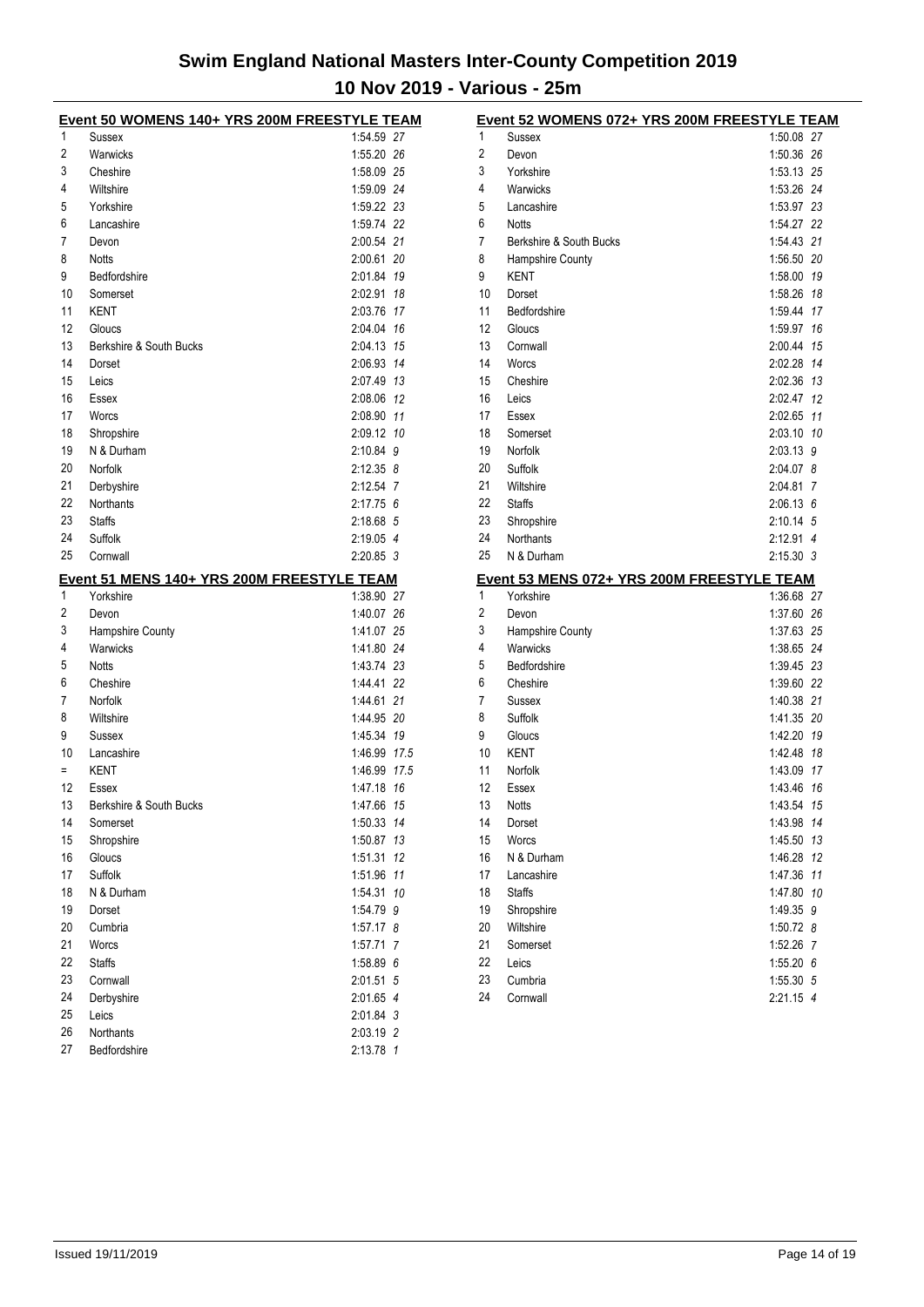| Event 50 WOMENS 140+ YRS 200M FREESTYLE TEAM |                                            |               |  |  |  |
|----------------------------------------------|--------------------------------------------|---------------|--|--|--|
| 1                                            | Sussex                                     | 1:54.59 27    |  |  |  |
| 2                                            | Warwicks                                   | 1:55.20 26    |  |  |  |
| 3                                            | Cheshire                                   | 1:58.09 25    |  |  |  |
| 4                                            | Wiltshire                                  | 1:59.09 24    |  |  |  |
| 5                                            | Yorkshire                                  | 1:59.22 23    |  |  |  |
| 6                                            | Lancashire                                 | 1:59.74 22    |  |  |  |
| 7                                            | Devon                                      | 2:00.54 21    |  |  |  |
| 8                                            | <b>Notts</b>                               | 2:00.61 20    |  |  |  |
| 9                                            | <b>Bedfordshire</b>                        | 2:01.84 19    |  |  |  |
| 10                                           | Somerset                                   | 2:02.91 18    |  |  |  |
| 11                                           | KENT                                       | 2:03.76 17    |  |  |  |
| 12                                           | Gloucs                                     | 2:04.04 16    |  |  |  |
| 13                                           | Berkshire & South Bucks                    | 2:04.13 15    |  |  |  |
| 14                                           | Dorset                                     | 2:06.93 14    |  |  |  |
| 15                                           | Leics                                      | 2:07.49 13    |  |  |  |
| 16                                           | Essex                                      | 2:08.06 12    |  |  |  |
| 17                                           | Worcs                                      | 2:08.90 11    |  |  |  |
| 18                                           | Shropshire                                 | 2:09.12 10    |  |  |  |
| 19                                           | N & Durham                                 | 2:10.84 9     |  |  |  |
| 20                                           | Norfolk                                    | $2:12.35$ 8   |  |  |  |
| 21                                           | Derbyshire                                 | 2:12.54 7     |  |  |  |
| 22                                           | Northants                                  | 2:17.756      |  |  |  |
| 23                                           | <b>Staffs</b>                              | 2:18.68 5     |  |  |  |
| 24                                           | Suffolk                                    | 2:19.05 4     |  |  |  |
| 25                                           | Cornwall                                   | $2:20.85$ 3   |  |  |  |
|                                              |                                            |               |  |  |  |
|                                              | Event 51 MENS 140+ YRS 200M FREESTYLE TEAM |               |  |  |  |
| 1                                            | Yorkshire                                  | 1:38.90 27    |  |  |  |
| 2                                            | Devon                                      | 1:40.07 26    |  |  |  |
| 3                                            | Hampshire County                           | 1:41.07 25    |  |  |  |
| 4                                            | Warwicks                                   | 1:41.80 24    |  |  |  |
| 5                                            | <b>Notts</b>                               | 1:43.74 23    |  |  |  |
| 6                                            | Cheshire                                   | 1:44.41 22    |  |  |  |
| 7                                            | Norfolk                                    | 1:44.61 21    |  |  |  |
| 8                                            | Wiltshire                                  | 1:44.95 20    |  |  |  |
| 9                                            | Sussex                                     | 1:45.34 19    |  |  |  |
| 10                                           | Lancashire                                 | 1:46.99 17.5  |  |  |  |
| $=$                                          | <b>KENT</b>                                | 1:46.99 17.5  |  |  |  |
| 12                                           | Essex                                      | 1:47.18 16    |  |  |  |
| 13                                           | Berkshire & South Bucks                    | 1:47.66 15    |  |  |  |
| 14                                           | Somerset                                   | 1:50.33 14    |  |  |  |
| 15                                           | Shropshire                                 | 1:50.87 13    |  |  |  |
| 16                                           | Gloucs                                     | 1:51.31<br>12 |  |  |  |
| 17                                           | Suffolk                                    | 1:51.96 11    |  |  |  |
| 18                                           | N & Durham                                 | 1:54.31 10    |  |  |  |
| 19                                           | Dorset                                     | 1:54.79 9     |  |  |  |
| 20                                           | Cumbria                                    | 1:57.17 8     |  |  |  |
| 21                                           | Worcs                                      | 1:57.71 7     |  |  |  |
| 22                                           | <b>Staffs</b>                              | 1:58.89 6     |  |  |  |
| 23                                           | Cornwall                                   | 2:01.51 5     |  |  |  |
| 24                                           | Derbyshire                                 | 2:01.65 4     |  |  |  |
| 25                                           | Leics                                      | 2:01.84 3     |  |  |  |
| 26                                           | Northants                                  | 2:03.19 2     |  |  |  |
| 27                                           | Bedfordshire                               | 2:13.78 1     |  |  |  |

|                | Event 52 WOMENS 072+ YRS 200M FREESTYLE TEAM |             |    |
|----------------|----------------------------------------------|-------------|----|
| 1              | Sussex                                       | 1:50.08     | 27 |
| 2              | Devon                                        | 1:50.36     | 26 |
| 3              | Yorkshire                                    | 1:53.13 25  |    |
| 4              | Warwicks                                     | 1:53.26 24  |    |
| 5              | Lancashire                                   | 1:53.97 23  |    |
| 6              | <b>Notts</b>                                 | 1:54.27 22  |    |
| 7              | Berkshire & South Bucks                      | 1:54.43 21  |    |
| 8              | <b>Hampshire County</b>                      | 1:56.50 20  |    |
| 9              | <b>KENT</b>                                  | 1:58.00     | 19 |
| 10             | Dorset                                       | 1:58.26     | 18 |
| 11             | Bedfordshire                                 | 1:59.44     | 17 |
| 12             | Gloucs                                       | 1:59.97     | 16 |
| 13             | Cornwall                                     | 2:00.44     | 15 |
| 14             | Worcs                                        | 2:02.28     | 14 |
| 15             | Cheshire                                     | 2:02.36     | 13 |
| 16             | Leics                                        | 2:02.47     | 12 |
| 17             | Essex                                        | 2:02.65     | 11 |
| 18             | Somerset                                     | 2:03.10 10  |    |
| 19             | Norfolk                                      | 2:03.13 9   |    |
| 20             | Suffolk                                      | 2:04.07 8   |    |
| 21             | Wiltshire                                    | 2:04.81     | 7  |
| 22             | <b>Staffs</b>                                | $2:06.13$ 6 |    |
| 23             | Shropshire                                   | 2:10.14 5   |    |
| 24             | <b>Northants</b>                             | 2:12.91     | 4  |
| 25             | N & Durham                                   | $2:15.30$ 3 |    |
|                | Event 53 MENS 072+ YRS 200M FREESTYLE TEAM   |             |    |
| 1              | Yorkshire                                    | 1:36.68 27  |    |
| $\overline{2}$ | Devon                                        | 1:37.60 26  |    |
| 3              | <b>Hampshire County</b>                      | 1:37.63 25  |    |
| 4              | Warwicks                                     | 1:38.65 24  |    |
| 5              | Bedfordshire                                 | 1:39.45 23  |    |
| 6              | Cheshire                                     | 1:39.60 22  |    |
| 7              | Sussex                                       | 1:40.38 21  |    |
| 8              | Suffolk                                      | 1:41.35 20  |    |
| 9              | Gloucs                                       | 1:42.20     | 19 |
| 10             | <b>KENT</b>                                  | 1:42.48     | 18 |
| 11             | Norfolk                                      | 1:43.09     | 17 |
| 12             | Essex                                        | 1:43.46     | 16 |
| 13             | Notts                                        | 1:43.54     | 15 |
| 14             | Dorset                                       | 1:43.98     | 14 |
| 15             | Worcs                                        | 1:45.50     | 13 |
| 16             | N & Durham                                   | 1:46.28     | 12 |
| 17             | Lancashire                                   | 1:47.36     | 11 |
| 18             | <b>Staffs</b>                                | 1:47.80     | 10 |
| 19             | Shropshire                                   | 1:49.35     | 9  |
| 20             | Wiltshire                                    | $1:50.72$ 8 |    |
| 21             | Somerset                                     | 1:52.26     | 7  |
| 22             |                                              |             |    |
|                | Leics                                        | 1:55.20     | 6  |
| 23             | Cumbria                                      | 1:55.30 5   |    |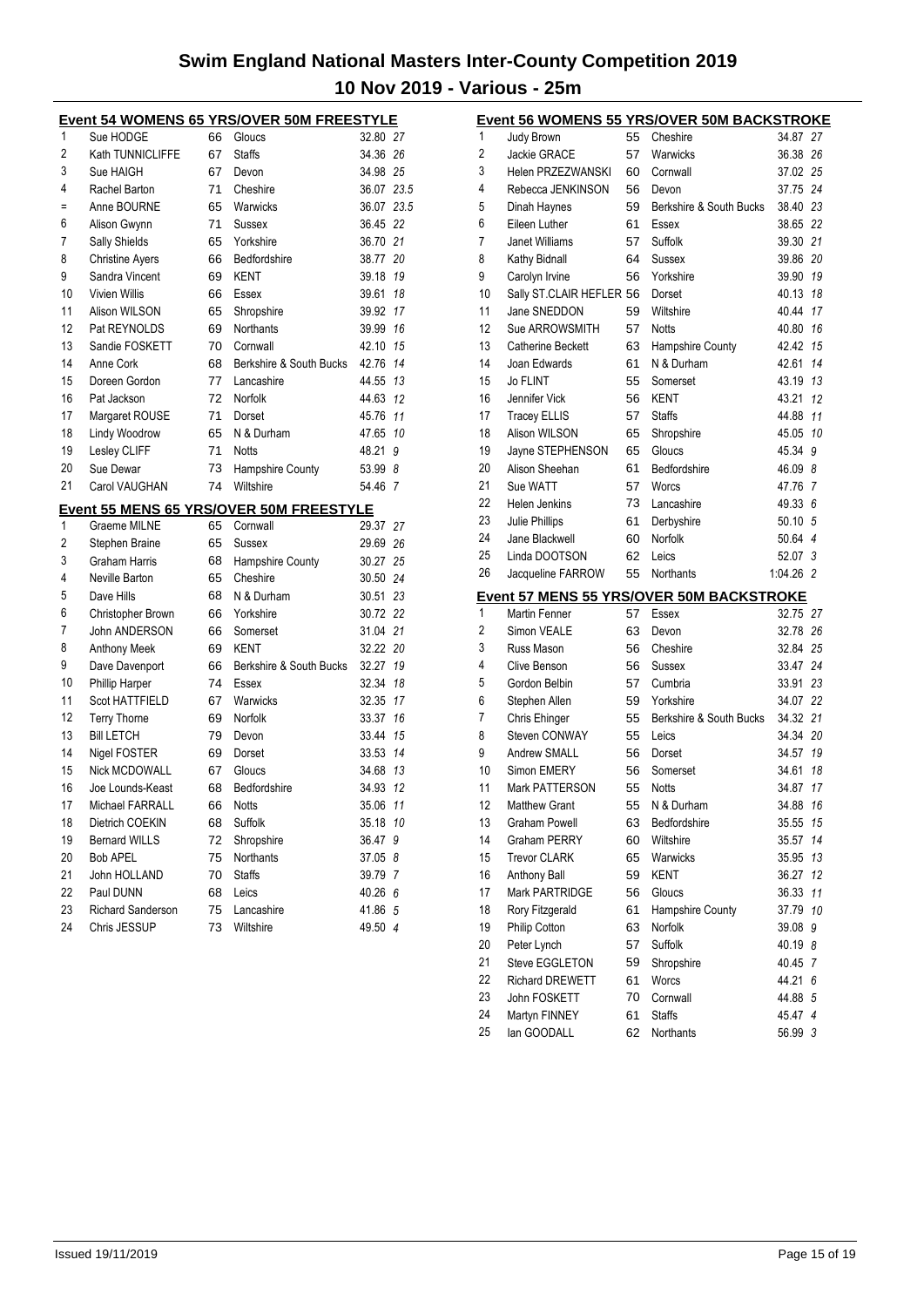| <b>Event 54 WOMENS 65 YRS/OVER 50M FREESTYLE</b> |                          |    |                                                |            |                |
|--------------------------------------------------|--------------------------|----|------------------------------------------------|------------|----------------|
| 1                                                | Sue HODGE                | 66 | Gloucs                                         | 32.80 27   |                |
| 2                                                | Kath TUNNICLIFFE         | 67 | <b>Staffs</b>                                  | 34.36 26   |                |
| 3                                                | Sue HAIGH                | 67 | Devon                                          | 34.98 25   |                |
| 4                                                | Rachel Barton            | 71 | Cheshire                                       | 36.07 23.5 |                |
| $=$                                              | Anne BOURNE              | 65 | Warwicks                                       | 36.07 23.5 |                |
| 6                                                | Alison Gwynn             | 71 | Sussex                                         | 36.45 22   |                |
| 7                                                | Sally Shields            | 65 | Yorkshire                                      | 36.70 21   |                |
| 8                                                | <b>Christine Ayers</b>   | 66 | Bedfordshire                                   | 38.77 20   |                |
| 9                                                | Sandra Vincent           | 69 | KENT                                           | 39.18      | 19             |
| 10                                               | <b>Vivien Willis</b>     | 66 | Essex                                          | 39.61      | 18             |
| 11                                               | Alison WILSON            | 65 | Shropshire                                     | 39.92      | 17             |
| 12                                               | Pat REYNOLDS             | 69 | Northants                                      | 39.99      | 16             |
| 13                                               | Sandie FOSKETT           | 70 | Cornwall                                       | 42.10      | 15             |
| 14                                               | Anne Cork                | 68 | Berkshire & South Bucks                        | 42.76      | 14             |
| 15                                               | Doreen Gordon            | 77 | Lancashire                                     | 44.55      | 13             |
| 16                                               | Pat Jackson              | 72 | Norfolk                                        | 44.63      | 12             |
| 17                                               | Margaret ROUSE           | 71 | Dorset                                         | 45.76      | 11             |
| 18                                               | <b>Lindy Woodrow</b>     | 65 | N & Durham                                     | 47.65      | 10             |
| 19                                               | Lesley CLIFF             | 71 | <b>Notts</b>                                   | 48.21      | 9              |
| 20                                               | Sue Dewar                | 73 | Hampshire County                               | 53.99 8    |                |
| 21                                               | Carol VAUGHAN            | 74 | Wiltshire                                      | 54.46      | $\overline{7}$ |
|                                                  |                          |    | <u>Event 55 MENS 65 YRS/OVER 50M FREESTYLE</u> |            |                |
| 1                                                | Graeme MILNE             | 65 | Cornwall                                       | 29.37 27   |                |
| 2                                                | Stephen Braine           | 65 | Sussex                                         | 29.69 26   |                |
| 3                                                | Graham Harris            | 68 | <b>Hampshire County</b>                        | 30.27 25   |                |
| 4                                                | Neville Barton           | 65 | Cheshire                                       | 30.50 24   |                |
| 5                                                | Dave Hills               | 68 | N & Durham                                     | 30.51      | 23             |
| 6                                                | Christopher Brown        | 66 | Yorkshire                                      | 30.72 22   |                |
| 7                                                | John ANDERSON            | 66 | Somerset                                       | 31.04 21   |                |
| 8                                                | Anthony Meek             | 69 | KENT                                           | 32.22 20   |                |
| 9                                                | Dave Davenport           | 66 | Berkshire & South Bucks                        | 32.27      | 19             |
| 10                                               | Phillip Harper           | 74 | Essex                                          | 32.34      | 18             |
| 11                                               | Scot HATTFIELD           | 67 | Warwicks                                       | 32.35      | 17             |
| 12                                               | <b>Terry Thorne</b>      | 69 | Norfolk                                        | 33.37      | 16             |
| 13                                               | <b>Bill LETCH</b>        | 79 | Devon                                          | 33.44      | 15             |
| 14                                               | Nigel FOSTER             | 69 | Dorset                                         | 33.53      | 14             |
| 15                                               | Nick MCDOWALL            | 67 | Gloucs                                         | 34.68      | 13             |
| 16                                               | Joe Lounds-Keast         | 68 | Bedfordshire                                   | 34.93      | 12             |
| 17                                               | <b>Michael FARRALL</b>   | 66 | Notts                                          | 35.06      | 11             |
| 18                                               | Dietrich COEKIN          | 68 | Suffolk                                        | 35.18      | 10             |
| 19                                               | <b>Bernard WILLS</b>     | 72 | Shropshire                                     | 36.47      | 9              |
| 20                                               | Bob APEL                 | 75 | Northants                                      | 37.05 8    |                |
| 21                                               | John HOLLAND             | 70 | <b>Staffs</b>                                  | 39.79 7    |                |
| 22                                               | Paul DUNN                | 68 | Leics                                          | 40.26 6    |                |
| 23                                               | <b>Richard Sanderson</b> | 75 | Lancashire                                     | 41.86 5    |                |
| 24                                               | Chris JESSUP             | 73 | Wiltshire                                      | 49.50 4    |                |

|    |                          |    | <b>Event 56 WOMENS 55 YRS/OVER 50M BACKSTROKE</b> |           |    |
|----|--------------------------|----|---------------------------------------------------|-----------|----|
| 1  | Judy Brown               | 55 | Cheshire                                          | 34.87     | 27 |
| 2  | <b>Jackie GRACE</b>      | 57 | Warwicks                                          | 36.38 26  |    |
| 3  | Helen PRZEZWANSKI        | 60 | Cornwall                                          | 37.02 25  |    |
| 4  | Rebecca JENKINSON        | 56 | Devon                                             | 37.75 24  |    |
| 5  | Dinah Haynes             | 59 | Berkshire & South Bucks                           | 38.40 23  |    |
| 6  | Eileen Luther            | 61 | Essex                                             | 38.65 22  |    |
| 7  | <b>Janet Williams</b>    | 57 | Suffolk                                           | 39.30 21  |    |
| 8  | Kathy Bidnall            | 64 | Sussex                                            | 39.86 20  |    |
| 9  | Carolyn Irvine           | 56 | Yorkshire                                         | 39.90     | 19 |
| 10 | Sally ST.CLAIR HEFLER 56 |    | Dorset                                            | 40.13     | 18 |
| 11 | Jane SNEDDON             | 59 | Wiltshire                                         | 40.44     | 17 |
| 12 | Sue ARROWSMITH           | 57 | <b>Notts</b>                                      | 40.80     | 16 |
| 13 | <b>Catherine Beckett</b> | 63 | Hampshire County                                  | 42.42     | 15 |
| 14 | Joan Edwards             | 61 | N & Durham                                        | 42.61     | 14 |
| 15 | <b>Jo FLINT</b>          | 55 | Somerset                                          | 43.19 13  |    |
| 16 | Jennifer Vick            | 56 | <b>KENT</b>                                       | 43.21     | 12 |
| 17 | <b>Tracey ELLIS</b>      | 57 | <b>Staffs</b>                                     | 44.88     | 11 |
| 18 | Alison WILSON            | 65 | Shropshire                                        | 45.05     | 10 |
| 19 | Jayne STEPHENSON         | 65 | Gloucs                                            | 45.34     | 9  |
| 20 | Alison Sheehan           | 61 | Bedfordshire                                      | 46.09 8   |    |
| 21 | Sue WATT                 | 57 | <b>Worcs</b>                                      | 47.76     | 7  |
| 22 | Helen Jenkins            | 73 | Lancashire                                        | 49.33     | 6  |
| 23 | Julie Phillips           | 61 | Derbyshire                                        | 50.10     | 5  |
| 24 | Jane Blackwell           | 60 | Norfolk                                           | 50.64     | 4  |
| 25 | Linda DOOTSON            | 62 | Leics                                             | 52.07     | 3  |
| 26 | Jacqueline FARROW        | 55 | <b>Northants</b>                                  | 1:04.26 2 |    |
|    |                          |    | Event 57 MENS 55 YRS/OVER 50M BACKSTROKE          |           |    |
| 1  | <b>Martin Fenner</b>     | 57 | Essex                                             | 32.75 27  |    |
| 2  | Simon VEALE              | 63 | Devon                                             | 32.78 26  |    |
| 3  | Russ Mason               | 56 | Cheshire                                          | 32.84 25  |    |
| 4  | Clive Benson             | 56 | Sussex                                            | 33.47     | 24 |
| 5  | Gordon Belbin            | 57 | Cumbria                                           | 33.91     | 23 |
| 6  | Stephen Allen            | 59 | Yorkshire                                         | 34.07     | 22 |
| 7  | Chris Ehinger            | 55 | Berkshire & South Bucks                           | 34.32     | 21 |
| 8  | Steven CONWAY            | 55 | Leics                                             | 34.34     | 20 |
| 9  | <b>Andrew SMALL</b>      | 56 | Dorset                                            | 34.57     | 19 |
| 10 | Simon EMERY              | 56 | Somerset                                          | 34.61     | 18 |
| 11 | <b>Mark PATTERSON</b>    | 55 | <b>Notts</b>                                      | 34.87     | 17 |
| 12 | <b>Matthew Grant</b>     | 55 | N & Durham                                        | 34.88     | 16 |
| 13 | <b>Graham Powell</b>     | 63 | Bedfordshire                                      | 35.55     | 15 |
| 14 | <b>Graham PERRY</b>      | 60 | Wiltshire                                         | 35.57     | 14 |
| 15 | <b>Trevor CLARK</b>      | 65 | Warwicks                                          | 35.95     | 13 |
| 16 | <b>Anthony Ball</b>      | 59 | <b>KENT</b>                                       | 36.27     | 12 |
| 17 | Mark PARTRIDGE           | 56 | Gloucs                                            | 36.33     | 11 |
| 18 | Rory Fitzgerald          | 61 | Hampshire County                                  | 37.79     | 10 |
| 19 | Philip Cotton            | 63 | Norfolk                                           | 39.08     | 9  |
| 20 | Peter Lynch              | 57 | Suffolk                                           | 40.19 8   |    |
| 21 | <b>Steve EGGLETON</b>    | 59 | Shropshire                                        | 40.45     | 7  |
| 22 | <b>Richard DREWETT</b>   | 61 | Worcs                                             | 44.21     | 6  |
| 23 | John FOSKETT             | 70 | Cornwall                                          | 44.88     | 5  |
| 24 | Martyn FINNEY            | 61 | <b>Staffs</b>                                     | 45.47 4   |    |
| 25 | lan GOODALL              | 62 | Northants                                         | 56.99 3   |    |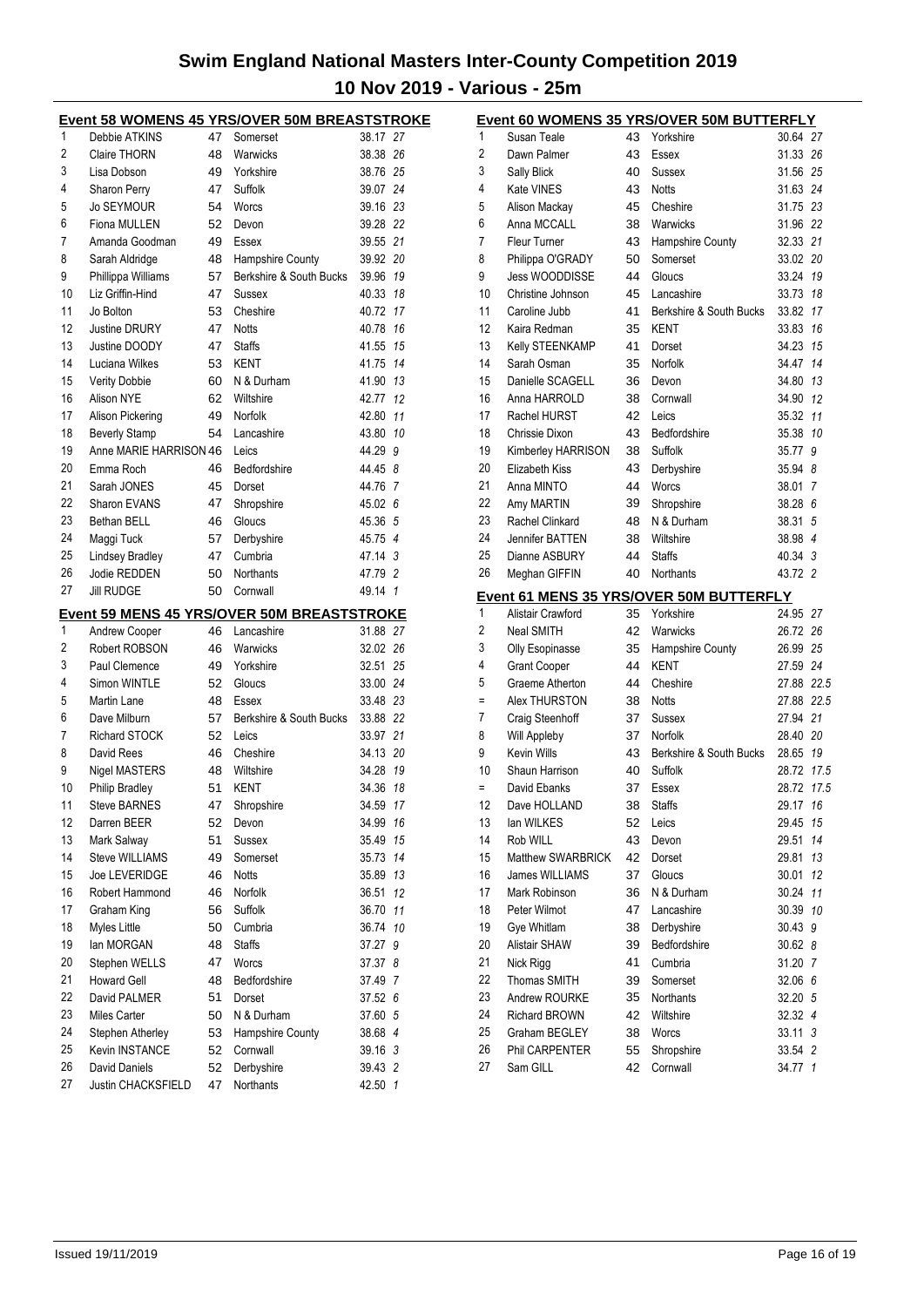|          |                                            |          | <b>Event 58 WOMENS 45 YRS/OVER 50M BREASTSTROKE</b> |                    |    |
|----------|--------------------------------------------|----------|-----------------------------------------------------|--------------------|----|
| 1        | Debbie ATKINS                              | 47       | Somerset                                            | 38.17 27           |    |
| 2        | <b>Claire THORN</b>                        | 48       | Warwicks                                            | 38.38 26           |    |
| 3        | Lisa Dobson                                | 49       | Yorkshire                                           | 38.76 25           |    |
| 4        | Sharon Perry                               | 47       | Suffolk                                             | 39.07 24           |    |
| 5        | <b>Jo SEYMOUR</b>                          | 54       | Worcs                                               | 39.16 23           |    |
| 6        | Fiona MULLEN                               | 52       | Devon                                               | 39.28 22           |    |
| 7        | Amanda Goodman                             | 49       | Essex                                               | 39.55 21           |    |
| 8        | Sarah Aldridge                             | 48       | Hampshire County                                    | 39.92 20           |    |
| 9        | Phillippa Williams                         | 57       | Berkshire & South Bucks                             | 39.96              | 19 |
| 10       | Liz Griffin-Hind                           | 47       | <b>Sussex</b>                                       | 40.33              | 18 |
| 11       | Jo Bolton                                  | 53       | Cheshire                                            | 40.72              | 17 |
| 12       | <b>Justine DRURY</b>                       | 47       | <b>Notts</b>                                        | 40.78              | 16 |
| 13       | Justine DOODY                              | 47       | <b>Staffs</b>                                       | 41.55 15           |    |
| 14       | Luciana Wilkes                             | 53       | KENT                                                | 41.75 14           |    |
| 15       | <b>Verity Dobbie</b>                       | 60       | N & Durham                                          | 41.90 13           |    |
| 16       | Alison NYE                                 | 62       | Wiltshire                                           | 42.77              | 12 |
| 17       | Alison Pickering                           | 49       | Norfolk                                             | 42.80              | 11 |
| 18       | <b>Beverly Stamp</b>                       | 54       | Lancashire                                          | 43.80 10           |    |
| 19       | Anne MARIE HARRISON 46                     |          | Leics                                               | 44.29 9            |    |
| 20       | Emma Roch                                  | 46       | Bedfordshire                                        | 44.45 8            |    |
| 21       | Sarah JONES                                | 45       | Dorset                                              | 44.76 7            |    |
| 22       | Sharon EVANS                               | 47       | Shropshire                                          | 45.02 6            |    |
| 23       | Bethan BELL                                | 46       | Gloucs                                              | 45.36 5            |    |
| 24       | Maggi Tuck                                 | 57       | Derbyshire                                          | 45.75 4            |    |
| 25       | Lindsey Bradley                            | 47       | Cumbria                                             | 47.14 3            |    |
| 26       | Jodie REDDEN                               | 50       | <b>Northants</b>                                    | 47.79 2            |    |
| 27       | <b>Jill RUDGE</b>                          | 50       | Cornwall                                            | 49.14 1            |    |
|          |                                            |          | <b>Event 59 MENS 45 YRS/OVER 50M BREASTSTROKE</b>   |                    |    |
| 1        | Andrew Cooper                              | 46       | Lancashire                                          | 31.88 27           |    |
| 2        | Robert ROBSON                              | 46       | Warwicks                                            | 32.02 26           |    |
| 3        | Paul Clemence                              | 49       | Yorkshire                                           | 32.51 25           |    |
| 4        | Simon WINTLE                               | 52       | Gloucs                                              | 33.00 24           |    |
| 5        | Martin Lane                                | 48       | Essex                                               | 33.48 23           |    |
| 6        | Dave Milburn                               | 57       | Berkshire & South Bucks                             | 33.88 22           |    |
| 7        | Richard STOCK                              | 52       | Leics                                               | 33.97 21           |    |
| 8        | David Rees                                 | 46       | Cheshire                                            | 34.13 20           |    |
| 9        | <b>Nigel MASTERS</b>                       | 48       | Wiltshire                                           | 34.28 19           |    |
| 10       | Philip Bradley                             | 51       | <b>KENT</b>                                         | 34.36              | 18 |
| 11       | <b>Steve BARNES</b>                        | 47       | Shropshire                                          | 34.59 17           |    |
| 12       | Darren BEER                                | 52       | Devon                                               | 34.99              | 16 |
| 13       | Mark Salway                                | 51       | Sussex                                              | 35.49              | 15 |
| 14       | Steve WILLIAMS                             | 49       | Somerset                                            | 35.73              | 14 |
| 15       | Joe LEVERIDGE                              | 46       | <b>Notts</b>                                        | 35.89              | 13 |
| 16       | Robert Hammond                             | 46       | <b>Norfolk</b>                                      | 36.51              | 12 |
| 17       | Graham King                                | 56       | Suffolk                                             | 36.70              | 11 |
| 18       | Myles Little                               | 50       | Cumbria                                             | 36.74              | 10 |
| 19       | lan MORGAN                                 | 48       | <b>Staffs</b>                                       | 37.27              | 9  |
| 20       | Stephen WELLS                              | 47       | Worcs                                               | 37.37 8            |    |
| 21       |                                            |          | Bedfordshire                                        | 37.49 7            |    |
|          |                                            |          |                                                     |                    |    |
|          | <b>Howard Gell</b>                         | 48       |                                                     |                    |    |
| 22       | David PALMER                               | 51       | Dorset                                              | 37.52 6            |    |
| 23       | <b>Miles Carter</b>                        | 50       | N & Durham                                          | 37.60 5            |    |
| 24       | Stephen Atherley                           | 53       | Hampshire County                                    | 38.68 4            |    |
| 25       | Kevin INSTANCE                             | 52       | Cornwall                                            | 39.16 3            |    |
| 26<br>27 | David Daniels<br><b>Justin CHACKSFIELD</b> | 52<br>47 | Derbyshire<br>Northants                             | 39.43 2<br>42.50 1 |    |

| Event 60 WOMENS 35 YRS/OVER 50M BUTTERFLY |                                               |    |                                                      |            |                |
|-------------------------------------------|-----------------------------------------------|----|------------------------------------------------------|------------|----------------|
| 1                                         | Susan Teale                                   | 43 | Yorkshire                                            | 30.64 27   |                |
| 2                                         | Dawn Palmer                                   | 43 | Essex                                                | 31.33 26   |                |
| 3                                         | Sally Blick                                   | 40 | Sussex                                               | 31.56 25   |                |
| 4                                         | Kate VINES                                    | 43 | <b>Notts</b>                                         | 31.63 24   |                |
| 5                                         | Alison Mackay                                 | 45 | Cheshire                                             | 31.75 23   |                |
| 6                                         | Anna MCCALL                                   | 38 | Warwicks                                             | 31.96 22   |                |
| 7                                         | <b>Fleur Turner</b>                           | 43 | Hampshire County                                     | 32.33 21   |                |
| 8                                         | Philippa O'GRADY                              | 50 | Somerset                                             | 33.02      | 20             |
| 9                                         | Jess WOODDISSE                                | 44 | Gloucs                                               | 33.24      | 19             |
| 10                                        | Christine Johnson                             | 45 | Lancashire                                           | 33.73      | 18             |
| 11                                        | Caroline Jubb                                 | 41 | Berkshire & South Bucks                              | 33.82      | 17             |
| 12                                        | Kaira Redman                                  | 35 | <b>KENT</b>                                          | 33.83      | 16             |
| 13                                        | Kelly STEENKAMP                               | 41 | Dorset                                               | 34.23      | 15             |
| 14                                        | Sarah Osman                                   | 35 | Norfolk                                              | 34.47      | 14             |
| 15                                        | Danielle SCAGELL                              | 36 | Devon                                                | 34.80      | 13             |
| 16                                        | Anna HARROLD                                  | 38 | Cornwall                                             | 34.90      | 12             |
| 17                                        | Rachel HURST                                  | 42 | Leics                                                | 35.32      | 11             |
| 18                                        | Chrissie Dixon                                | 43 | Bedfordshire                                         | 35.38      | 10             |
| 19                                        | Kimberley HARRISON                            | 38 | Suffolk                                              | 35.77      | 9              |
| 20                                        | <b>Elizabeth Kiss</b>                         | 43 | Derbyshire                                           | 35.94      | 8              |
| 21                                        | Anna MINTO                                    | 44 | Worcs                                                | 38.01      | 7              |
| 22                                        | Amy MARTIN                                    | 39 | Shropshire                                           | 38.28      | 6              |
| 23                                        | Rachel Clinkard                               | 48 | N & Durham                                           | 38.31      | 5              |
| 24                                        | Jennifer BATTEN                               | 38 | Wiltshire                                            | 38.98      | $\overline{4}$ |
| 25                                        | Dianne ASBURY                                 | 44 | <b>Staffs</b>                                        | 40.34 3    |                |
| 26                                        | Meghan GIFFIN                                 | 40 | Northants                                            | 43.72      | $\overline{2}$ |
|                                           |                                               |    |                                                      |            |                |
| 1                                         | Alistair Crawford                             | 35 | Event 61 MENS 35 YRS/OVER 50M BUTTERFLY<br>Yorkshire | 24.95 27   |                |
| 2                                         | Neal SMITH                                    | 42 | Warwicks                                             | 26.72      | 26             |
| 3                                         |                                               | 35 |                                                      | 26.99      | 25             |
| 4                                         | <b>Olly Esopinasse</b><br><b>Grant Cooper</b> | 44 | Hampshire County<br>KENT                             | 27.59 24   |                |
| 5                                         | Graeme Atherton                               | 44 | Cheshire                                             | 27.88 22.5 |                |
| Ξ                                         | Alex THURSTON                                 | 38 | <b>Notts</b>                                         | 27.88      | 22.5           |
| 7                                         |                                               | 37 | Sussex                                               | 27.94 21   |                |
| 8                                         | Craig Steenhoff<br><b>Will Appleby</b>        | 37 | <b>Norfolk</b>                                       | 28.40      | -20            |
| 9                                         | Kevin Wills                                   | 43 | Berkshire & South Bucks                              | 28.65      | 19             |
| 10                                        | Shaun Harrison                                | 40 | Suffolk                                              | 28.72      | 17.5           |
| $\equiv$                                  | David Ebanks                                  | 37 |                                                      | 28.72      | 17.5           |
| 12                                        | Dave HOLLAND                                  | 38 | Essex                                                | 29.17 16   |                |
| 13                                        | lan WILKES                                    | 52 | <b>Staffs</b>                                        | 29.45      | 15             |
| 14                                        | Rob WILL                                      | 43 | Leics                                                | 29.51      | 14             |
| 15                                        | Matthew SWARBRICK                             | 42 | Devon                                                | 29.81      | 13             |
| 16                                        |                                               |    | Dorset                                               |            |                |
| 17                                        | James WILLIAMS                                | 37 | Gloucs                                               | 30.01      | 12<br>11       |
|                                           | Mark Robinson                                 | 36 | N & Durham<br>Lancashire                             | 30.24      |                |
| 18<br>19                                  | Peter Wilmot<br>Gye Whitlam                   | 47 | Derbyshire                                           | 30.39      | 10             |
| 20                                        |                                               | 38 | Bedfordshire                                         | 30.43      | 9              |
|                                           | Alistair SHAW                                 | 39 |                                                      | 30.62      | 8              |
| 21                                        | Nick Rigg                                     | 41 | Cumbria                                              | 31.20      | 7              |
| 22                                        | Thomas SMITH                                  | 39 | Somerset                                             | 32.06      | 6              |
| 23                                        | Andrew ROURKE                                 | 35 | Northants                                            | 32.20      | 5              |
| 24                                        | Richard BROWN                                 | 42 | Wiltshire                                            | 32.32      | 4              |
| 25                                        | Graham BEGLEY                                 | 38 | Worcs                                                | 33.11      | 3              |
| 26                                        | Phil CARPENTER                                | 55 | Shropshire                                           | 33.54      | $\overline{2}$ |
| 27                                        | Sam GILL                                      | 42 | Cornwall                                             | 34.77      | 1              |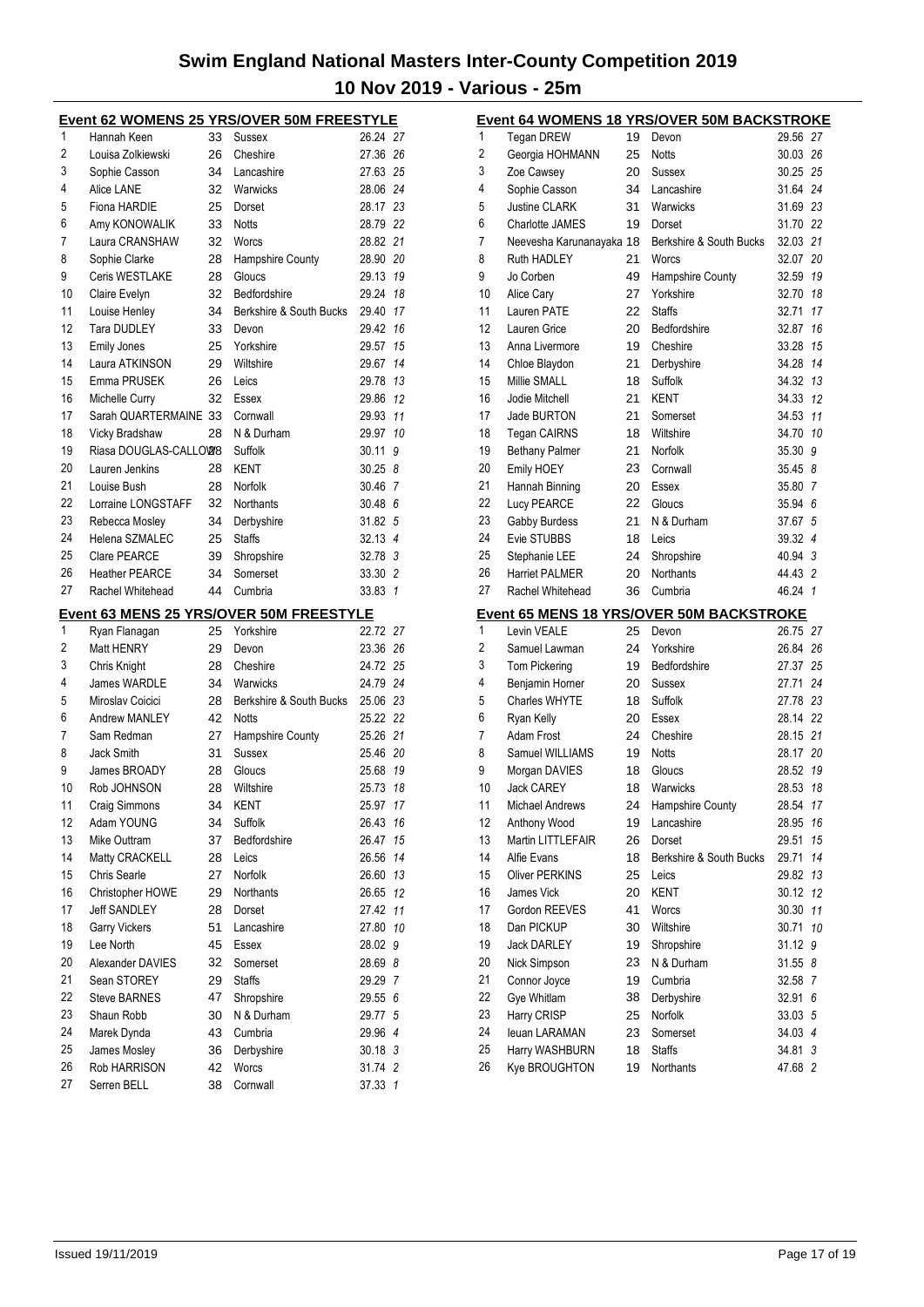| Event 62 WOMENS 25 YRS/OVER 50M FREESTYLE |                                   |          |                                         |                  |    |  |
|-------------------------------------------|-----------------------------------|----------|-----------------------------------------|------------------|----|--|
| 1                                         | Hannah Keen                       | 33       | Sussex                                  | 26.24 27         |    |  |
| 2                                         | Louisa Zolkiewski                 | 26       | Cheshire                                | 27.36 26         |    |  |
| 3                                         | Sophie Casson                     | 34       | Lancashire                              | 27.63 25         |    |  |
| 4                                         | Alice LANE                        | 32       | Warwicks                                | 28.06 24         |    |  |
| 5                                         | Fiona HARDIE                      | 25       | Dorset                                  | 28.17 23         |    |  |
| 6                                         | Amy KONOWALIK                     | 33       | <b>Notts</b>                            | 28.79 22         |    |  |
| 7                                         | Laura CRANSHAW                    | 32       | Worcs                                   | 28.82 21         |    |  |
| 8                                         | Sophie Clarke                     | 28       | Hampshire County                        | 28.90            | 20 |  |
| 9                                         | Ceris WESTLAKE                    | 28       | Gloucs                                  | 29.13            | 19 |  |
| 10                                        | Claire Evelyn                     | 32       | Bedfordshire                            | 29.24            | 18 |  |
| 11                                        | Louise Henley                     | 34       | Berkshire & South Bucks                 | 29.40            | 17 |  |
| 12                                        | <b>Tara DUDLEY</b>                | 33       | Devon                                   | 29.42            | 16 |  |
| 13                                        | <b>Emily Jones</b>                | 25       | Yorkshire                               | 29.57            | 15 |  |
| 14                                        | Laura ATKINSON                    | 29       | Wiltshire                               | 29.67            | 14 |  |
| 15                                        | Emma PRUSEK                       | 26       | Leics                                   | 29.78            | 13 |  |
| 16                                        | Michelle Curry                    | 32       | Essex                                   | 29.86            | 12 |  |
| 17                                        | Sarah QUARTERMAINE 33             |          | Cornwall                                | 29.93            | 11 |  |
| 18                                        | Vicky Bradshaw                    | 28       | N & Durham                              | 29.97            | 10 |  |
| 19                                        | Riasa DOUGLAS-CALLOW8             |          | Suffolk                                 | 30.11            | 9  |  |
| 20                                        | Lauren Jenkins                    | 28       | <b>KENT</b>                             | 30.258           |    |  |
| 21                                        | Louise Bush                       | 28       | Norfolk                                 | 30.46 7          |    |  |
| 22                                        | Lorraine LONGSTAFF                | 32       | Northants                               | 30.48 6          |    |  |
| 23                                        | Rebecca Mosley                    | 34       | Derbyshire                              | 31.82 5          |    |  |
| 24                                        | Helena SZMALEC                    | 25       | <b>Staffs</b>                           | 32.13 4          |    |  |
| 25                                        | <b>Clare PEARCE</b>               | 39       | Shropshire                              | 32.78 3          |    |  |
| 26                                        | <b>Heather PEARCE</b>             | 34       | Somerset                                | 33.30 2          |    |  |
| 27                                        | Rachel Whitehead                  | 44       | Cumbria                                 | 33.83            | 1  |  |
|                                           |                                   |          | Event 63 MENS 25 YRS/OVER 50M FREESTYLE |                  |    |  |
|                                           |                                   |          |                                         |                  |    |  |
| 1                                         |                                   | 25       | Yorkshire                               | 22.72 27         |    |  |
| 2                                         | Ryan Flanagan<br>Matt HENRY       | 29       | Devon                                   | 23.36 26         |    |  |
| 3                                         |                                   | 28       | Cheshire                                | 24.72            | 25 |  |
| 4                                         | Chris Knight<br>James WARDLE      | 34       | Warwicks                                | 24.79 24         |    |  |
| 5                                         | Miroslav Coicici                  | 28       | Berkshire & South Bucks                 | 25.06 23         |    |  |
| 6                                         | <b>Andrew MANLEY</b>              | 42       | <b>Notts</b>                            | 25.22 22         |    |  |
| 7                                         | Sam Redman                        | 27       |                                         | 25.26 21         |    |  |
| 8                                         | Jack Smith                        | 31       | <b>Hampshire County</b><br>Sussex       | 25.46 20         |    |  |
| 9                                         | James BROADY                      | 28       | Gloucs                                  | 25.68            | 19 |  |
| 10                                        | Rob JOHNSON                       | 28       | Wiltshire                               | 25.73            | 18 |  |
| 11                                        | Craig Simmons                     | 34       | KENT                                    | 25.97 17         |    |  |
| 12                                        | Adam YOUNG                        | 34       | Suffolk                                 | 26.43            | 16 |  |
| 13                                        | Mike Outtram                      | 37       | Bedfordshire                            | 26.47            | 15 |  |
| 14                                        | Matty CRACKELL                    | 28       | Leics                                   | 26.56            | 14 |  |
| 15                                        | Chris Searle                      | 27       | Norfolk                                 | 26.60            | 13 |  |
| 16                                        |                                   | 29       | Northants                               | 26.65            | 12 |  |
| 17                                        | Christopher HOWE                  | 28       | Dorset                                  | 27.42            | 11 |  |
| 18                                        | <b>Jeff SANDLEY</b>               | 51       | Lancashire                              |                  | 10 |  |
| 19                                        | <b>Garry Vickers</b><br>Lee North | 45       | Essex                                   | 27.80            | 9  |  |
| 20                                        | Alexander DAVIES                  |          | Somerset                                | 28.02            | 8  |  |
|                                           | Sean STOREY                       | 32<br>29 | <b>Staffs</b>                           | 28.69<br>29.29 7 |    |  |
| 21<br>22                                  | <b>Steve BARNES</b>               | 47       | Shropshire                              | 29.55            | 6  |  |
|                                           | Shaun Robb                        | 30       | N & Durham                              | 29.77            | 5  |  |
| 23                                        |                                   | 43       | Cumbria                                 | 29.96 4          |    |  |
| 24                                        | Marek Dynda<br>James Mosley       | 36       | Derbyshire                              | 30.18 3          |    |  |
| 25<br>26                                  | Rob HARRISON                      | 42       | Worcs                                   | 31.74 2          |    |  |
| 27                                        | Serren BELL                       | 38       | Cornwall                                | 37.33 1          |    |  |

|    |                          |    | <b>Event 64 WOMENS 18 YRS/OVER 50M BACKSTROKE</b> |          |                |
|----|--------------------------|----|---------------------------------------------------|----------|----------------|
| 1  | <b>Tegan DREW</b>        | 19 | Devon                                             | 29.56    | 27             |
| 2  | Georgia HOHMANN          | 25 | <b>Notts</b>                                      | 30.03 26 |                |
| 3  | Zoe Cawsey               | 20 | Sussex                                            | 30.25 25 |                |
| 4  | Sophie Casson            | 34 | Lancashire                                        | 31.64 24 |                |
| 5  | <b>Justine CLARK</b>     | 31 | Warwicks                                          | 31.69 23 |                |
| 6  | <b>Charlotte JAMES</b>   | 19 | Dorset                                            | 31.70 22 |                |
| 7  | Neevesha Karunanayaka 18 |    | Berkshire & South Bucks                           | 32.03 21 |                |
| 8  | <b>Ruth HADLEY</b>       | 21 | Worcs                                             | 32.07    | 20             |
| 9  | Jo Corben                | 49 | Hampshire County                                  | 32.59    | 19             |
| 10 | Alice Cary               | 27 | Yorkshire                                         | 32.70    | 18             |
| 11 | Lauren PATE              | 22 | <b>Staffs</b>                                     | 32.71    | 17             |
| 12 | Lauren Grice             | 20 | Bedfordshire                                      | 32.87    | 16             |
| 13 | Anna Livermore           | 19 | Cheshire                                          | 33.28    | 15             |
| 14 | Chloe Blaydon            | 21 | Derbyshire                                        | 34.28 14 |                |
| 15 | Millie SMALL             | 18 | Suffolk                                           | 34.32    | 13             |
| 16 | Jodie Mitchell           | 21 | <b>KENT</b>                                       | 34.33    | 12             |
| 17 | <b>Jade BURTON</b>       | 21 | Somerset                                          | 34.53    | 11             |
| 18 | <b>Tegan CAIRNS</b>      | 18 | Wiltshire                                         | 34.70    | 10             |
| 19 |                          | 21 | Norfolk                                           | 35.30    | 9              |
| 20 | <b>Bethany Palmer</b>    | 23 | Cornwall                                          |          | 8              |
| 21 | Emily HOEY               |    |                                                   | 35.45    | 7              |
| 22 | Hannah Binning           | 20 | Essex                                             | 35.80    |                |
| 23 | Lucy PEARCE              | 22 | Gloucs                                            | 35.94    | 6              |
|    | Gabby Burdess            | 21 | N & Durham                                        | 37.67    | 5              |
| 24 | Evie STUBBS              | 18 | Leics                                             | 39.32    | 4              |
| 25 | Stephanie LEE            | 24 | Shropshire                                        | 40.94    | 3              |
| 26 | <b>Harriet PALMER</b>    | 20 | <b>Northants</b>                                  | 44.43    | $\overline{2}$ |
| 27 | Rachel Whitehead         | 36 | Cumbria                                           | 46.24    | 1              |
|    |                          |    | <b>Event 65 MENS 18 YRS/OVER 50M BACKSTROKE</b>   |          |                |
| 1  | Levin VEALE              | 25 | Devon                                             | 26.75 27 |                |
| 2  | Samuel Lawman            | 24 | Yorkshire                                         | 26.84    | 26             |
| 3  | <b>Tom Pickering</b>     | 19 | Bedfordshire                                      | 27.37    | 25             |
| 4  | Benjamin Horner          | 20 | Sussex                                            | 27.71    | 24             |
| 5  | <b>Charles WHYTE</b>     | 18 | Suffolk                                           | 27.78 23 |                |
| 6  | Ryan Kelly               | 20 | Essex                                             | 28.14 22 |                |
| 7  | Adam Frost               | 24 | Cheshire                                          | 28.15 21 |                |
| 8  | Samuel WILLIAMS          | 19 | <b>Notts</b>                                      | 28.17    | 20             |
| 9  | Morgan DAVIES            | 18 | Gloucs                                            | 28.52    | 19             |
| 10 | <b>Jack CAREY</b>        | 18 | Warwicks                                          | 28.53    | 18             |
| 11 | Michael Andrews          | 24 | Hampshire County                                  | 28.54    | 17             |
| 12 | Anthony Wood             | 19 | Lancashire                                        | 28.95    | 16             |
| 13 | Martin LITTLEFAIR        | 26 | Dorset                                            | 29.51    | 15             |
| 14 | Alfie Evans              | 18 | Berkshire & South Bucks                           | 29.71    | 14             |
| 15 | Oliver PERKINS           | 25 | Leics                                             | 29.82    | 13             |
| 16 | James Vick               | 20 | KENT                                              | 30.12    | 12             |
| 17 | Gordon REEVES            | 41 | Worcs                                             | 30.30    | 11             |
| 18 | Dan PICKUP               | 30 | Wiltshire                                         | 30.71    | 10             |
| 19 | <b>Jack DARLEY</b>       | 19 | Shropshire                                        | 31.12    | 9              |
| 20 | Nick Simpson             | 23 | N & Durham                                        | 31.55    | 8              |
| 21 | Connor Joyce             | 19 | Cumbria                                           | 32.58    | 7              |
| 22 | Gye Whitlam              | 38 | Derbyshire                                        | 32.91    | 6              |
| 23 | Harry CRISP              | 25 | Norfolk                                           | 33.03    | 5              |
| 24 | leuan LARAMAN            | 23 | Somerset                                          | 34.03    | 4              |
| 25 | Harry WASHBURN           | 18 | <b>Staffs</b>                                     | 34.81    | 3              |
| 26 | Kye BROUGHTON            | 19 | Northants                                         | 47.68 2  |                |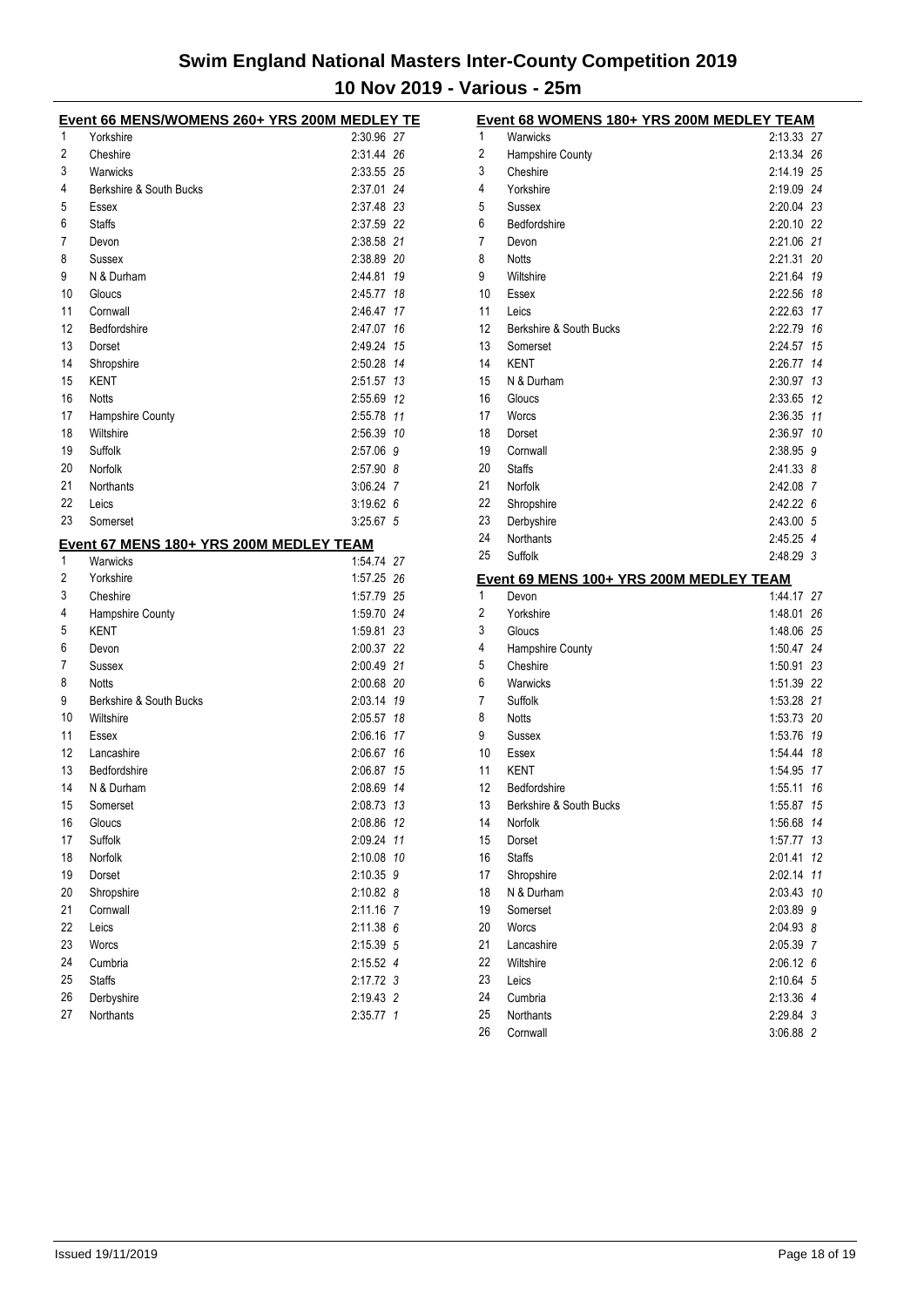|    | Event 66 MENS/WOMENS 260+ YRS 200M MEDLEY TE        |                      |                |
|----|-----------------------------------------------------|----------------------|----------------|
| 1  | Yorkshire                                           | 2:30.96 27           |                |
| 2  | Cheshire                                            | 2:31.44 26           |                |
| 3  | Warwicks                                            | 2:33.55 25           |                |
| 4  | Berkshire & South Bucks                             | 2:37.01 24           |                |
| 5  | Essex                                               | 2:37.48 23           |                |
| 6  | <b>Staffs</b>                                       | 2:37.59 22           |                |
| 7  | Devon                                               | 2:38.58 21           |                |
| 8  | Sussex                                              | 2:38.89 20           |                |
| 9  | N & Durham                                          | 2:44.81 19           |                |
| 10 | Gloucs                                              | 2:45.77              | 18             |
| 11 | Cornwall                                            | 2:46.47              | 17             |
| 12 | Bedfordshire                                        | 2:47.07              | 16             |
| 13 | Dorset                                              | 2:49.24              | 15             |
| 14 | Shropshire                                          | 2:50.28 14           |                |
| 15 | <b>KENT</b>                                         | 2:51.57 13           |                |
| 16 | <b>Notts</b>                                        | 2:55.69 12           |                |
| 17 | Hampshire County                                    | 2:55.78 11           |                |
| 18 | Wiltshire                                           | 2:56.39              | 10             |
| 19 | Suffolk                                             | 2:57.06              | 9              |
| 20 | Norfolk                                             | 2:57.90 8            |                |
| 21 | <b>Northants</b>                                    | 3:06.24 7            |                |
| 22 | Leics                                               | 3:19.626             |                |
| 23 | Somerset                                            | $3:25.67$ 5          |                |
|    |                                                     |                      |                |
| 1  | Event 67 MENS 180+ YRS 200M MEDLEY TEAM<br>Warwicks | 1:54.74 27           |                |
| 2  | Yorkshire                                           | 1:57.25 26           |                |
| 3  | Cheshire                                            | 1:57.79 25           |                |
| 4  | Hampshire County                                    | 1:59.70 24           |                |
| 5  | KENT                                                | 1:59.81 23           |                |
| 6  | Devon                                               | 2:00.37 22           |                |
| 7  | Sussex                                              | 2:00.49 21           |                |
| 8  | <b>Notts</b>                                        | 2:00.68 20           |                |
| 9  | Berkshire & South Bucks                             | 2:03.14 19           |                |
| 10 | Wiltshire                                           | 2:05.57              | 18             |
| 11 | Essex                                               | 2:06.16              | 17             |
| 12 | Lancashire                                          | 2:06.67              | 16             |
| 13 | Bedfordshire                                        | 2:06.87              | 15             |
| 14 | N & Durham                                          | 2:08.69              | 14             |
| 15 | Somerset                                            | 2:08.73 13           |                |
| 16 |                                                     |                      | 12             |
| 17 | Gloucs<br>Suffolk                                   | 2:08.86              |                |
| 18 | Norfolk                                             | 2:09.24              | 11<br>10       |
| 19 |                                                     | 2:10.08              |                |
|    | Dorset                                              | 2:10.35<br>2:10.82 8 | 9              |
| 20 | Shropshire                                          |                      |                |
| 21 | Cornwall                                            | 2:11.16              | $\overline{7}$ |
| 22 | Leics                                               | 2:11.38              | 6              |
| 23 | Worcs                                               | 2:15.39              | 5              |
| 24 | Cumbria                                             | 2:15.52              | 4              |
| 25 | <b>Staffs</b>                                       | 2:17.72 3            |                |
| 26 | Derbyshire                                          | 2:19.43 2            |                |
| 27 | Northants                                           | 2:35.77 1            |                |

| 1<br>2:13.33<br>Warwicks<br>27<br>2<br>2:13.34<br>26<br><b>Hampshire County</b><br>3<br>25<br>Cheshire<br>2:14.19<br>4<br>24<br>Yorkshire<br>2:19.09<br>5<br>23<br>2:20.04<br>Sussex<br>22<br>6<br>Bedfordshire<br>2:20.10<br>7<br>21<br>2:21.06<br>Devon<br>8<br>2:21.31<br>20<br>Notts<br>9<br>Wiltshire<br>2:21.64<br>19<br>10<br>18<br>Essex<br>2:22.56<br>11<br>Leics<br>2:22.63<br>17<br>12<br>2:22.79<br>16<br>Berkshire & South Bucks<br>13<br>2:24.57<br>15<br>Somerset<br>14<br><b>KENT</b><br>2:26.77<br>14<br>15<br>N & Durham<br>2:30.97<br>13<br>16<br>12<br>Gloucs<br>2:33.65<br>17<br>Worcs<br>2:36.35<br>11<br>18<br>2:36.97<br>Dorset<br>10<br>19<br>Cornwall<br>2:38.95<br>9<br>20<br><b>Staffs</b><br>2:41.33<br>8<br>21<br>Norfolk<br>2:42.08<br>7<br>22<br>Shropshire<br>2:42.22<br>6<br>23<br>Derbyshire<br>2:43.00<br>5<br>24<br>Northants<br>2:45.25 4<br>25<br>Suffolk<br>2:48.29 3<br>Event 69 MENS 100+ YRS 200M MEDLEY TEAM<br>1<br>1:44.17<br>27<br>Devon<br>2<br>Yorkshire<br>1:48.01<br>26<br>3<br>Gloucs<br>1:48.06<br>25<br>4<br>Hampshire County<br>1:50.47<br>24<br>5<br>Cheshire<br>1:50.91<br>23<br>6<br>22<br>Warwicks<br>1:51.39<br>7<br>21<br>Suffolk<br>1:53.28<br>8<br>1:53.73<br>20<br>Notts<br>9<br>19<br>Sussex<br>1:53.76<br>10<br>1:54.44<br>Essex<br>18<br>11<br><b>KENT</b><br>17<br>1:54.95<br>12<br>Bedfordshire<br>1:55.11<br>16<br>13<br>15<br>Berkshire & South Bucks<br>1:55.87<br>14<br>1:56.68<br>14<br>Norfolk<br>15<br>Dorset<br>1:57.77<br>13<br>16<br><b>Staffs</b><br>2:01.41<br>12<br>17<br>Shropshire<br>2:02.14<br>11<br>18<br>N & Durham<br>2:03.43<br>10<br>19<br>Somerset<br>2:03.89<br>9<br>20<br>Worcs<br>2:04.93<br>8<br>21<br>Lancashire<br>2:05.39<br>7<br>Wiltshire<br>2:06.12 6<br>22<br>23<br>2:10.64 5<br>Leics<br>24<br>2:13.36 4<br>Cumbria<br>25<br>Northants<br>2:29.84 3<br>3:06.88 2 |    | Event 68 WOMENS 180+ YRS 200M MEDLEY TEAM |  |
|--------------------------------------------------------------------------------------------------------------------------------------------------------------------------------------------------------------------------------------------------------------------------------------------------------------------------------------------------------------------------------------------------------------------------------------------------------------------------------------------------------------------------------------------------------------------------------------------------------------------------------------------------------------------------------------------------------------------------------------------------------------------------------------------------------------------------------------------------------------------------------------------------------------------------------------------------------------------------------------------------------------------------------------------------------------------------------------------------------------------------------------------------------------------------------------------------------------------------------------------------------------------------------------------------------------------------------------------------------------------------------------------------------------------------------------------------------------------------------------------------------------------------------------------------------------------------------------------------------------------------------------------------------------------------------------------------------------------------------------------------------------------------------------------------------------------------------------------------------------------------|----|-------------------------------------------|--|
|                                                                                                                                                                                                                                                                                                                                                                                                                                                                                                                                                                                                                                                                                                                                                                                                                                                                                                                                                                                                                                                                                                                                                                                                                                                                                                                                                                                                                                                                                                                                                                                                                                                                                                                                                                                                                                                                          |    |                                           |  |
|                                                                                                                                                                                                                                                                                                                                                                                                                                                                                                                                                                                                                                                                                                                                                                                                                                                                                                                                                                                                                                                                                                                                                                                                                                                                                                                                                                                                                                                                                                                                                                                                                                                                                                                                                                                                                                                                          |    |                                           |  |
|                                                                                                                                                                                                                                                                                                                                                                                                                                                                                                                                                                                                                                                                                                                                                                                                                                                                                                                                                                                                                                                                                                                                                                                                                                                                                                                                                                                                                                                                                                                                                                                                                                                                                                                                                                                                                                                                          |    |                                           |  |
|                                                                                                                                                                                                                                                                                                                                                                                                                                                                                                                                                                                                                                                                                                                                                                                                                                                                                                                                                                                                                                                                                                                                                                                                                                                                                                                                                                                                                                                                                                                                                                                                                                                                                                                                                                                                                                                                          |    |                                           |  |
|                                                                                                                                                                                                                                                                                                                                                                                                                                                                                                                                                                                                                                                                                                                                                                                                                                                                                                                                                                                                                                                                                                                                                                                                                                                                                                                                                                                                                                                                                                                                                                                                                                                                                                                                                                                                                                                                          |    |                                           |  |
|                                                                                                                                                                                                                                                                                                                                                                                                                                                                                                                                                                                                                                                                                                                                                                                                                                                                                                                                                                                                                                                                                                                                                                                                                                                                                                                                                                                                                                                                                                                                                                                                                                                                                                                                                                                                                                                                          |    |                                           |  |
|                                                                                                                                                                                                                                                                                                                                                                                                                                                                                                                                                                                                                                                                                                                                                                                                                                                                                                                                                                                                                                                                                                                                                                                                                                                                                                                                                                                                                                                                                                                                                                                                                                                                                                                                                                                                                                                                          |    |                                           |  |
|                                                                                                                                                                                                                                                                                                                                                                                                                                                                                                                                                                                                                                                                                                                                                                                                                                                                                                                                                                                                                                                                                                                                                                                                                                                                                                                                                                                                                                                                                                                                                                                                                                                                                                                                                                                                                                                                          |    |                                           |  |
|                                                                                                                                                                                                                                                                                                                                                                                                                                                                                                                                                                                                                                                                                                                                                                                                                                                                                                                                                                                                                                                                                                                                                                                                                                                                                                                                                                                                                                                                                                                                                                                                                                                                                                                                                                                                                                                                          |    |                                           |  |
|                                                                                                                                                                                                                                                                                                                                                                                                                                                                                                                                                                                                                                                                                                                                                                                                                                                                                                                                                                                                                                                                                                                                                                                                                                                                                                                                                                                                                                                                                                                                                                                                                                                                                                                                                                                                                                                                          |    |                                           |  |
|                                                                                                                                                                                                                                                                                                                                                                                                                                                                                                                                                                                                                                                                                                                                                                                                                                                                                                                                                                                                                                                                                                                                                                                                                                                                                                                                                                                                                                                                                                                                                                                                                                                                                                                                                                                                                                                                          |    |                                           |  |
|                                                                                                                                                                                                                                                                                                                                                                                                                                                                                                                                                                                                                                                                                                                                                                                                                                                                                                                                                                                                                                                                                                                                                                                                                                                                                                                                                                                                                                                                                                                                                                                                                                                                                                                                                                                                                                                                          |    |                                           |  |
|                                                                                                                                                                                                                                                                                                                                                                                                                                                                                                                                                                                                                                                                                                                                                                                                                                                                                                                                                                                                                                                                                                                                                                                                                                                                                                                                                                                                                                                                                                                                                                                                                                                                                                                                                                                                                                                                          |    |                                           |  |
|                                                                                                                                                                                                                                                                                                                                                                                                                                                                                                                                                                                                                                                                                                                                                                                                                                                                                                                                                                                                                                                                                                                                                                                                                                                                                                                                                                                                                                                                                                                                                                                                                                                                                                                                                                                                                                                                          |    |                                           |  |
|                                                                                                                                                                                                                                                                                                                                                                                                                                                                                                                                                                                                                                                                                                                                                                                                                                                                                                                                                                                                                                                                                                                                                                                                                                                                                                                                                                                                                                                                                                                                                                                                                                                                                                                                                                                                                                                                          |    |                                           |  |
|                                                                                                                                                                                                                                                                                                                                                                                                                                                                                                                                                                                                                                                                                                                                                                                                                                                                                                                                                                                                                                                                                                                                                                                                                                                                                                                                                                                                                                                                                                                                                                                                                                                                                                                                                                                                                                                                          |    |                                           |  |
|                                                                                                                                                                                                                                                                                                                                                                                                                                                                                                                                                                                                                                                                                                                                                                                                                                                                                                                                                                                                                                                                                                                                                                                                                                                                                                                                                                                                                                                                                                                                                                                                                                                                                                                                                                                                                                                                          |    |                                           |  |
|                                                                                                                                                                                                                                                                                                                                                                                                                                                                                                                                                                                                                                                                                                                                                                                                                                                                                                                                                                                                                                                                                                                                                                                                                                                                                                                                                                                                                                                                                                                                                                                                                                                                                                                                                                                                                                                                          |    |                                           |  |
|                                                                                                                                                                                                                                                                                                                                                                                                                                                                                                                                                                                                                                                                                                                                                                                                                                                                                                                                                                                                                                                                                                                                                                                                                                                                                                                                                                                                                                                                                                                                                                                                                                                                                                                                                                                                                                                                          |    |                                           |  |
|                                                                                                                                                                                                                                                                                                                                                                                                                                                                                                                                                                                                                                                                                                                                                                                                                                                                                                                                                                                                                                                                                                                                                                                                                                                                                                                                                                                                                                                                                                                                                                                                                                                                                                                                                                                                                                                                          |    |                                           |  |
|                                                                                                                                                                                                                                                                                                                                                                                                                                                                                                                                                                                                                                                                                                                                                                                                                                                                                                                                                                                                                                                                                                                                                                                                                                                                                                                                                                                                                                                                                                                                                                                                                                                                                                                                                                                                                                                                          |    |                                           |  |
|                                                                                                                                                                                                                                                                                                                                                                                                                                                                                                                                                                                                                                                                                                                                                                                                                                                                                                                                                                                                                                                                                                                                                                                                                                                                                                                                                                                                                                                                                                                                                                                                                                                                                                                                                                                                                                                                          |    |                                           |  |
|                                                                                                                                                                                                                                                                                                                                                                                                                                                                                                                                                                                                                                                                                                                                                                                                                                                                                                                                                                                                                                                                                                                                                                                                                                                                                                                                                                                                                                                                                                                                                                                                                                                                                                                                                                                                                                                                          |    |                                           |  |
|                                                                                                                                                                                                                                                                                                                                                                                                                                                                                                                                                                                                                                                                                                                                                                                                                                                                                                                                                                                                                                                                                                                                                                                                                                                                                                                                                                                                                                                                                                                                                                                                                                                                                                                                                                                                                                                                          |    |                                           |  |
|                                                                                                                                                                                                                                                                                                                                                                                                                                                                                                                                                                                                                                                                                                                                                                                                                                                                                                                                                                                                                                                                                                                                                                                                                                                                                                                                                                                                                                                                                                                                                                                                                                                                                                                                                                                                                                                                          |    |                                           |  |
|                                                                                                                                                                                                                                                                                                                                                                                                                                                                                                                                                                                                                                                                                                                                                                                                                                                                                                                                                                                                                                                                                                                                                                                                                                                                                                                                                                                                                                                                                                                                                                                                                                                                                                                                                                                                                                                                          |    |                                           |  |
|                                                                                                                                                                                                                                                                                                                                                                                                                                                                                                                                                                                                                                                                                                                                                                                                                                                                                                                                                                                                                                                                                                                                                                                                                                                                                                                                                                                                                                                                                                                                                                                                                                                                                                                                                                                                                                                                          |    |                                           |  |
|                                                                                                                                                                                                                                                                                                                                                                                                                                                                                                                                                                                                                                                                                                                                                                                                                                                                                                                                                                                                                                                                                                                                                                                                                                                                                                                                                                                                                                                                                                                                                                                                                                                                                                                                                                                                                                                                          |    |                                           |  |
|                                                                                                                                                                                                                                                                                                                                                                                                                                                                                                                                                                                                                                                                                                                                                                                                                                                                                                                                                                                                                                                                                                                                                                                                                                                                                                                                                                                                                                                                                                                                                                                                                                                                                                                                                                                                                                                                          |    |                                           |  |
|                                                                                                                                                                                                                                                                                                                                                                                                                                                                                                                                                                                                                                                                                                                                                                                                                                                                                                                                                                                                                                                                                                                                                                                                                                                                                                                                                                                                                                                                                                                                                                                                                                                                                                                                                                                                                                                                          |    |                                           |  |
|                                                                                                                                                                                                                                                                                                                                                                                                                                                                                                                                                                                                                                                                                                                                                                                                                                                                                                                                                                                                                                                                                                                                                                                                                                                                                                                                                                                                                                                                                                                                                                                                                                                                                                                                                                                                                                                                          |    |                                           |  |
|                                                                                                                                                                                                                                                                                                                                                                                                                                                                                                                                                                                                                                                                                                                                                                                                                                                                                                                                                                                                                                                                                                                                                                                                                                                                                                                                                                                                                                                                                                                                                                                                                                                                                                                                                                                                                                                                          |    |                                           |  |
|                                                                                                                                                                                                                                                                                                                                                                                                                                                                                                                                                                                                                                                                                                                                                                                                                                                                                                                                                                                                                                                                                                                                                                                                                                                                                                                                                                                                                                                                                                                                                                                                                                                                                                                                                                                                                                                                          |    |                                           |  |
|                                                                                                                                                                                                                                                                                                                                                                                                                                                                                                                                                                                                                                                                                                                                                                                                                                                                                                                                                                                                                                                                                                                                                                                                                                                                                                                                                                                                                                                                                                                                                                                                                                                                                                                                                                                                                                                                          |    |                                           |  |
|                                                                                                                                                                                                                                                                                                                                                                                                                                                                                                                                                                                                                                                                                                                                                                                                                                                                                                                                                                                                                                                                                                                                                                                                                                                                                                                                                                                                                                                                                                                                                                                                                                                                                                                                                                                                                                                                          |    |                                           |  |
|                                                                                                                                                                                                                                                                                                                                                                                                                                                                                                                                                                                                                                                                                                                                                                                                                                                                                                                                                                                                                                                                                                                                                                                                                                                                                                                                                                                                                                                                                                                                                                                                                                                                                                                                                                                                                                                                          |    |                                           |  |
|                                                                                                                                                                                                                                                                                                                                                                                                                                                                                                                                                                                                                                                                                                                                                                                                                                                                                                                                                                                                                                                                                                                                                                                                                                                                                                                                                                                                                                                                                                                                                                                                                                                                                                                                                                                                                                                                          |    |                                           |  |
|                                                                                                                                                                                                                                                                                                                                                                                                                                                                                                                                                                                                                                                                                                                                                                                                                                                                                                                                                                                                                                                                                                                                                                                                                                                                                                                                                                                                                                                                                                                                                                                                                                                                                                                                                                                                                                                                          |    |                                           |  |
|                                                                                                                                                                                                                                                                                                                                                                                                                                                                                                                                                                                                                                                                                                                                                                                                                                                                                                                                                                                                                                                                                                                                                                                                                                                                                                                                                                                                                                                                                                                                                                                                                                                                                                                                                                                                                                                                          |    |                                           |  |
|                                                                                                                                                                                                                                                                                                                                                                                                                                                                                                                                                                                                                                                                                                                                                                                                                                                                                                                                                                                                                                                                                                                                                                                                                                                                                                                                                                                                                                                                                                                                                                                                                                                                                                                                                                                                                                                                          |    |                                           |  |
|                                                                                                                                                                                                                                                                                                                                                                                                                                                                                                                                                                                                                                                                                                                                                                                                                                                                                                                                                                                                                                                                                                                                                                                                                                                                                                                                                                                                                                                                                                                                                                                                                                                                                                                                                                                                                                                                          |    |                                           |  |
|                                                                                                                                                                                                                                                                                                                                                                                                                                                                                                                                                                                                                                                                                                                                                                                                                                                                                                                                                                                                                                                                                                                                                                                                                                                                                                                                                                                                                                                                                                                                                                                                                                                                                                                                                                                                                                                                          |    |                                           |  |
|                                                                                                                                                                                                                                                                                                                                                                                                                                                                                                                                                                                                                                                                                                                                                                                                                                                                                                                                                                                                                                                                                                                                                                                                                                                                                                                                                                                                                                                                                                                                                                                                                                                                                                                                                                                                                                                                          |    |                                           |  |
|                                                                                                                                                                                                                                                                                                                                                                                                                                                                                                                                                                                                                                                                                                                                                                                                                                                                                                                                                                                                                                                                                                                                                                                                                                                                                                                                                                                                                                                                                                                                                                                                                                                                                                                                                                                                                                                                          |    |                                           |  |
|                                                                                                                                                                                                                                                                                                                                                                                                                                                                                                                                                                                                                                                                                                                                                                                                                                                                                                                                                                                                                                                                                                                                                                                                                                                                                                                                                                                                                                                                                                                                                                                                                                                                                                                                                                                                                                                                          |    |                                           |  |
|                                                                                                                                                                                                                                                                                                                                                                                                                                                                                                                                                                                                                                                                                                                                                                                                                                                                                                                                                                                                                                                                                                                                                                                                                                                                                                                                                                                                                                                                                                                                                                                                                                                                                                                                                                                                                                                                          |    |                                           |  |
|                                                                                                                                                                                                                                                                                                                                                                                                                                                                                                                                                                                                                                                                                                                                                                                                                                                                                                                                                                                                                                                                                                                                                                                                                                                                                                                                                                                                                                                                                                                                                                                                                                                                                                                                                                                                                                                                          |    |                                           |  |
|                                                                                                                                                                                                                                                                                                                                                                                                                                                                                                                                                                                                                                                                                                                                                                                                                                                                                                                                                                                                                                                                                                                                                                                                                                                                                                                                                                                                                                                                                                                                                                                                                                                                                                                                                                                                                                                                          |    |                                           |  |
|                                                                                                                                                                                                                                                                                                                                                                                                                                                                                                                                                                                                                                                                                                                                                                                                                                                                                                                                                                                                                                                                                                                                                                                                                                                                                                                                                                                                                                                                                                                                                                                                                                                                                                                                                                                                                                                                          |    |                                           |  |
|                                                                                                                                                                                                                                                                                                                                                                                                                                                                                                                                                                                                                                                                                                                                                                                                                                                                                                                                                                                                                                                                                                                                                                                                                                                                                                                                                                                                                                                                                                                                                                                                                                                                                                                                                                                                                                                                          |    |                                           |  |
|                                                                                                                                                                                                                                                                                                                                                                                                                                                                                                                                                                                                                                                                                                                                                                                                                                                                                                                                                                                                                                                                                                                                                                                                                                                                                                                                                                                                                                                                                                                                                                                                                                                                                                                                                                                                                                                                          |    |                                           |  |
|                                                                                                                                                                                                                                                                                                                                                                                                                                                                                                                                                                                                                                                                                                                                                                                                                                                                                                                                                                                                                                                                                                                                                                                                                                                                                                                                                                                                                                                                                                                                                                                                                                                                                                                                                                                                                                                                          | 26 | Cornwall                                  |  |